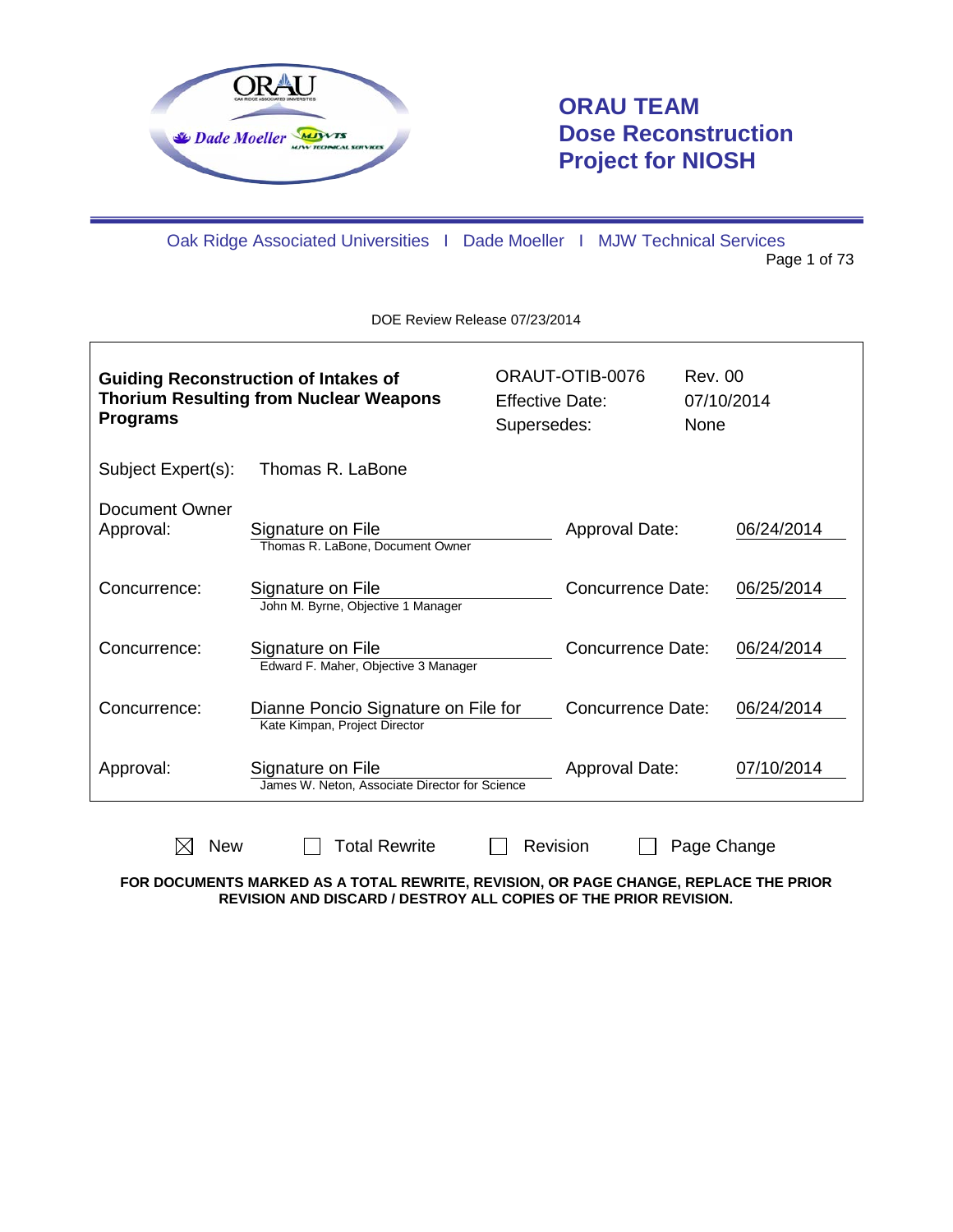

 $\mathsf{L}$ 

# **ORAU TEAM Dose Reconstruction Project for NIOSH**

Oak Ridge Associated Universities I Dade Moeller I MJW Technical Services Page 1 of 73

DOE Review Release 07/23/2014

| <b>Guiding Reconstruction of Intakes of</b><br><b>Thorium Resulting from Nuclear Weapons</b><br><b>Programs</b> |                                                                      |  | ORAUT-OTIB-0076<br><b>Effective Date:</b><br>Supersedes: | Rev. 00<br><b>None</b> | 07/10/2014 |
|-----------------------------------------------------------------------------------------------------------------|----------------------------------------------------------------------|--|----------------------------------------------------------|------------------------|------------|
| Subject Expert(s):                                                                                              | Thomas R. LaBone                                                     |  |                                                          |                        |            |
| Document Owner<br>Approval:                                                                                     | Signature on File<br>Thomas R. LaBone, Document Owner                |  | Approval Date:                                           |                        | 06/24/2014 |
| Concurrence:                                                                                                    | Signature on File<br>John M. Byrne, Objective 1 Manager              |  | Concurrence Date:                                        |                        | 06/25/2014 |
| Concurrence:                                                                                                    | Signature on File<br>Edward F. Maher, Objective 3 Manager            |  | Concurrence Date:                                        |                        | 06/24/2014 |
| Concurrence:                                                                                                    | Dianne Poncio Signature on File for<br>Kate Kimpan, Project Director |  | Concurrence Date:                                        |                        | 06/24/2014 |
| Approval:                                                                                                       | Signature on File<br>James W. Neton, Associate Director for Science  |  | Approval Date:                                           |                        | 07/10/2014 |

 $\boxtimes$  New  $\Box$  Total Rewrite  $\Box$  Revision  $\Box$  Page Change **FOR DOCUMENTS MARKED AS A TOTAL REWRITE, REVISION, OR PAGE CHANGE, REPLACE THE PRIOR** 

**REVISION AND DISCARD / DESTROY ALL COPIES OF THE PRIOR REVISION.**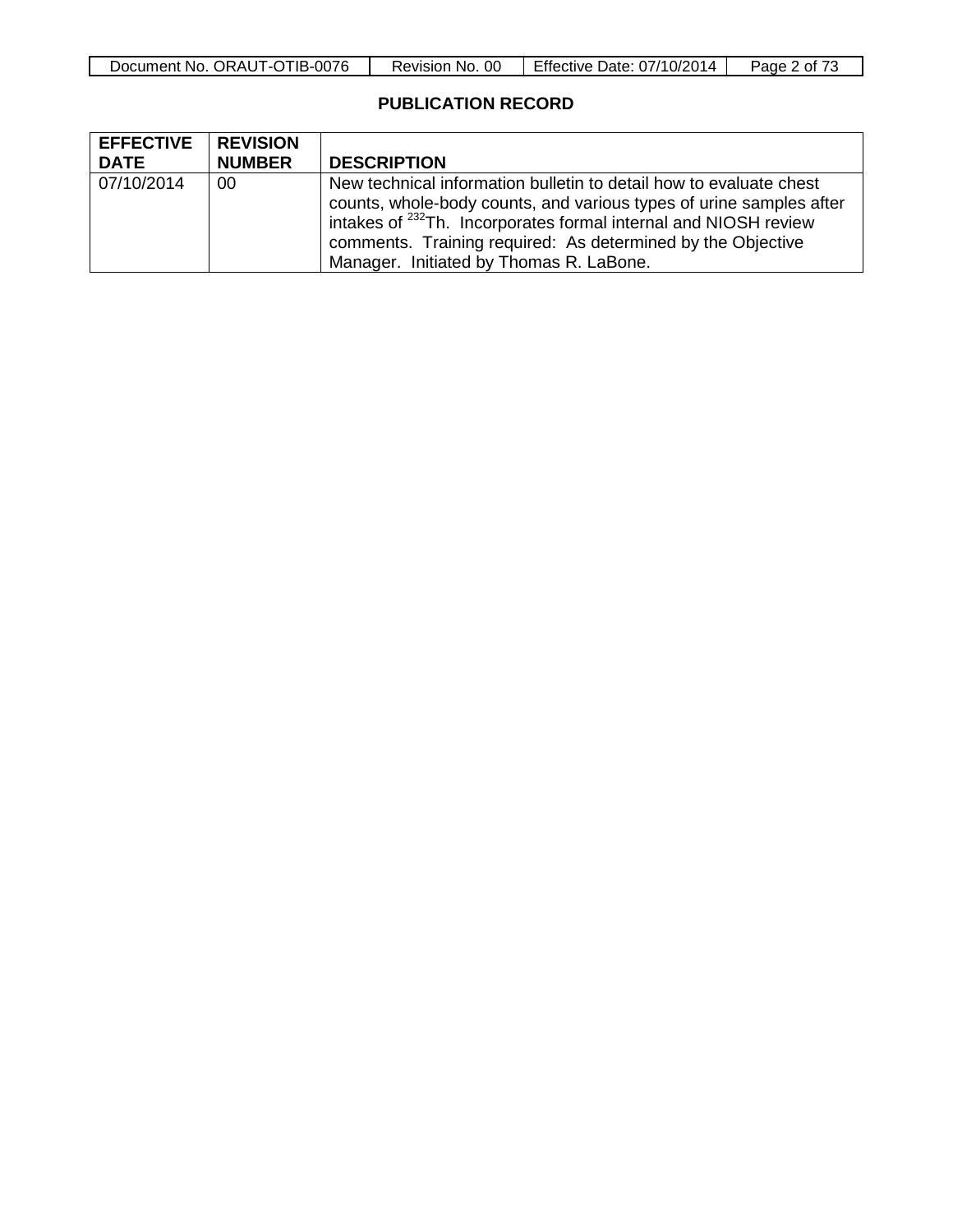## **PUBLICATION RECORD**

| <b>EFFECTIVE</b> | <b>REVISION</b> |                                                                                                                                                                                                                                                                                                                                    |
|------------------|-----------------|------------------------------------------------------------------------------------------------------------------------------------------------------------------------------------------------------------------------------------------------------------------------------------------------------------------------------------|
| <b>DATE</b>      | <b>NUMBER</b>   | <b>DESCRIPTION</b>                                                                                                                                                                                                                                                                                                                 |
| 07/10/2014       | 00              | New technical information bulletin to detail how to evaluate chest<br>counts, whole-body counts, and various types of urine samples after<br>intakes of <sup>232</sup> Th. Incorporates formal internal and NIOSH review<br>comments. Training required: As determined by the Objective<br>Manager. Initiated by Thomas R. LaBone. |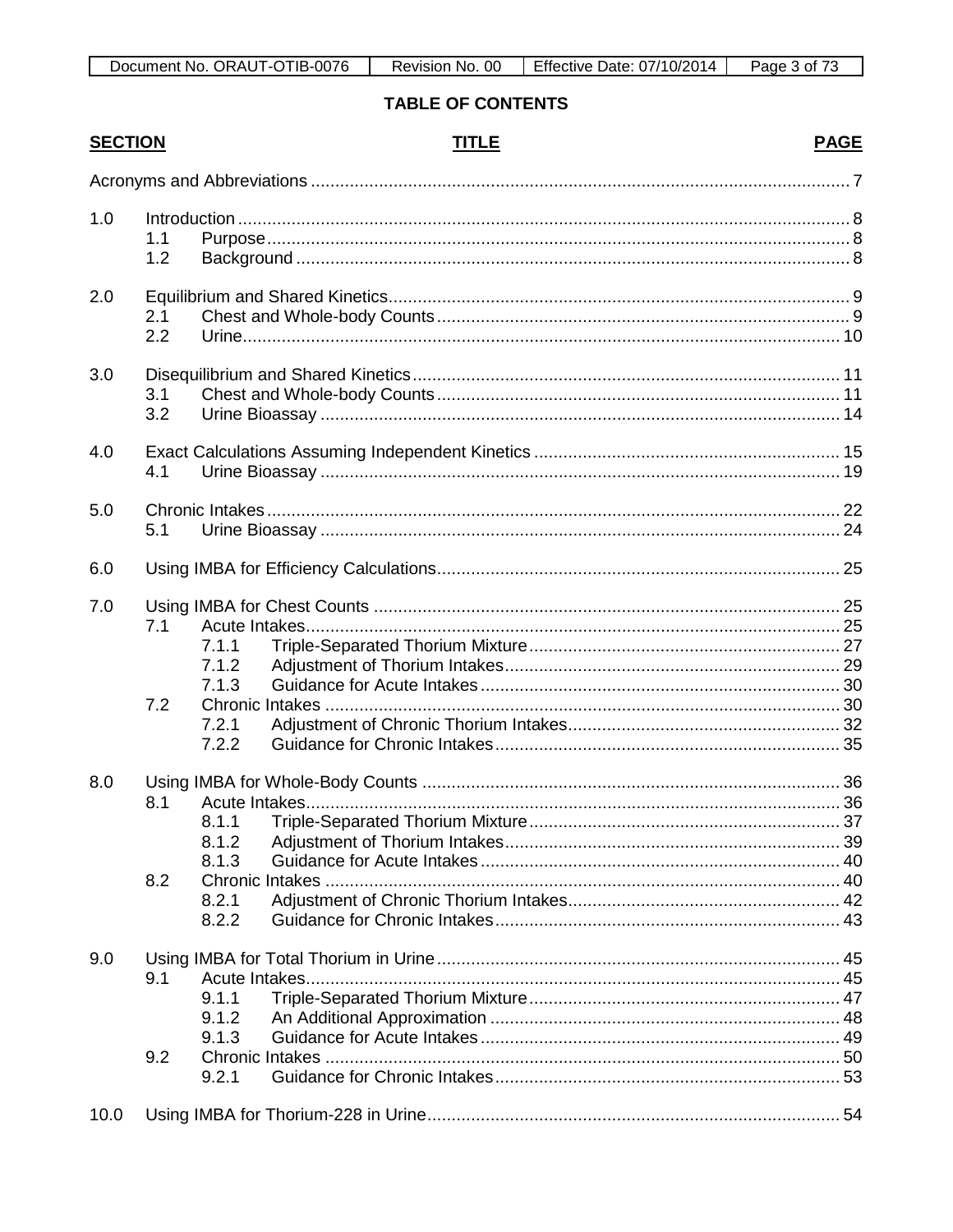| <b>SECTION</b> |            | <b>TITLE</b>                              | <b>PAGE</b> |
|----------------|------------|-------------------------------------------|-------------|
|                |            |                                           |             |
| 1.0            | 1.1<br>1.2 |                                           |             |
| 2.0            | 2.1<br>2.2 |                                           |             |
| 3.0            | 3.1<br>3.2 |                                           |             |
| 4.0            | 4.1        |                                           |             |
| 5.0            | 5.1        |                                           |             |
| 6.0            |            |                                           |             |
| 7.0            | 7.1<br>7.2 | 7.1.1<br>7.1.2<br>7.1.3<br>7.2.1<br>7.2.2 |             |
| 8.0            | 8.1<br>8.2 | 8.1.2<br>8.1.3<br>8.2.1<br>8.2.2          |             |
| 9.0            | 9.1<br>9.2 | 9.1.1<br>9.1.2<br>9.1.3<br>9.2.1          |             |
| 10.0           |            |                                           |             |

## **TABLE OF CONTENTS**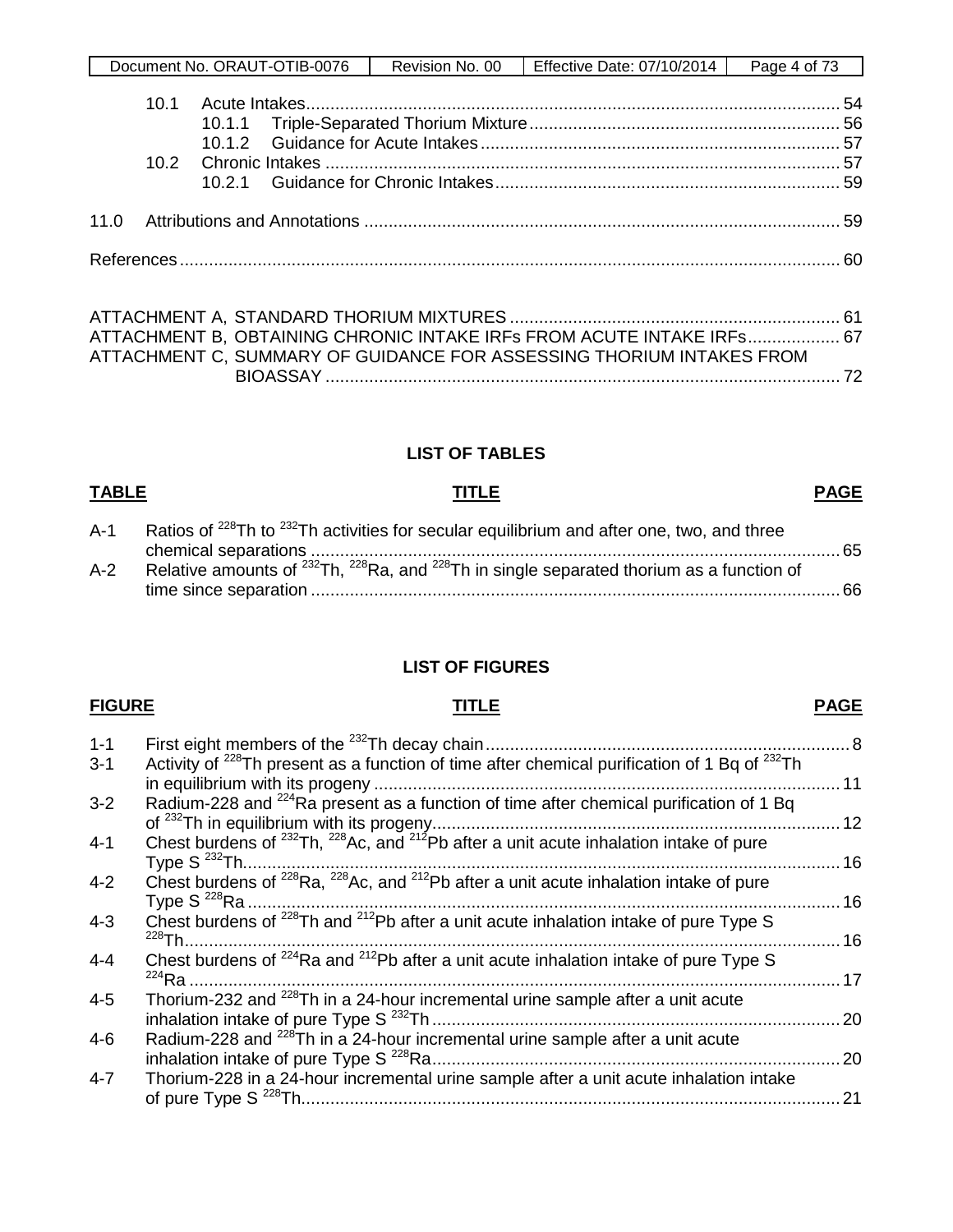| . ORAUT-OTIB-0076 | 0C           | Effective Date: 07/10/2014 | Page |
|-------------------|--------------|----------------------------|------|
| Document No.      | Revision No. |                            | 4 of |
|                   |              |                            |      |

| ATTACHMENT B. OBTAINING CHRONIC INTAKE IRFs FROM ACUTE INTAKE IRFs 67 |  |
|-----------------------------------------------------------------------|--|
| ATTACHMENT C, SUMMARY OF GUIDANCE FOR ASSESSING THORIUM INTAKES FROM  |  |
|                                                                       |  |

## **LIST OF TABLES**

## **TABLE TITLE PAGE**

| $A-1$ | Ratios of <sup>228</sup> Th to <sup>232</sup> Th activities for secular equilibrium and after one, two, and three |  |
|-------|-------------------------------------------------------------------------------------------------------------------|--|
|       |                                                                                                                   |  |
| $A-2$ | Relative amounts of $^{232}$ Th, $^{228}$ Ra, and $^{228}$ Th in single separated thorium as a function of        |  |
|       |                                                                                                                   |  |

## **LIST OF FIGURES**

## **FIGURE TITLE PAGE**

1-1 First eight members of the 232Th decay chain........................................................................... 8 3-1 Activity of <sup>228</sup>Th present as a function of time after chemical purification of 1 Bq of  $^{232}$ Th in equilibrium with its progeny ................................................................................................ 11 3-2 Radium-228 and  $^{224}$ Ra present as a function of time after chemical purification of 1 Bq of 232Th in equilibrium with its progeny.................................................................................... 12 4-1 Chest burdens of <sup>232</sup>Th, <sup>228</sup>Ac, and <sup>212</sup>Pb after a unit acute inhalation intake of pure Type S 232Th...........................................................................................................................16 4-2 Chest burdens of  $^{228}$ Ra,  $^{228}$ Ac, and  $^{212}$ Pb after a unit acute inhalation intake of pure Type S 228Ra ..........................................................................................................................16 4-3 Chest burdens of <sup>228</sup>Th and <sup>212</sup>Pb after a unit acute inhalation intake of pure Type S 228Th.......................................................................................................................................16 EXAMPLE THE CHEST BURGHER CHEST SCHOOL AND THE CHEST BURGHER AND THE CHEST SCHOOL AND THE CHEST SCHOOL AND THE CHEST SCHOOL AND A 4-4 224Ra ......................................................................................................................................17 4-5 Thorium-232 and  $^{228}$ Th in a 24-hour incremental urine sample after a unit acute inhalation intake of pure Type S 232Th .................................................................................... 20 4-6 Radium-228 and <sup>228</sup>Th in a 24-hour incremental urine sample after a unit acute inhalation intake of pure Type S 228Ra.................................................................................... 20 4-7 Thorium-228 in a 24-hour incremental urine sample after a unit acute inhalation intake of pure Type S 228Th............................................................................................................... 21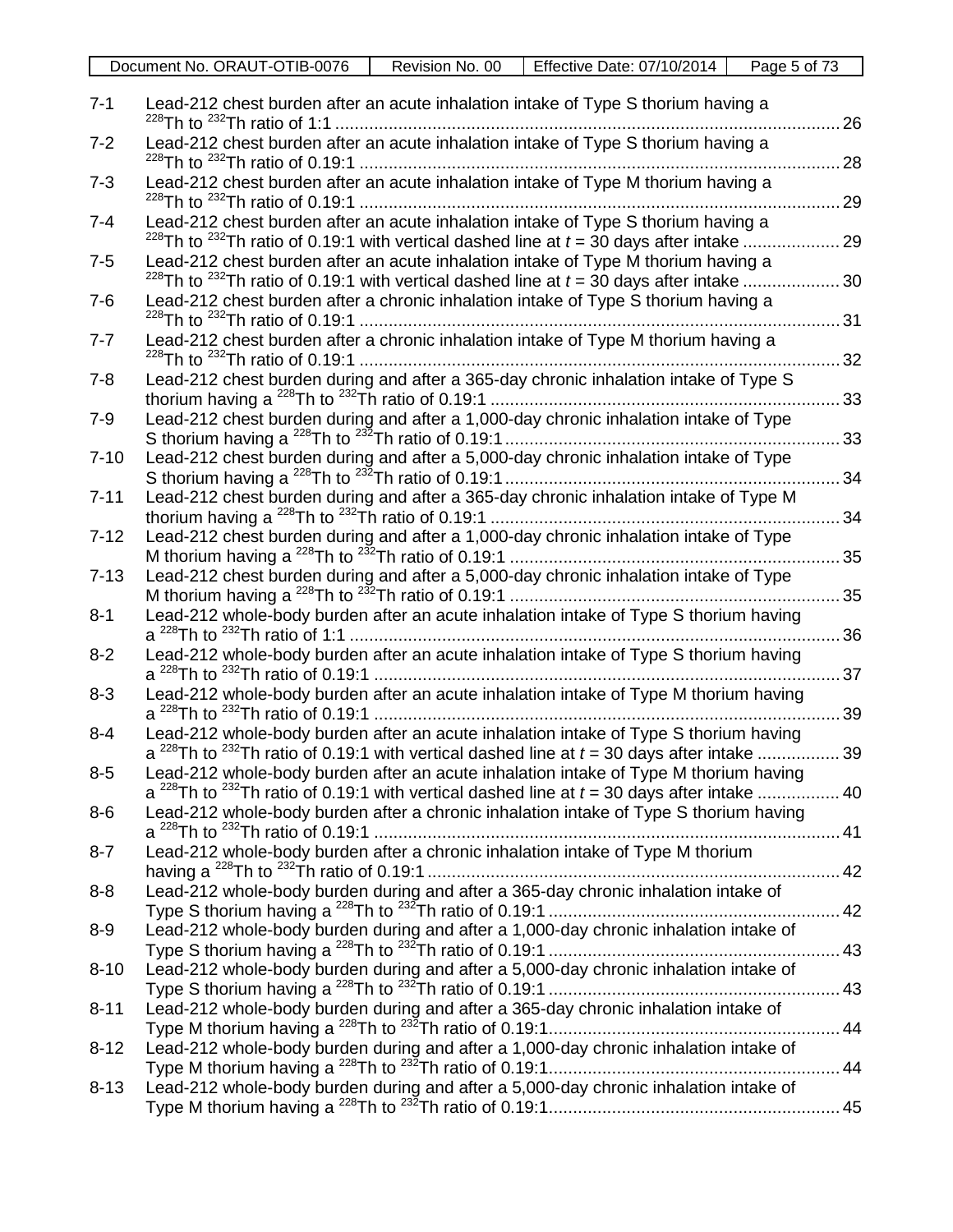| $7 - 1$  | Lead-212 chest burden after an acute inhalation intake of Type S thorium having a                                                                                                                        | 26  |
|----------|----------------------------------------------------------------------------------------------------------------------------------------------------------------------------------------------------------|-----|
| $7 - 2$  | Lead-212 chest burden after an acute inhalation intake of Type S thorium having a                                                                                                                        | 28  |
| $7 - 3$  | Lead-212 chest burden after an acute inhalation intake of Type M thorium having a                                                                                                                        | 29  |
| $7 - 4$  | Lead-212 chest burden after an acute inhalation intake of Type S thorium having a<br><sup>228</sup> Th to <sup>232</sup> Th ratio of 0.19:1 with vertical dashed line at $t = 30$ days after intake      | .29 |
| $7 - 5$  | Lead-212 chest burden after an acute inhalation intake of Type M thorium having a<br><sup>228</sup> Th to <sup>232</sup> Th ratio of 0.19:1 with vertical dashed line at $t = 30$ days after intake 30   |     |
| $7-6$    | Lead-212 chest burden after a chronic inhalation intake of Type S thorium having a                                                                                                                       |     |
| $7 - 7$  | Lead-212 chest burden after a chronic inhalation intake of Type M thorium having a                                                                                                                       | 32  |
| $7 - 8$  | Lead-212 chest burden during and after a 365-day chronic inhalation intake of Type S                                                                                                                     | 33  |
| $7 - 9$  | Lead-212 chest burden during and after a 1,000-day chronic inhalation intake of Type                                                                                                                     | 33  |
| $7 - 10$ | Lead-212 chest burden during and after a 5,000-day chronic inhalation intake of Type                                                                                                                     | 34  |
| $7 - 11$ | Lead-212 chest burden during and after a 365-day chronic inhalation intake of Type M                                                                                                                     | 34  |
| $7 - 12$ | Lead-212 chest burden during and after a 1,000-day chronic inhalation intake of Type                                                                                                                     | 35  |
| $7 - 13$ | Lead-212 chest burden during and after a 5,000-day chronic inhalation intake of Type                                                                                                                     | 35  |
| $8 - 1$  | Lead-212 whole-body burden after an acute inhalation intake of Type S thorium having                                                                                                                     | 36  |
| $8 - 2$  | Lead-212 whole-body burden after an acute inhalation intake of Type S thorium having                                                                                                                     | 37  |
| $8 - 3$  | Lead-212 whole-body burden after an acute inhalation intake of Type M thorium having                                                                                                                     | 39  |
| $8 - 4$  | Lead-212 whole-body burden after an acute inhalation intake of Type S thorium having<br>a <sup>228</sup> Th to <sup>232</sup> Th ratio of 0.19:1 with vertical dashed line at $t = 30$ days after intake | .39 |
| $8-5$    | Lead-212 whole-body burden after an acute inhalation intake of Type M thorium having<br>a $^{228}$ Th to $^{232}$ Th ratio of 0.19:1 with vertical dashed line at $t = 30$ days after intake  40         |     |
| $8-6$    | Lead-212 whole-body burden after a chronic inhalation intake of Type S thorium having                                                                                                                    |     |
| $8 - 7$  | Lead-212 whole-body burden after a chronic inhalation intake of Type M thorium                                                                                                                           |     |
| $8 - 8$  | Lead-212 whole-body burden during and after a 365-day chronic inhalation intake of                                                                                                                       |     |
| $8-9$    | Lead-212 whole-body burden during and after a 1,000-day chronic inhalation intake of                                                                                                                     |     |
| $8 - 10$ | Lead-212 whole-body burden during and after a 5,000-day chronic inhalation intake of                                                                                                                     |     |
| $8 - 11$ | Lead-212 whole-body burden during and after a 365-day chronic inhalation intake of                                                                                                                       |     |
| $8 - 12$ | Lead-212 whole-body burden during and after a 1,000-day chronic inhalation intake of                                                                                                                     |     |
| $8 - 13$ | Lead-212 whole-body burden during and after a 5,000-day chronic inhalation intake of                                                                                                                     |     |
|          |                                                                                                                                                                                                          |     |

Document No. ORAUT-OTIB-0076 Revision No. 00 Effective Date: 07/10/2014 Page 5 of 73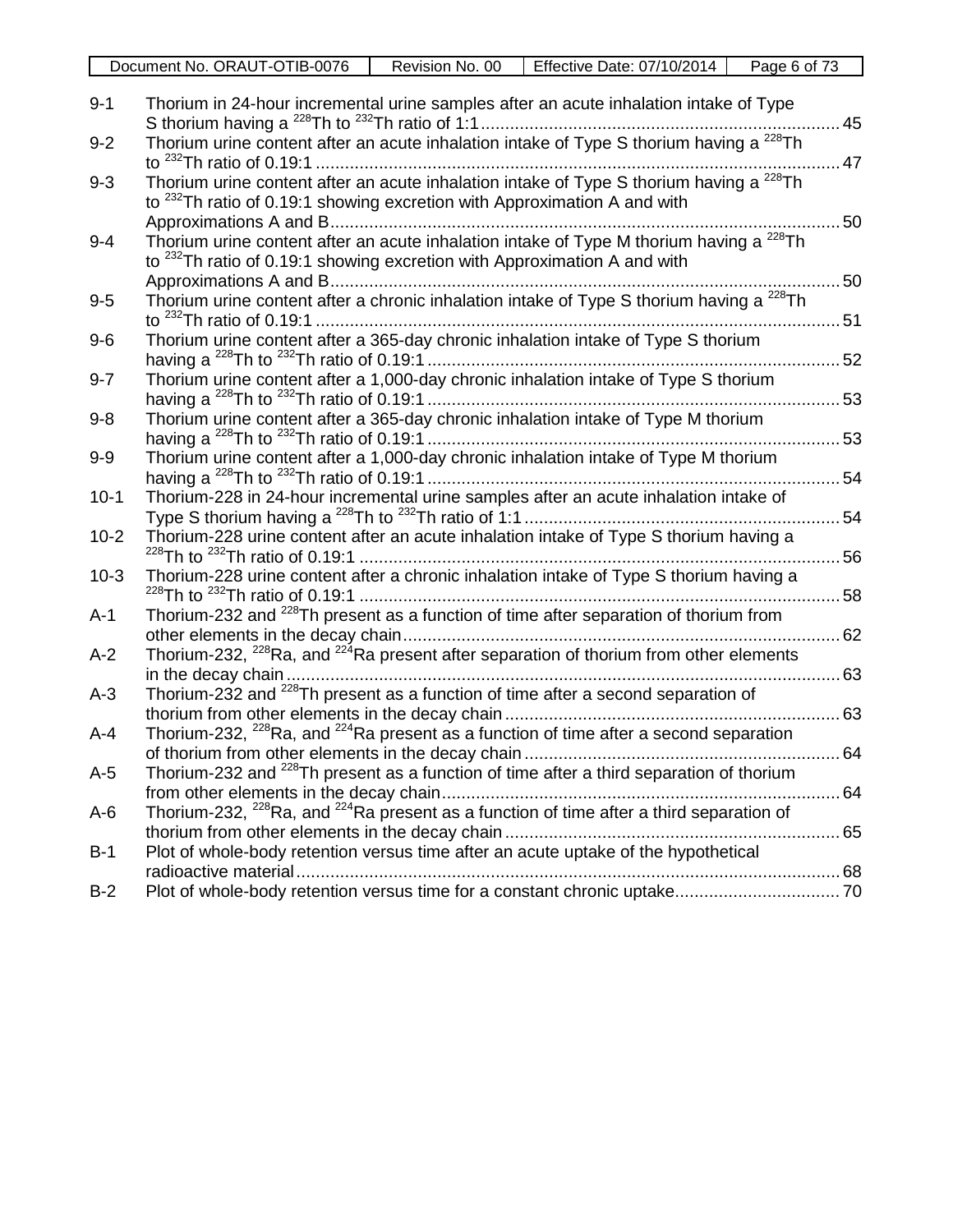|                  | Page 6 of 73<br>Document No. ORAUT-OTIB-0076<br>Revision No. 00<br>Effective Date: 07/10/2014                                                                                               |               |
|------------------|---------------------------------------------------------------------------------------------------------------------------------------------------------------------------------------------|---------------|
| $9 - 1$          | Thorium in 24-hour incremental urine samples after an acute inhalation intake of Type                                                                                                       | 45            |
| $9 - 2$          | Thorium urine content after an acute inhalation intake of Type S thorium having a $^{228}$ Th                                                                                               | $\ldots$ . 47 |
| $9 - 3$          | Thorium urine content after an acute inhalation intake of Type S thorium having a <sup>228</sup> Th<br>to <sup>232</sup> Th ratio of 0.19:1 showing excretion with Approximation A and with |               |
| $9 - 4$          | Thorium urine content after an acute inhalation intake of Type M thorium having a <sup>228</sup> Th<br>to <sup>232</sup> Th ratio of 0.19:1 showing excretion with Approximation A and with |               |
| $9-5$            | Thorium urine content after a chronic inhalation intake of Type S thorium having a <sup>228</sup> Th                                                                                        | 50            |
| $9-6$            | Thorium urine content after a 365-day chronic inhalation intake of Type S thorium                                                                                                           |               |
| $9 - 7$          | Thorium urine content after a 1,000-day chronic inhalation intake of Type S thorium                                                                                                         |               |
| $9 - 8$          | Thorium urine content after a 365-day chronic inhalation intake of Type M thorium<br>53                                                                                                     |               |
| $9-9$            | Thorium urine content after a 1,000-day chronic inhalation intake of Type M thorium                                                                                                         |               |
| $10-1$<br>$10-2$ | Thorium-228 in 24-hour incremental urine samples after an acute inhalation intake of<br>Thorium-228 urine content after an acute inhalation intake of Type S thorium having a               |               |
| $10-3$           | Thorium-228 urine content after a chronic inhalation intake of Type S thorium having a                                                                                                      |               |
| $A-1$            | Thorium-232 and <sup>228</sup> Th present as a function of time after separation of thorium from                                                                                            |               |
| $A-2$            | Thorium-232, <sup>228</sup> Ra, and <sup>224</sup> Ra present after separation of thorium from other elements                                                                               |               |
| $A-3$            | Thorium-232 and <sup>228</sup> Th present as a function of time after a second separation of                                                                                                |               |
| $A-4$            | Thorium-232, <sup>228</sup> Ra, and <sup>224</sup> Ra present as a function of time after a second separation                                                                               |               |
| $A-5$            | Thorium-232 and <sup>228</sup> Th present as a function of time after a third separation of thorium                                                                                         |               |
| $A-6$            | Thorium-232, <sup>228</sup> Ra, and <sup>224</sup> Ra present as a function of time after a third separation of                                                                             |               |
| $B-1$            | Plot of whole-body retention versus time after an acute uptake of the hypothetical                                                                                                          |               |
| $B-2$            |                                                                                                                                                                                             |               |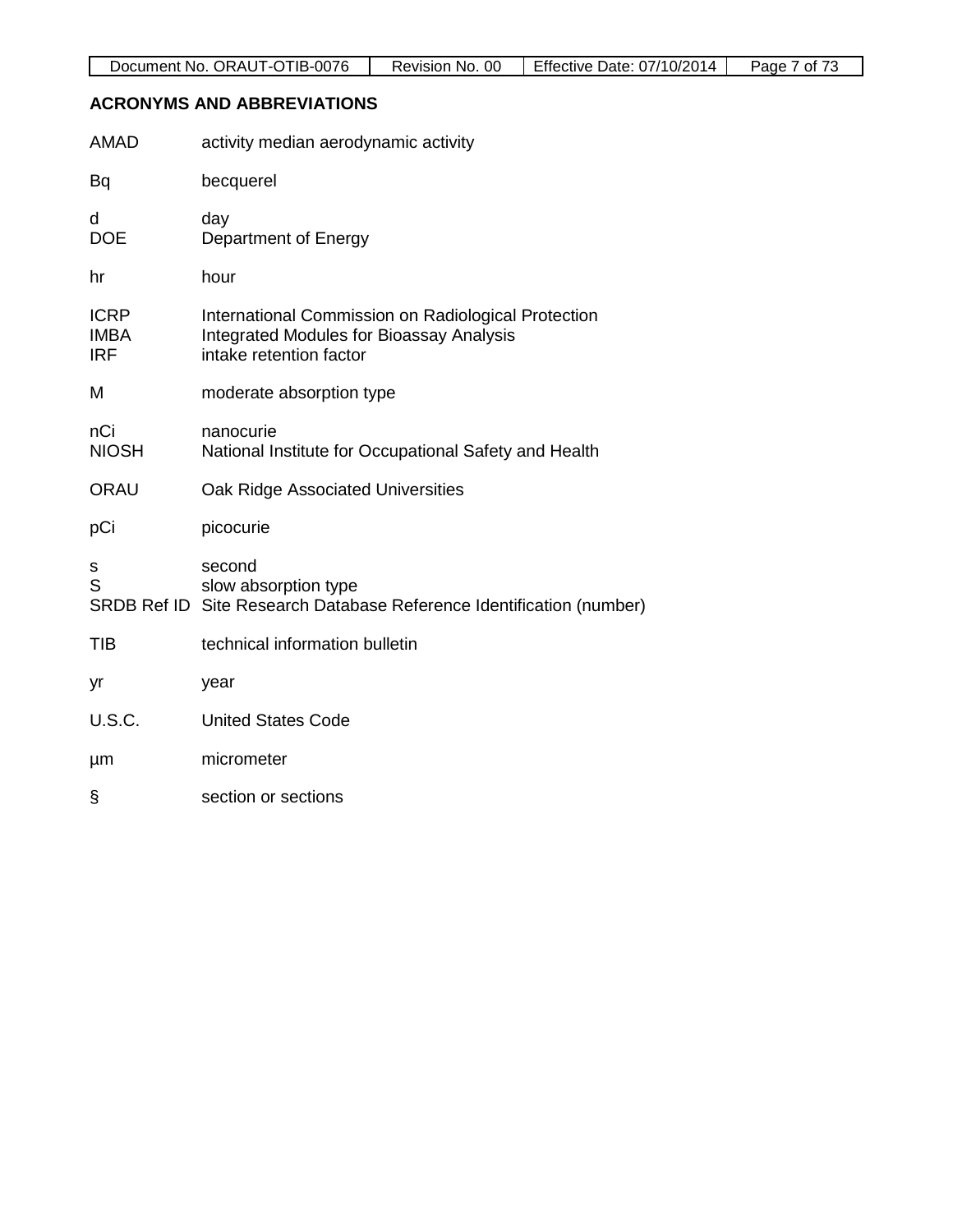## **ACRONYMS AND ABBREVIATIONS**

| <b>AMAD</b>                              | activity median aerodynamic activity                                                                                              |
|------------------------------------------|-----------------------------------------------------------------------------------------------------------------------------------|
| Bq                                       | becquerel                                                                                                                         |
| d<br><b>DOE</b>                          | day<br>Department of Energy                                                                                                       |
| hr                                       | hour                                                                                                                              |
| <b>ICRP</b><br><b>IMBA</b><br><b>IRF</b> | International Commission on Radiological Protection<br><b>Integrated Modules for Bioassay Analysis</b><br>intake retention factor |
| Μ                                        | moderate absorption type                                                                                                          |
| nCi<br><b>NIOSH</b>                      | nanocurie<br>National Institute for Occupational Safety and Health                                                                |
| <b>ORAU</b>                              | Oak Ridge Associated Universities                                                                                                 |
| pCi                                      | picocurie                                                                                                                         |
| s<br>S                                   | second<br>slow absorption type<br>SRDB Ref ID Site Research Database Reference Identification (number)                            |
| TIB                                      | technical information bulletin                                                                                                    |
| yr                                       | year                                                                                                                              |
| <b>U.S.C.</b>                            | <b>United States Code</b>                                                                                                         |
| μm                                       | micrometer                                                                                                                        |
| §                                        | section or sections                                                                                                               |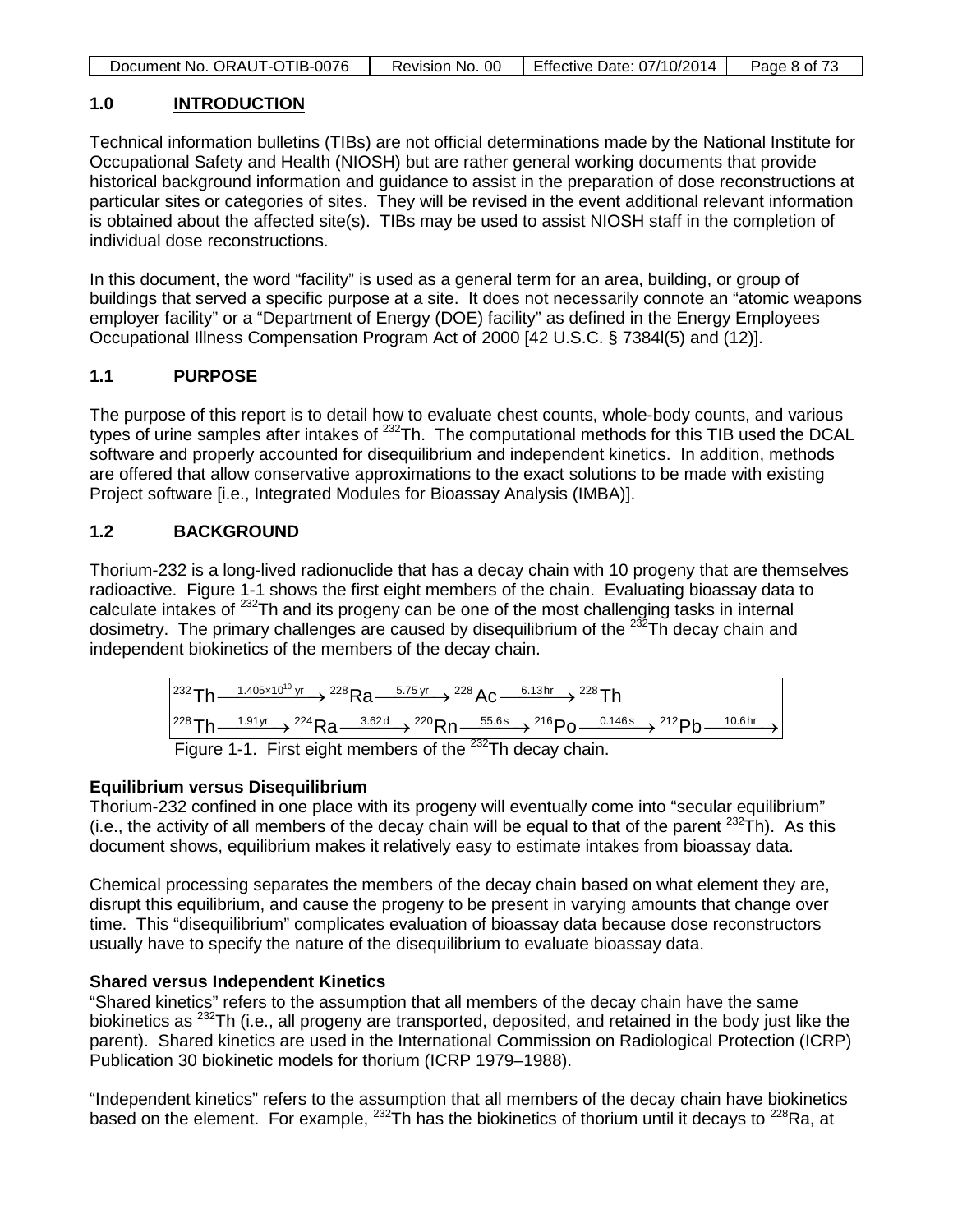| Document No. ORAUT-OTIB-0076 | Revision No. 00 | Effective Date: 07/10/2014 | Page 8 of 73 |
|------------------------------|-----------------|----------------------------|--------------|
|                              |                 |                            |              |

## **1.0 INTRODUCTION**

Technical information bulletins (TIBs) are not official determinations made by the National Institute for Occupational Safety and Health (NIOSH) but are rather general working documents that provide historical background information and guidance to assist in the preparation of dose reconstructions at particular sites or categories of sites. They will be revised in the event additional relevant information is obtained about the affected site(s). TIBs may be used to assist NIOSH staff in the completion of individual dose reconstructions.

In this document, the word "facility" is used as a general term for an area, building, or group of buildings that served a specific purpose at a site. It does not necessarily connote an "atomic weapons employer facility" or a "Department of Energy (DOE) facility" as defined in the Energy Employees Occupational Illness Compensation Program Act of 2000 [42 U.S.C. § 7384l(5) and (12)].

## **1.1 PURPOSE**

The purpose of this report is to detail how to evaluate chest counts, whole-body counts, and various types of urine samples after intakes of <sup>232</sup>Th. The computational methods for this TIB used the DCAL software and properly accounted for disequilibrium and independent kinetics. In addition, methods are offered that allow conservative approximations to the exact solutions to be made with existing Project software [i.e., Integrated Modules for Bioassay Analysis (IMBA)].

## **1.2 BACKGROUND**

Thorium-232 is a long-lived radionuclide that has a decay chain with 10 progeny that are themselves radioactive. Figure 1-1 shows the first eight members of the chain. Evaluating bioassay data to calculate intakes of 232Th and its progeny can be one of the most challenging tasks in internal dosimetry. The primary challenges are caused by disequilibrium of the  $^{232}$ Th decay chain and independent biokinetics of the members of the decay chain.



Figure 1-1. First eight members of the  $232$ Th decay chain.

## **Equilibrium versus Disequilibrium**

Thorium-232 confined in one place with its progeny will eventually come into "secular equilibrium" (i.e., the activity of all members of the decay chain will be equal to that of the parent  $^{232}$ Th). As this document shows, equilibrium makes it relatively easy to estimate intakes from bioassay data.

Chemical processing separates the members of the decay chain based on what element they are, disrupt this equilibrium, and cause the progeny to be present in varying amounts that change over time. This "disequilibrium" complicates evaluation of bioassay data because dose reconstructors usually have to specify the nature of the disequilibrium to evaluate bioassay data.

## **Shared versus Independent Kinetics**

"Shared kinetics" refers to the assumption that all members of the decay chain have the same biokinetics as <sup>232</sup>Th (i.e., all progeny are transported, deposited, and retained in the body just like the parent). Shared kinetics are used in the International Commission on Radiological Protection (ICRP) Publication 30 biokinetic models for thorium (ICRP 1979–1988).

"Independent kinetics" refers to the assumption that all members of the decay chain have biokinetics based on the element. For example, <sup>232</sup>Th has the biokinetics of thorium until it decays to <sup>228</sup>Ra, at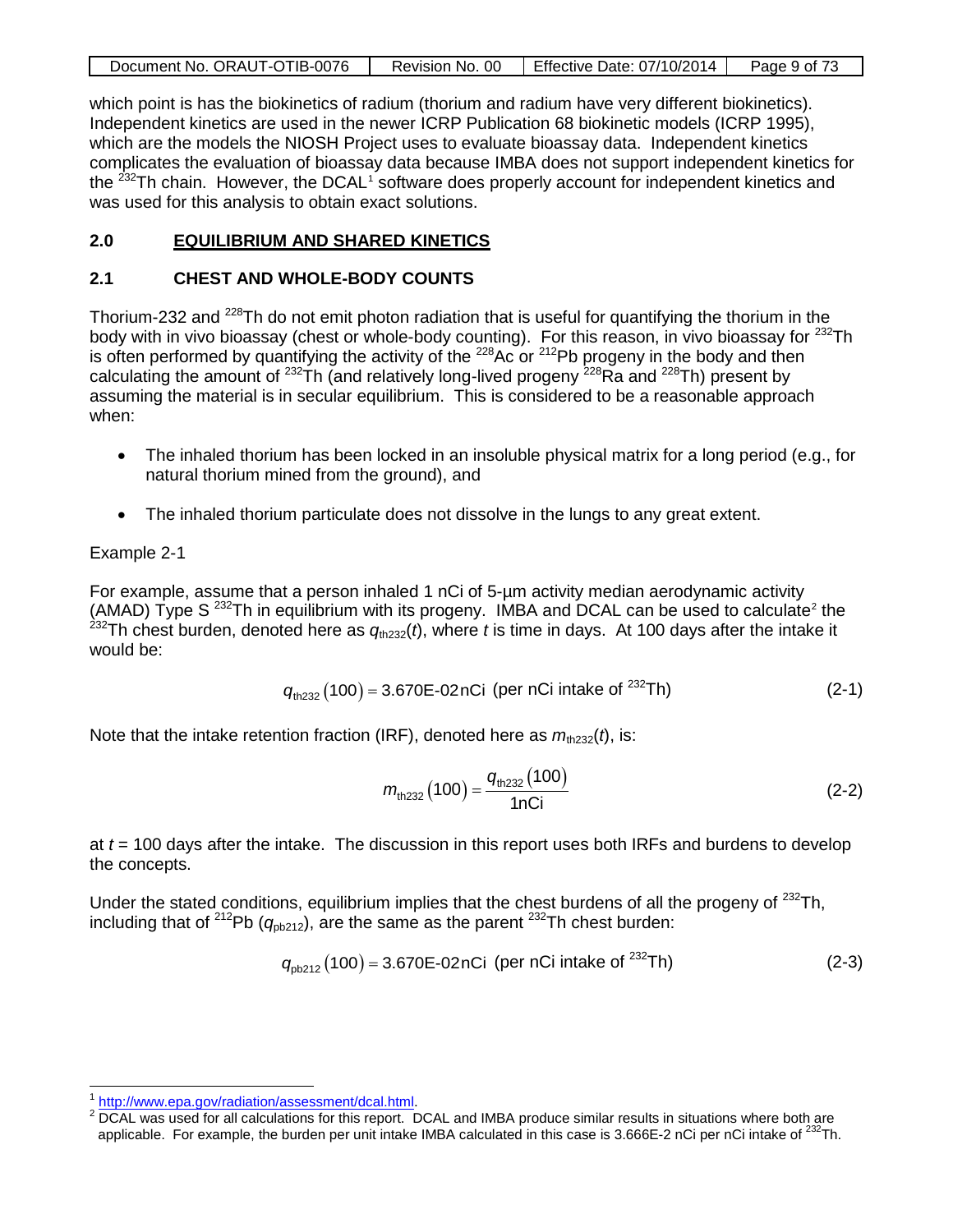| Document No. ORAUT-OTIB-0076 | Revision No. 00 | Effective Date: 07/10/2014 | Page 9 of 73 |
|------------------------------|-----------------|----------------------------|--------------|
|                              |                 |                            |              |

which point is has the biokinetics of radium (thorium and radium have very different biokinetics). Independent kinetics are used in the newer ICRP Publication 68 biokinetic models (ICRP 1995), which are the models the NIOSH Project uses to evaluate bioassay data. Independent kinetics complicates the evaluation of bioassay data because IMBA does not support independent kinetics for the  $^{232}$ Th chain. However, the DCAL<sup>[1](#page-8-0)</sup> software does properly account for independent kinetics and was used for this analysis to obtain exact solutions.

## **2.0 EQUILIBRIUM AND SHARED KINETICS**

## **2.1 CHEST AND WHOLE-BODY COUNTS**

Thorium-232 and <sup>228</sup>Th do not emit photon radiation that is useful for quantifying the thorium in the body with in vivo bioassay (chest or whole-body counting). For this reason, in vivo bioassay for <sup>232</sup>Th is often performed by quantifying the activity of the  $^{228}$ Ac or  $^{212}$ Pb progeny in the body and then calculating the amount of  $^{232}$ Th (and relatively long-lived progeny  $^{228}$ Ra and  $^{228}$ Th) present by assuming the material is in secular equilibrium. This is considered to be a reasonable approach when:

- The inhaled thorium has been locked in an insoluble physical matrix for a long period (e.g., for natural thorium mined from the ground), and
- The inhaled thorium particulate does not dissolve in the lungs to any great extent.

## Example 2-1

For example, assume that a person inhaled 1 nCi of 5-µm activity median aerodynamic activity (AMAD) Type S<sup>[2](#page-8-1)32</sup>Th in equilibrium with its progeny. IMBA and DCAL can be used to calculate<sup>2</sup> the <sup>232</sup>Th chest burden, denoted here as  $q_{th232}(t)$ , where *t* is time in days. At 100 days after the intake it would be:

$$
q_{\text{th232}}(100) = 3.670E - 02nCi \text{ (per nCi intake of }^{232}Th)
$$
 (2-1)

Note that the intake retention fraction (IRF), denoted here as  $m_{th232}(t)$ , is:

$$
m_{\text{th232}}(100) = \frac{q_{\text{th232}}(100)}{1n\text{Ci}}\tag{2-2}
$$

at *t* = 100 days after the intake. The discussion in this report uses both IRFs and burdens to develop the concepts.

Under the stated conditions, equilibrium implies that the chest burdens of all the progeny of  $^{232}$ Th, including that of <sup>212</sup>Pb ( $q_{\text{ob212}}$ ), are the same as the parent <sup>232</sup>Th chest burden:

$$
q_{\text{pb212}}(100) = 3.670\text{E-02nCi (per nCi intake of }^{232}\text{Th})
$$
 (2-3)

<span id="page-8-1"></span><span id="page-8-0"></span> $\frac{1}{2}$  [http://www.epa.gov/radiation/assessment/dcal.html.](http://www.epa.gov/radiation/assessment/dcal.html)<br><sup>2</sup> DCAL was used for all calculations for this report. DCAL and IMBA produce similar results in situations where both are applicable. For example, the burden per unit intake IMBA calculated in this case is 3.666E-2 nCi per nCi intake of  $^{232}$ Th.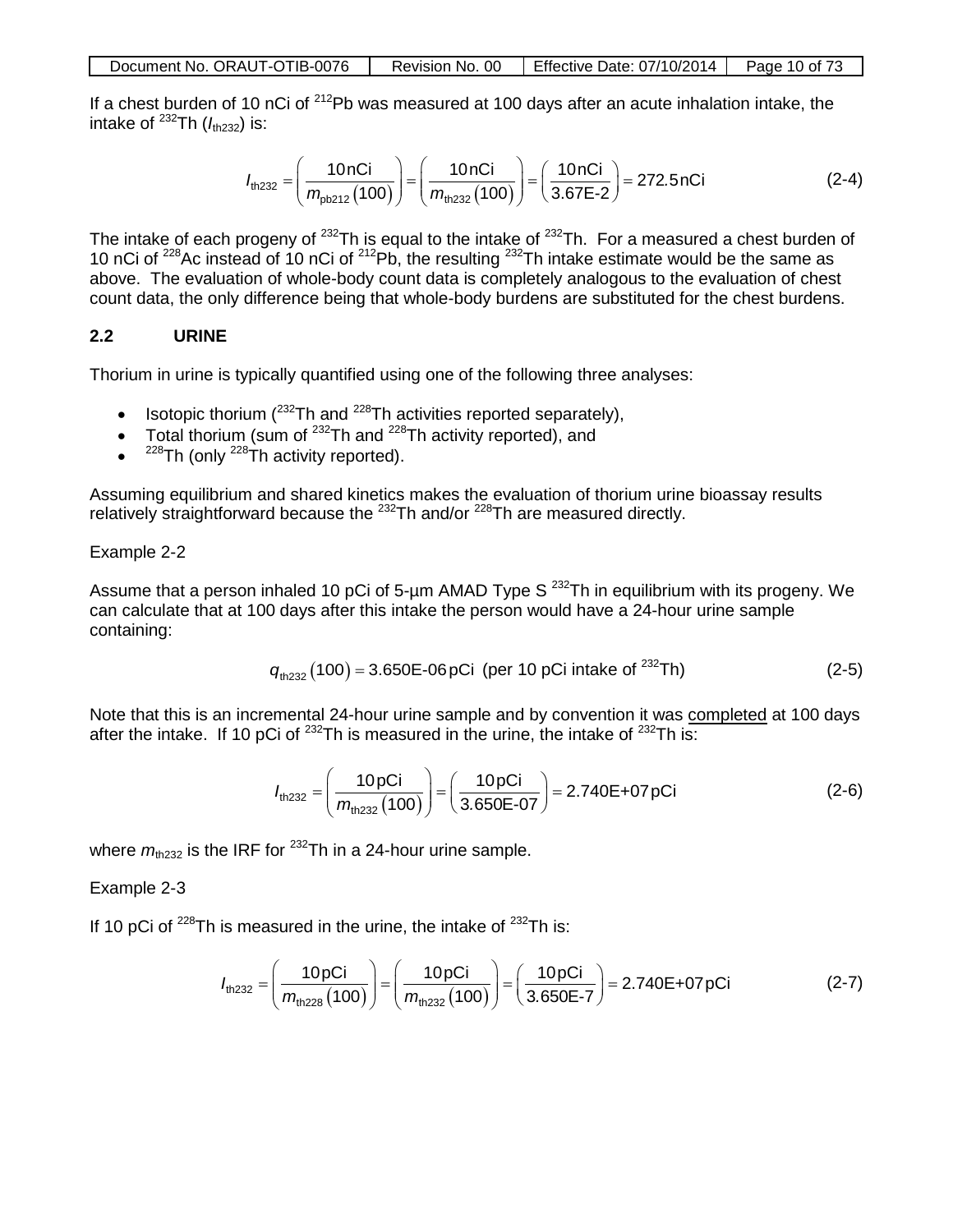| Document No. ORAUT-OTIB-0076 | Revision No. 00 | Effective Date: 07/10/2014 | Page 10 of 73 |
|------------------------------|-----------------|----------------------------|---------------|
|                              |                 |                            |               |

If a chest burden of 10 nCi of <sup>212</sup>Pb was measured at 100 days after an acute inhalation intake, the intake of  $^{232}$ Th ( $I_{th232}$ ) is:

$$
I_{\text{th232}} = \left(\frac{10 \text{ nCi}}{m_{\text{pb212}}(100)}\right) = \left(\frac{10 \text{ nCi}}{m_{\text{th232}}(100)}\right) = \left(\frac{10 \text{ nCi}}{3.67\text{E-2}}\right) = 272.5 \text{ nCi}
$$
 (2-4)

The intake of each progeny of  $^{232}$ Th is equal to the intake of  $^{232}$ Th. For a measured a chest burden of 10 nCi of  $228$ Ac instead of 10 nCi of  $212$ Pb, the resulting  $232$ Th intake estimate would be the same as above. The evaluation of whole-body count data is completely analogous to the evaluation of chest count data, the only difference being that whole-body burdens are substituted for the chest burdens.

## **2.2 URINE**

Thorium in urine is typically quantified using one of the following three analyses:

- Isotopic thorium ( $232$ Th and  $228$ Th activities reported separately),
- Total thorium (sum of  $232$ Th and  $228$ Th activity reported), and
- $^{228}$ Th (only  $^{228}$ Th activity reported).

Assuming equilibrium and shared kinetics makes the evaluation of thorium urine bioassay results relatively straightforward because the <sup>232</sup>Th and/or <sup>228</sup>Th are measured directly.

### Example 2-2

Assume that a person inhaled 10 pCi of 5-um AMAD Type S<sup>232</sup>Th in equilibrium with its progeny. We can calculate that at 100 days after this intake the person would have a 24-hour urine sample containing:

$$
q_{\text{th232}}(100) = 3.650\text{E-06 pCi (per 10 pCi intake of }^{232}\text{Th})\tag{2-5}
$$

Note that this is an incremental 24-hour urine sample and by convention it was completed at 100 days after the intake. If 10 pCi of  $^{232}$ Th is measured in the urine, the intake of  $^{232}$ Th is:

$$
I_{\text{th232}} = \left(\frac{10 \,\text{pCi}}{m_{\text{th232}}(100)}\right) = \left(\frac{10 \,\text{pCi}}{3.650\text{E-07}}\right) = 2.740\text{E} + 07 \,\text{pCi}
$$
 (2-6)

where  $m_{\text{th232}}$  is the IRF for <sup>232</sup>Th in a 24-hour urine sample.

### Example 2-3

If 10 pCi of  $228$ Th is measured in the urine, the intake of  $232$ Th is:

$$
I_{\text{th232}} = \left(\frac{10 \,\text{pCi}}{m_{\text{th228}}(100)}\right) = \left(\frac{10 \,\text{pCi}}{m_{\text{th232}}(100)}\right) = \left(\frac{10 \,\text{pCi}}{3.650\text{E-7}}\right) = 2.740\text{E} + 07 \,\text{pCi}
$$
 (2-7)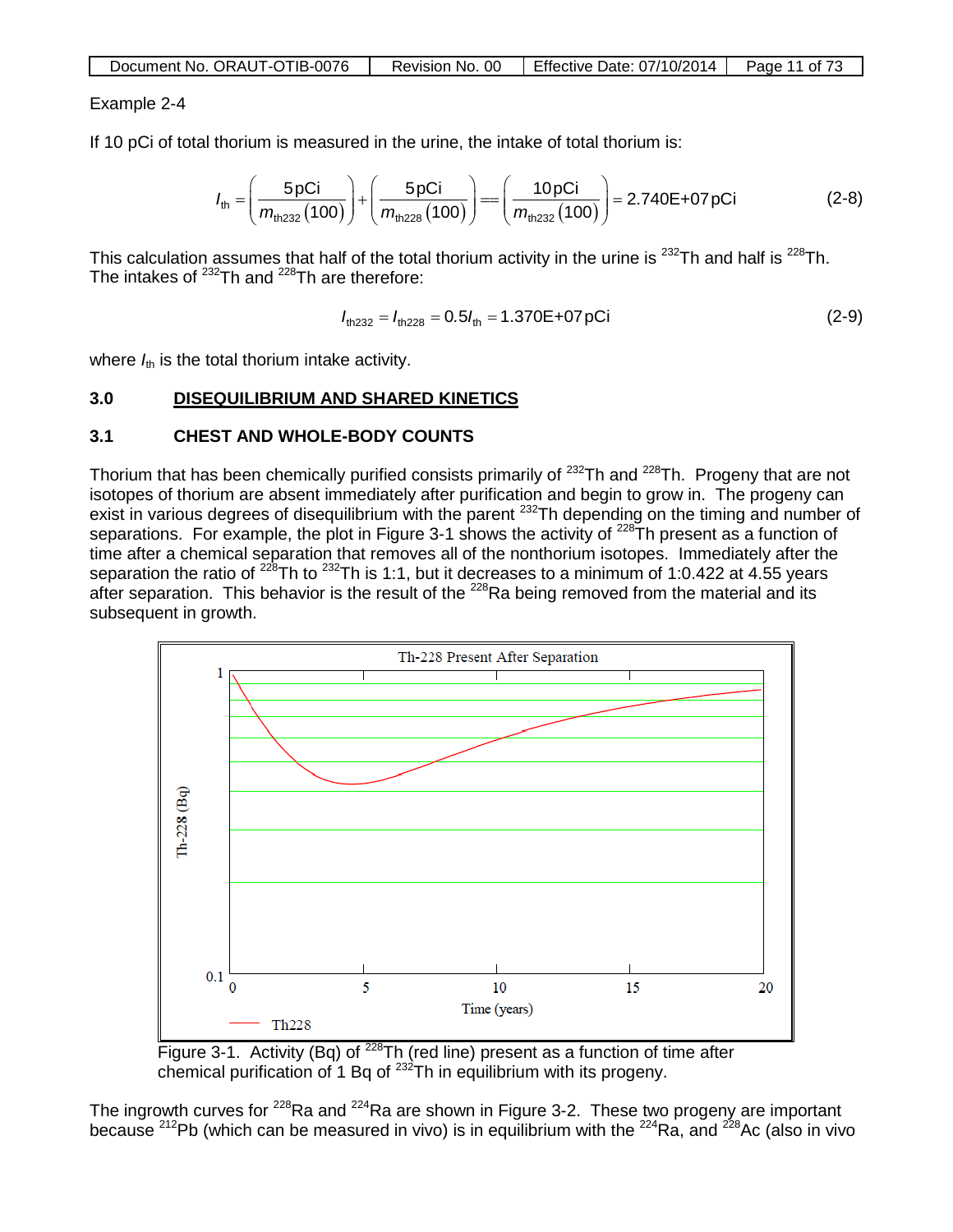| Document No. ORAUT-OTIB-0076 | Revision No. 00 | Effective Date: 07/10/2014 | Page 11 of 73 |
|------------------------------|-----------------|----------------------------|---------------|
|------------------------------|-----------------|----------------------------|---------------|

### Example 2-4

If 10 pCi of total thorium is measured in the urine, the intake of total thorium is:

$$
I_{\text{th}} = \left(\frac{5 \text{pCi}}{m_{\text{th}232}(100)}\right) + \left(\frac{5 \text{pCi}}{m_{\text{th}228}(100)}\right) = \left(\frac{10 \text{pCi}}{m_{\text{th}232}(100)}\right) = 2.740\text{E} + 07 \text{pCi}
$$
 (2-8)

This calculation assumes that half of the total thorium activity in the urine is  $^{232}$ Th and half is  $^{228}$ Th. The intakes of  $^{232}$ Th and  $^{228}$ Th are therefore:

$$
I_{\text{th232}} = I_{\text{th228}} = 0.5I_{\text{th}} = 1.370E + 07pCi \tag{2-9}
$$

where  $I_{\text{th}}$  is the total thorium intake activity.

### **3.0 DISEQUILIBRIUM AND SHARED KINETICS**

### **3.1 CHEST AND WHOLE-BODY COUNTS**

Thorium that has been chemically purified consists primarily of  $^{232}$ Th and  $^{228}$ Th. Progeny that are not isotopes of thorium are absent immediately after purification and begin to grow in. The progeny can exist in various degrees of disequilibrium with the parent <sup>232</sup>Th depending on the timing and number of separations. For example, the plot in Figure 3-1 shows the activity of <sup>228</sup>Th present as a function of time after a chemical separation that removes all of the nonthorium isotopes. Immediately after the separation the ratio of <sup>228</sup>Th to <sup>232</sup>Th is 1:1, but it decreases to a minimum of 1:0.422 at 4.55 years after separation. This behavior is the result of the <sup>228</sup>Ra being removed from the material and its subsequent in growth.



Figure 3-1. Activity (Bq) of  $^{228}$ Th (red line) present as a function of time after chemical purification of 1 Bq of <sup>232</sup>Th in equilibrium with its progeny.

The ingrowth curves for <sup>228</sup>Ra and <sup>224</sup>Ra are shown in Figure 3-2. These two progeny are important because  $^{212}$ Pb (which can be measured in vivo) is in equilibrium with the  $^{224}$ Ra, and  $^{228}$ Ac (also in vivo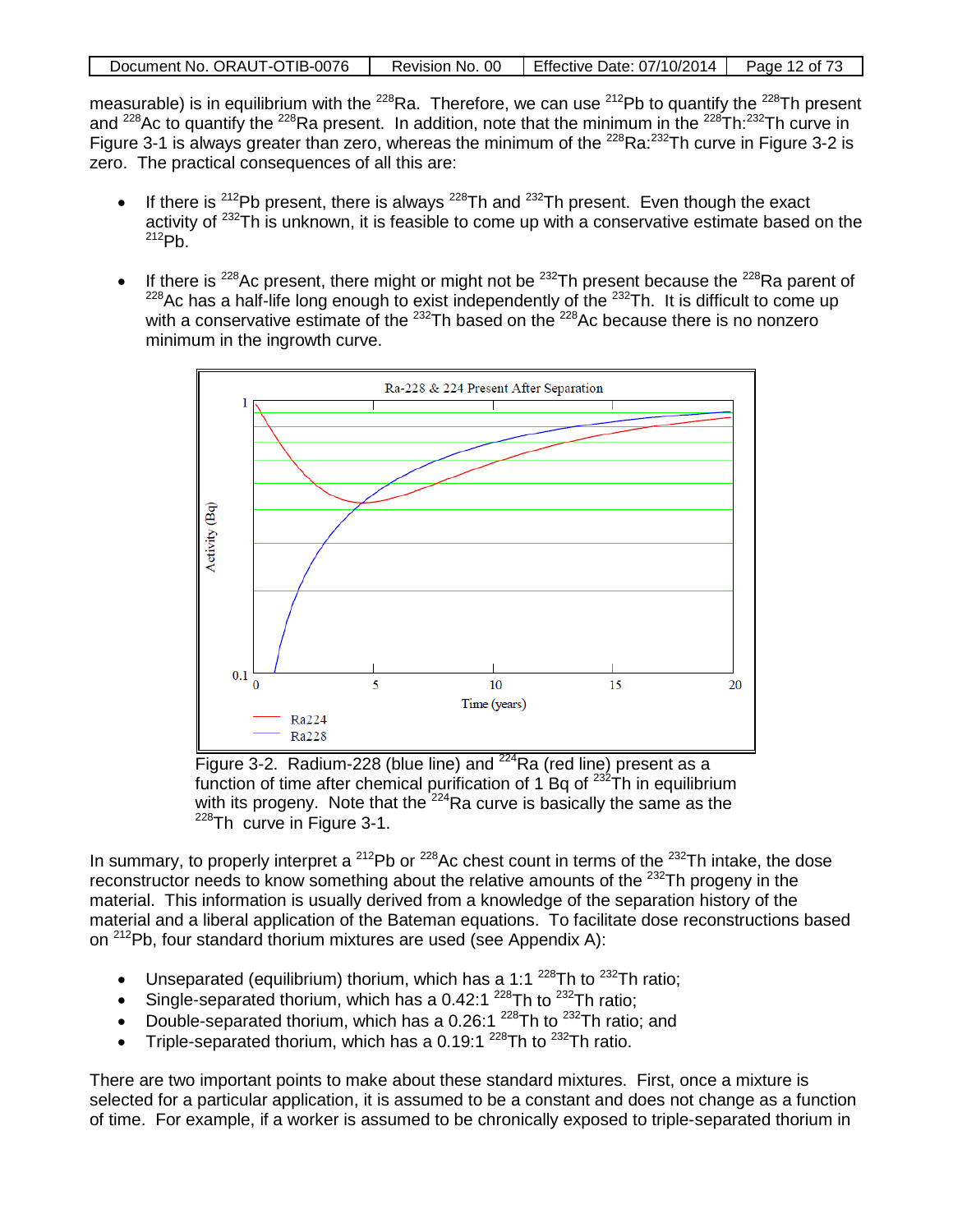| Document No. ORAUT-OTIB-0076 | Revision No. 00 | Effective Date: $07/10/2014$ | Page 12 of 73 |
|------------------------------|-----------------|------------------------------|---------------|

measurable) is in equilibrium with the <sup>228</sup>Ra. Therefore, we can use <sup>212</sup>Pb to quantify the <sup>228</sup>Th present and <sup>228</sup>Ac to quantify the <sup>228</sup>Ra present. In addition, note that the minimum in the <sup>228</sup>Th:<sup>232</sup>Th curve in Figure 3-1 is always greater than zero, whereas the minimum of the <sup>228</sup>Ra:<sup>232</sup>Th curve in Figure 3-2 is zero. The practical consequences of all this are:

- If there is  $212Pb$  present, there is always  $228Th$  and  $232Th$  present. Even though the exact activity of <sup>232</sup>Th is unknown, it is feasible to come up with a conservative estimate based on the  $212Pb$ .
- If there is  $^{228}$ Ac present, there might or might not be  $^{232}$ Th present because the  $^{228}$ Ra parent of  $228$ Ac has a half-life long enough to exist independently of the  $232$ Th. It is difficult to come up with a conservative estimate of the <sup>232</sup>Th based on the <sup>228</sup>Ac because there is no nonzero minimum in the ingrowth curve.



Figure 3-2. Radium-228 (blue line) and <sup>224</sup>Ra (red line) present as a function of time after chemical purification of 1 Bq of  $^{232}$ Th in equilibrium with its progeny. Note that the <sup>224</sup>Ra curve is basically the same as the <sup>228</sup>Th curve in Figure 3-1.

In summary, to properly interpret a  $^{212}Pb$  or  $^{228}Ac$  chest count in terms of the  $^{232}Th$  intake, the dose reconstructor needs to know something about the relative amounts of the <sup>232</sup>Th progeny in the material. This information is usually derived from a knowledge of the separation history of the material and a liberal application of the Bateman equations. To facilitate dose reconstructions based on 212Pb, four standard thorium mixtures are used (see Appendix A):

- Unseparated (equilibrium) thorium, which has a 1:1<sup>228</sup>Th to <sup>232</sup>Th ratio;
- Single-separated thorium, which has a 0.42:1  $^{228}$ Th to  $^{232}$ Th ratio;
- Double-separated thorium, which has a 0.26:1  $^{228}$ Th to  $^{232}$ Th ratio; and
- Triple-separated thorium, which has a 0.19:1  $^{228}$ Th to  $^{232}$ Th ratio.

There are two important points to make about these standard mixtures. First, once a mixture is selected for a particular application, it is assumed to be a constant and does not change as a function of time. For example, if a worker is assumed to be chronically exposed to triple-separated thorium in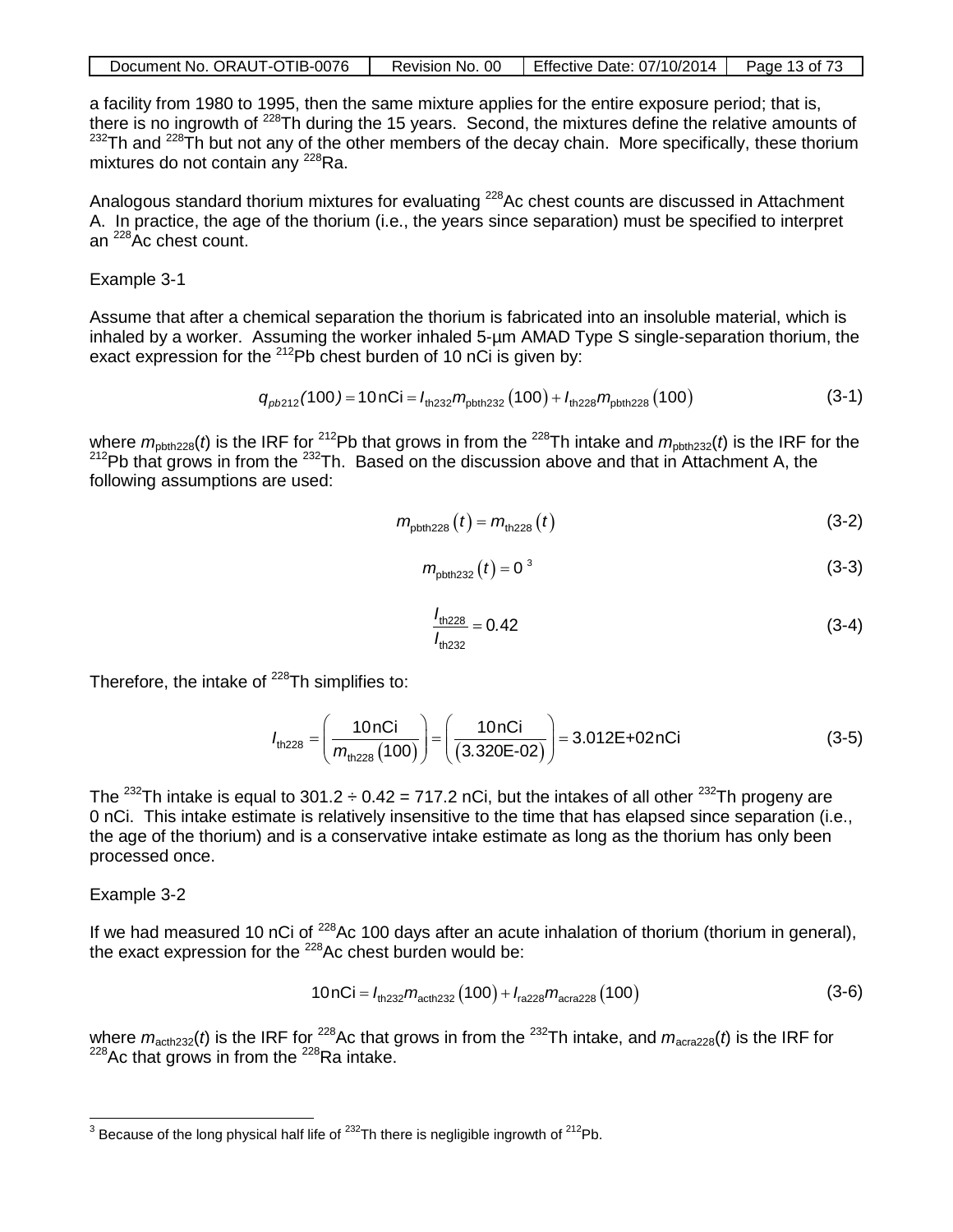| Document No. ORAUT-OTIB-0076 | Revision No. 00 | Effective Date: 07/10/2014 | Page 13 of 73 |
|------------------------------|-----------------|----------------------------|---------------|
|------------------------------|-----------------|----------------------------|---------------|

a facility from 1980 to 1995, then the same mixture applies for the entire exposure period; that is, there is no ingrowth of <sup>228</sup>Th during the 15 years. Second, the mixtures define the relative amounts of  $232$ Th and  $228$ Th but not any of the other members of the decay chain. More specifically, these thorium mixtures do not contain any  $^{228}$ Ra.

Analogous standard thorium mixtures for evaluating <sup>228</sup>Ac chest counts are discussed in Attachment A. In practice, the age of the thorium (i.e., the years since separation) must be specified to interpret an 228Ac chest count.

Example 3-1

Assume that after a chemical separation the thorium is fabricated into an insoluble material, which is inhaled by a worker. Assuming the worker inhaled 5-µm AMAD Type S single-separation thorium, the exact expression for the  $^{212}$ Pb chest burden of 10 nCi is given by:

$$
q_{\text{pb212}}(100) = 10 \text{ nCi} = I_{\text{th232}} m_{\text{pbth232}}(100) + I_{\text{th228}} m_{\text{pbth228}}(100) \tag{3-1}
$$

where  $m_{\text{pbth228}}(t)$  is the IRF for <sup>212</sup>Pb that grows in from the <sup>228</sup>Th intake and  $m_{\text{pbth232}}(t)$  is the IRF for the  $212Pb$  that grows in from the  $232Th$ . Based on the discussion above and that in Attachment A, the following assumptions are used:

$$
m_{\text{pbth,228}}(t) = m_{\text{th,228}}(t) \tag{3-2}
$$

$$
m_{\text{pbth,}232}(t) = 0^3 \tag{3-3}
$$

$$
\frac{I_{\text{th228}}}{I_{\text{th232}}} = 0.42\tag{3-4}
$$

Therefore, the intake of  $^{228}$ Th simplifies to:

$$
I_{\text{th228}} = \left(\frac{10 \text{ nCi}}{m_{\text{th228}}(100)}\right) = \left(\frac{10 \text{ nCi}}{(3.320\text{E} \cdot 02)}\right) = 3.012\text{E} + 02 \text{ nCi}
$$
 (3-5)

The <sup>232</sup>Th intake is equal to 301.2  $\div$  0.42 = 717.2 nCi, but the intakes of all other <sup>232</sup>Th progeny are 0 nCi. This intake estimate is relatively insensitive to the time that has elapsed since separation (i.e., the age of the thorium) and is a conservative intake estimate as long as the thorium has only been processed once.

Example 3-2

If we had measured 10 nCi of <sup>228</sup>Ac 100 days after an acute inhalation of thorium (thorium in general). the exact expression for the  $^{228}$ Ac chest burden would be:

$$
10nCi = I_{\text{th232}}m_{\text{actn232}}(100) + I_{\text{ra228}}m_{\text{acra228}}(100)
$$
 (3-6)

where  $m_{\text{actb232}}(t)$  is the IRF for <sup>228</sup>Ac that grows in from the <sup>232</sup>Th intake, and  $m_{\text{acca228}}(t)$  is the IRF for  $228$ Ac that grows in from the  $228$ Ra intake.

<span id="page-12-0"></span> $3$  Because of the long physical half life of  $232$ Th there is negligible ingrowth of  $212$ Pb.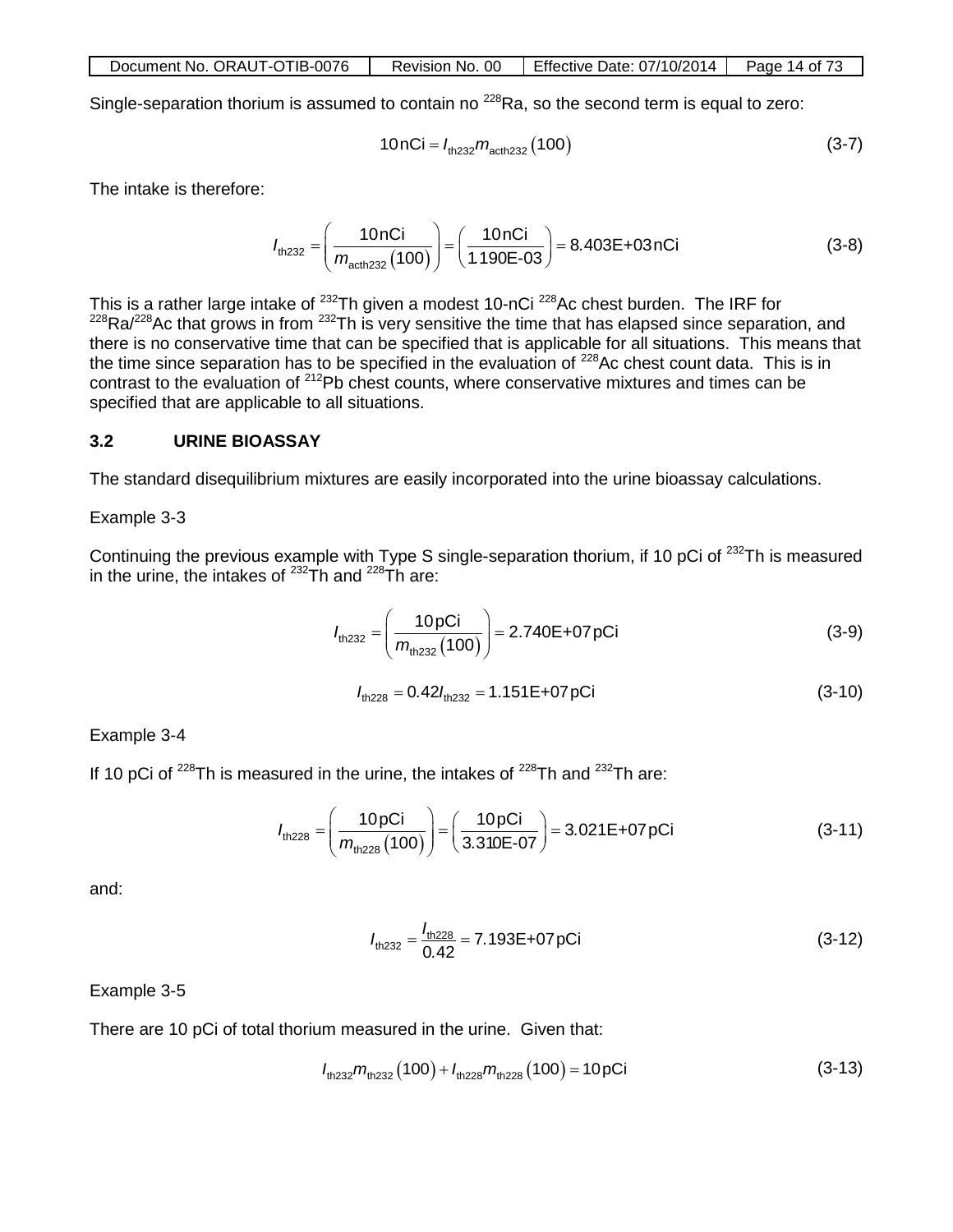| Document No. ORAUT-OTIB-0076 | Revision No. 00 | <b>Effective Date: 07/10/2014</b> | Page 14 of 73 |
|------------------------------|-----------------|-----------------------------------|---------------|
|                              |                 |                                   |               |

Single-separation thorium is assumed to contain no <sup>228</sup>Ra, so the second term is equal to zero:

$$
10nCi = I_{\text{th232}}m_{\text{acth232}}(100) \tag{3-7}
$$

The intake is therefore:

$$
I_{\text{th232}} = \left(\frac{10 \text{ nCi}}{m_{\text{acth232}}(100)}\right) = \left(\frac{10 \text{ nCi}}{1.190\text{E} \cdot 03}\right) = 8.403\text{E} + 03 \text{ nCi}
$$
 (3-8)

This is a rather large intake of  $^{232}$ Th given a modest 10-nCi  $^{228}$ Ac chest burden. The IRF for  $^{228}$ Ra/ $^{228}$ Ac that grows in from  $^{232}$ Th is very sensitive the time that has elapsed since separation, and there is no conservative time that can be specified that is applicable for all situations. This means that the time since separation has to be specified in the evaluation of <sup>228</sup>Ac chest count data. This is in contrast to the evaluation of 212Pb chest counts, where conservative mixtures and times can be specified that are applicable to all situations.

#### **3.2 URINE BIOASSAY**

The standard disequilibrium mixtures are easily incorporated into the urine bioassay calculations.

#### Example 3-3

Continuing the previous example with Type S single-separation thorium, if 10 pCi of <sup>232</sup>Th is measured in the urine, the intakes of  $232$ Th and  $228$ Th are:

$$
I_{\text{th232}} = \left(\frac{10 \,\text{pCi}}{m_{\text{th232}}(100)}\right) = 2.740\,\text{E} + 07 \,\text{pCi} \tag{3-9}
$$

$$
l_{\text{th228}} = 0.42 l_{\text{th232}} = 1.151 \text{E} + 07 \text{pCi}
$$
 (3-10)

Example 3-4

If 10 pCi of  $^{228}$ Th is measured in the urine, the intakes of  $^{228}$ Th and  $^{232}$ Th are:

$$
I_{\text{th228}} = \left(\frac{10 \,\text{pCi}}{m_{\text{th228}}(100)}\right) = \left(\frac{10 \,\text{pCi}}{3.310\text{E} \cdot 07}\right) = 3.021\text{E} + 07 \,\text{pCi}
$$
 (3-11)

and:

$$
I_{\text{th232}} = \frac{I_{\text{th228}}}{0.42} = 7.193\text{E} + 07 \text{pCi}
$$
 (3-12)

#### Example 3-5

There are 10 pCi of total thorium measured in the urine. Given that:

$$
l_{\text{th232}}m_{\text{th232}}(100) + l_{\text{th228}}m_{\text{th228}}(100) = 10 \,\text{pCi} \tag{3-13}
$$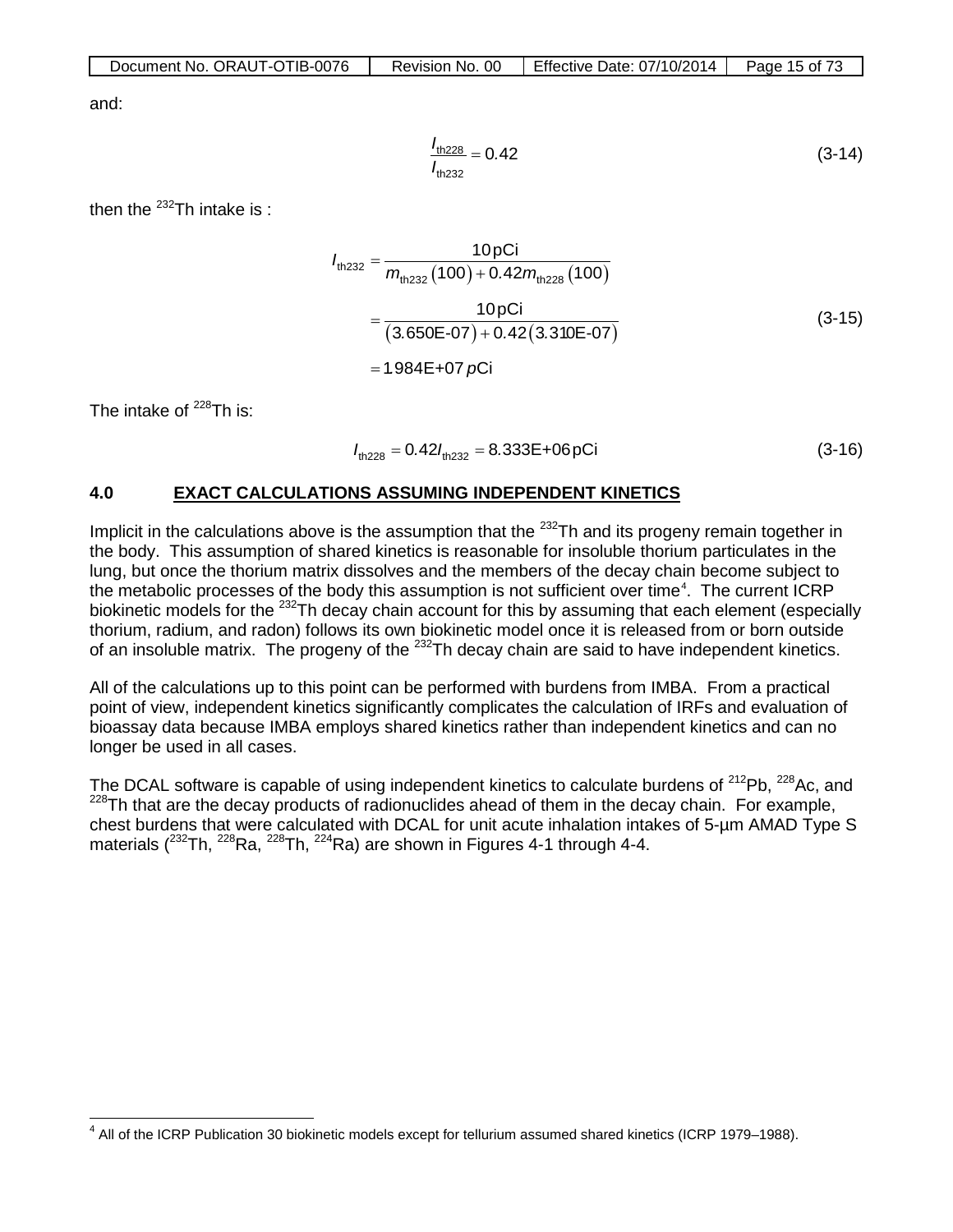| Document No. ORAUT-OTIB-0076 | Revision No. 00 | Effective Date: $07/10/2014$   Page 15 of 73 |  |
|------------------------------|-----------------|----------------------------------------------|--|
|------------------------------|-----------------|----------------------------------------------|--|

and:

$$
\frac{I_{\text{th228}}}{I_{\text{th232}}} = 0.42\tag{3-14}
$$

then the  $^{232}$ Th intake is:

$$
I_{\text{th,232}} = \frac{10 \text{ pCi}}{m_{\text{th,232}} (100) + 0.42 m_{\text{th,228}} (100)}
$$
  
= 
$$
\frac{10 \text{ pCi}}{(3.650E - 07) + 0.42 (3.310E - 07)}
$$
  
= 1.984E + 07 pCi (3-15)

The intake of  $^{228}$ Th is:

$$
I_{\text{th228}} = 0.42 I_{\text{th232}} = 8.333E + 06pCi \tag{3-16}
$$

## **4.0 EXACT CALCULATIONS ASSUMING INDEPENDENT KINETICS**

Implicit in the calculations above is the assumption that the <sup>232</sup>Th and its progeny remain together in the body. This assumption of shared kinetics is reasonable for insoluble thorium particulates in the lung, but once the thorium matrix dissolves and the members of the decay chain become subject to the metabolic processes of the body this assumption is not sufficient over time<sup>[4](#page-14-0)</sup>. The current ICRP biokinetic models for the <sup>232</sup>Th decay chain account for this by assuming that each element (especially thorium, radium, and radon) follows its own biokinetic model once it is released from or born outside of an insoluble matrix. The progeny of the  $^{232}$ Th decay chain are said to have independent kinetics.

All of the calculations up to this point can be performed with burdens from IMBA. From a practical point of view, independent kinetics significantly complicates the calculation of IRFs and evaluation of bioassay data because IMBA employs shared kinetics rather than independent kinetics and can no longer be used in all cases.

The DCAL software is capable of using independent kinetics to calculate burdens of  $212$ Pb,  $228$ Ac, and  $228$ Th that are the decay products of radionuclides ahead of them in the decay chain. For example, chest burdens that were calculated with DCAL for unit acute inhalation intakes of 5-µm AMAD Type S materials ( $^{232}$ Th,  $^{228}$ Ra,  $^{228}$ Th,  $^{224}$ Ra) are shown in Figures 4-1 through 4-4.

<span id="page-14-0"></span><sup>&</sup>lt;sup>4</sup> All of the ICRP Publication 30 biokinetic models except for tellurium assumed shared kinetics (ICRP 1979–1988).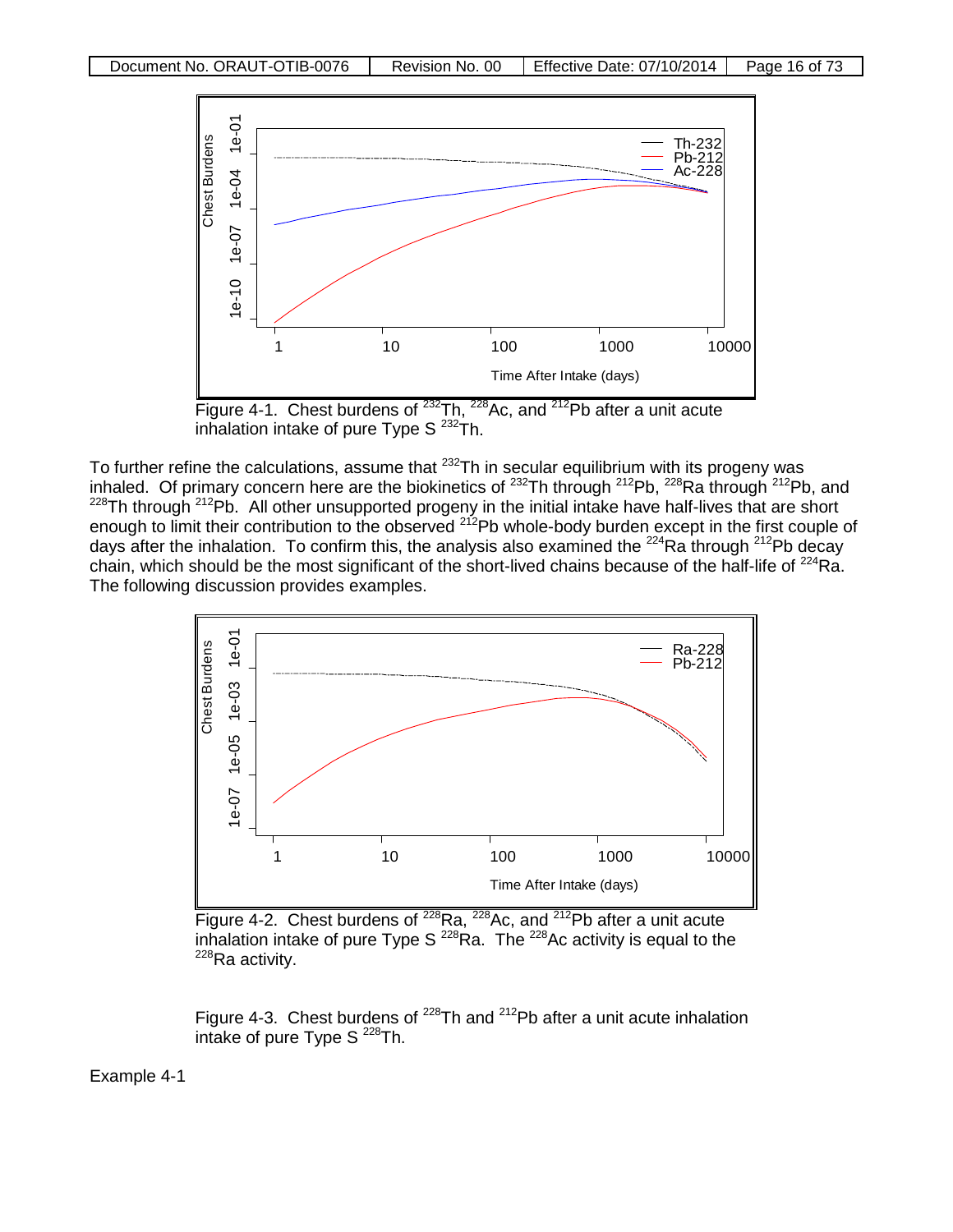

inhalation intake of pure Type  $S^{232}$ Th.

To further refine the calculations, assume that  $232$ Th in secular equilibrium with its progeny was inhaled. Of primary concern here are the biokinetics of <sup>232</sup>Th through <sup>212</sup>Pb, <sup>228</sup>Ra through <sup>212</sup>Pb, and <sup>228</sup>Th through <sup>212</sup>Pb. All other unsupported progeny in the initial intake have half-lives that are short enough to limit their contribution to the observed <sup>212</sup>Pb whole-body burden except in the first couple of days after the inhalation. To confirm this, the analysis also examined the <sup>224</sup>Ra through <sup>212</sup>Pb decay chain, which should be the most significant of the short-lived chains because of the half-life of  $^{224}$ Ra. The following discussion provides examples.



Figure 4-2. Chest burdens of  $228$ Ra,  $228$ Ac, and  $212$ Pb after a unit acute inhalation intake of pure Type S<sup>228</sup>Ra. The <sup>228</sup>Ac activity is equal to the <sup>228</sup>Ra activity.

Figure 4-3. Chest burdens of  $^{228}$ Th and  $^{212}$ Pb after a unit acute inhalation intake of pure Type  $S^{228}$ Th.

Example 4-1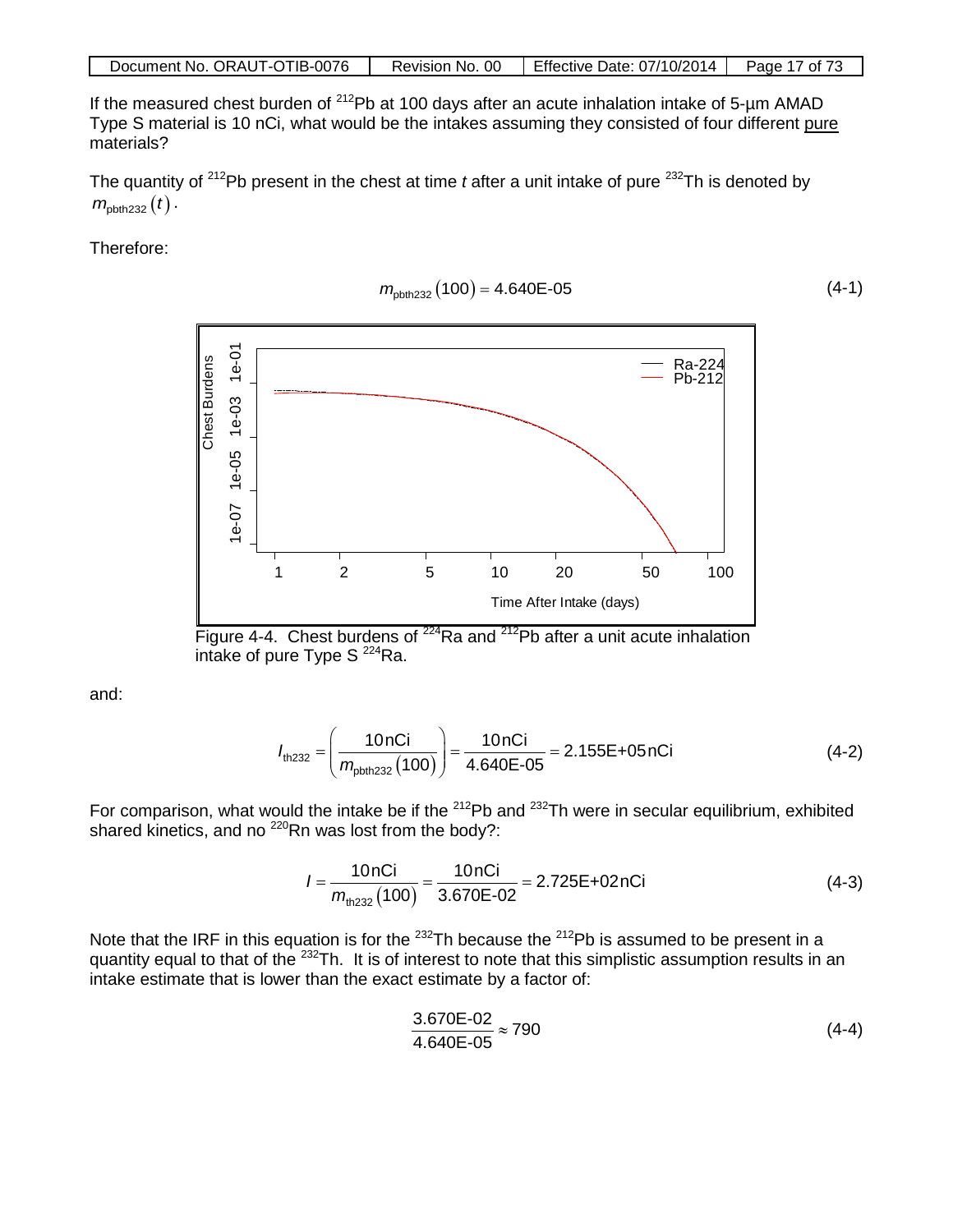If the measured chest burden of  $^{212}Pb$  at 100 days after an acute inhalation intake of 5-µm AMAD Type S material is 10 nCi, what would be the intakes assuming they consisted of four different pure materials?

The quantity of <sup>212</sup>Pb present in the chest at time *t* after a unit intake of pure <sup>232</sup>Th is denoted by  $m_{\text{obth232}} ( t )$ .

Therefore:

$$
m_{\text{pbth232}}(100) = 4.640\text{E-05} \tag{4-1}
$$



Figure 4-4. Chest burdens of  $224$ Ra and  $212$ Pb after a unit acute inhalation intake of pure Type  $S^{224}$ Ra.

and:

$$
I_{\text{th232}} = \left(\frac{10 \text{ nCi}}{m_{\text{pbth232}}(100)}\right) = \frac{10 \text{ nCi}}{4.640\text{E} \cdot 0.05} = 2.155\text{E} + 0.05\text{ nCi}
$$
 (4-2)

For comparison, what would the intake be if the <sup>212</sup>Pb and <sup>232</sup>Th were in secular equilibrium, exhibited shared kinetics, and no <sup>220</sup>Rn was lost from the body?:

$$
I = \frac{10nCi}{m_{\text{th}232}(100)} = \frac{10nCi}{3.670E-02} = 2.725E+02nCi
$$
 (4-3)

Note that the IRF in this equation is for the  $^{232}$ Th because the  $^{212}$ Pb is assumed to be present in a quantity equal to that of the <sup>232</sup>Th. It is of interest to note that this simplistic assumption results in an intake estimate that is lower than the exact estimate by a factor of:

$$
\frac{3.670E - 02}{4.640E - 05} \approx 790\tag{4-4}
$$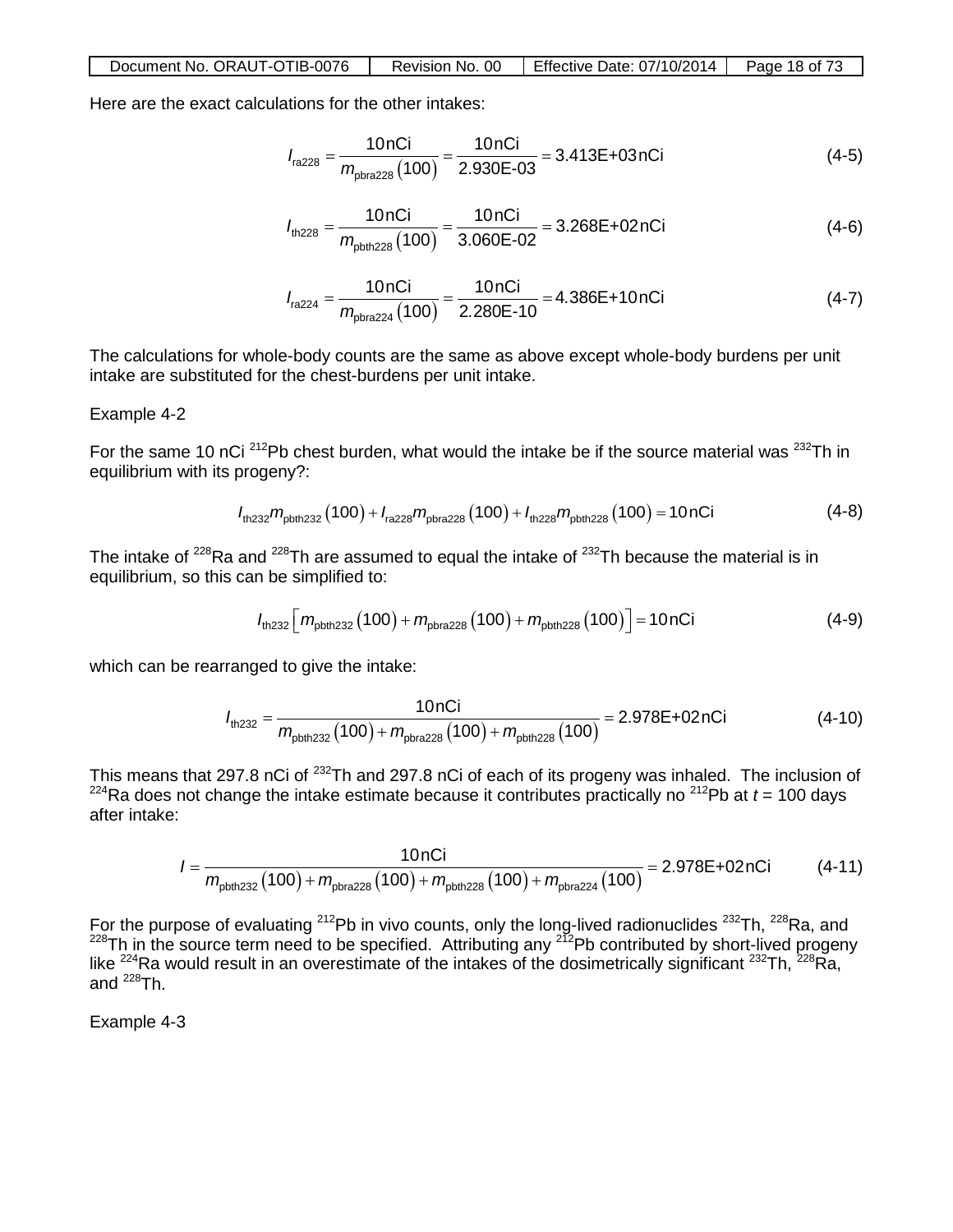| Document No. ORAUT-OTIB-0076 |  | Revision No. 00 Fffective Date: $07/10/2014$ Page 18 of 73 |  |
|------------------------------|--|------------------------------------------------------------|--|
|------------------------------|--|------------------------------------------------------------|--|

Here are the exact calculations for the other intakes:

$$
I_{\text{ra228}} = \frac{10 \text{ nCi}}{m_{\text{phra228}}(100)} = \frac{10 \text{ nCi}}{2.930 \text{E} \cdot 0.03} = 3.413 \text{E} + 0.3 \text{ nCi}
$$
(4-5)

$$
I_{\text{th228}} = \frac{10 \text{ nCi}}{m_{\text{pbth228}}(100)} = \frac{10 \text{ nCi}}{3.060 \text{E} \cdot 0.02} = 3.268 \text{E} + 0.2 \text{ nCi}
$$
(4-6)

$$
I_{\text{ra224}} = \frac{10 \text{ nCi}}{m_{\text{pbra224}}(100)} = \frac{10 \text{ nCi}}{2.280 \text{E} \cdot 10} = 4.386 \text{E} + 10 \text{ nCi}
$$
(4-7)

The calculations for whole-body counts are the same as above except whole-body burdens per unit intake are substituted for the chest-burdens per unit intake.

#### Example 4-2

For the same 10 nCi  $^{212}$ Pb chest burden, what would the intake be if the source material was  $^{232}$ Th in equilibrium with its progeny?:

$$
I_{\text{th232}}m_{\text{pbth232}}(100) + I_{\text{ra228}}m_{\text{pbra228}}(100) + I_{\text{th228}}m_{\text{pbth228}}(100) = 10 \text{nCi}
$$
 (4-8)

The intake of  $228$ Ra and  $228$ Th are assumed to equal the intake of  $232$ Th because the material is in equilibrium, so this can be simplified to:

$$
I_{\text{th232}}\left[m_{\text{pbth232}}(100) + m_{\text{pbta228}}(100) + m_{\text{pbth228}}(100)\right] = 10 \text{nCi} \tag{4-9}
$$

which can be rearranged to give the intake:

$$
I_{\text{th,232}} = \frac{10 \text{ nCi}}{m_{\text{pbth,232}}(100) + m_{\text{pbta,228}}(100) + m_{\text{pbth,228}}(100)} = 2.978 \text{E} + 02 \text{ nCi} \tag{4-10}
$$

This means that 297.8 nCi of <sup>232</sup>Th and 297.8 nCi of each of its progeny was inhaled. The inclusion of  $224$ Ra does not change the intake estimate because it contributes practically no  $212$ Pb at  $t = 100$  days after intake:

$$
I = \frac{10nCi}{m_{\text{pbth232}}(100) + m_{\text{pbra228}}(100) + m_{\text{pbth228}}(100) + m_{\text{pbra224}}(100)} = 2.978E + 02nCi \tag{4-11}
$$

For the purpose of evaluating <sup>212</sup>Pb in vivo counts, only the long-lived radionuclides <sup>232</sup>Th, <sup>228</sup>Ra, and <sup>228</sup>Th in the source term need to be specified. Attributing any <sup>212</sup>Pb contributed by short-lived progeny like <sup>224</sup>Ra would result in an overestimate of the intakes of the dosimetrically significant <sup>232</sup>Th, <sup>228</sup>Ra, and  $^{228}$ Th.

Example 4-3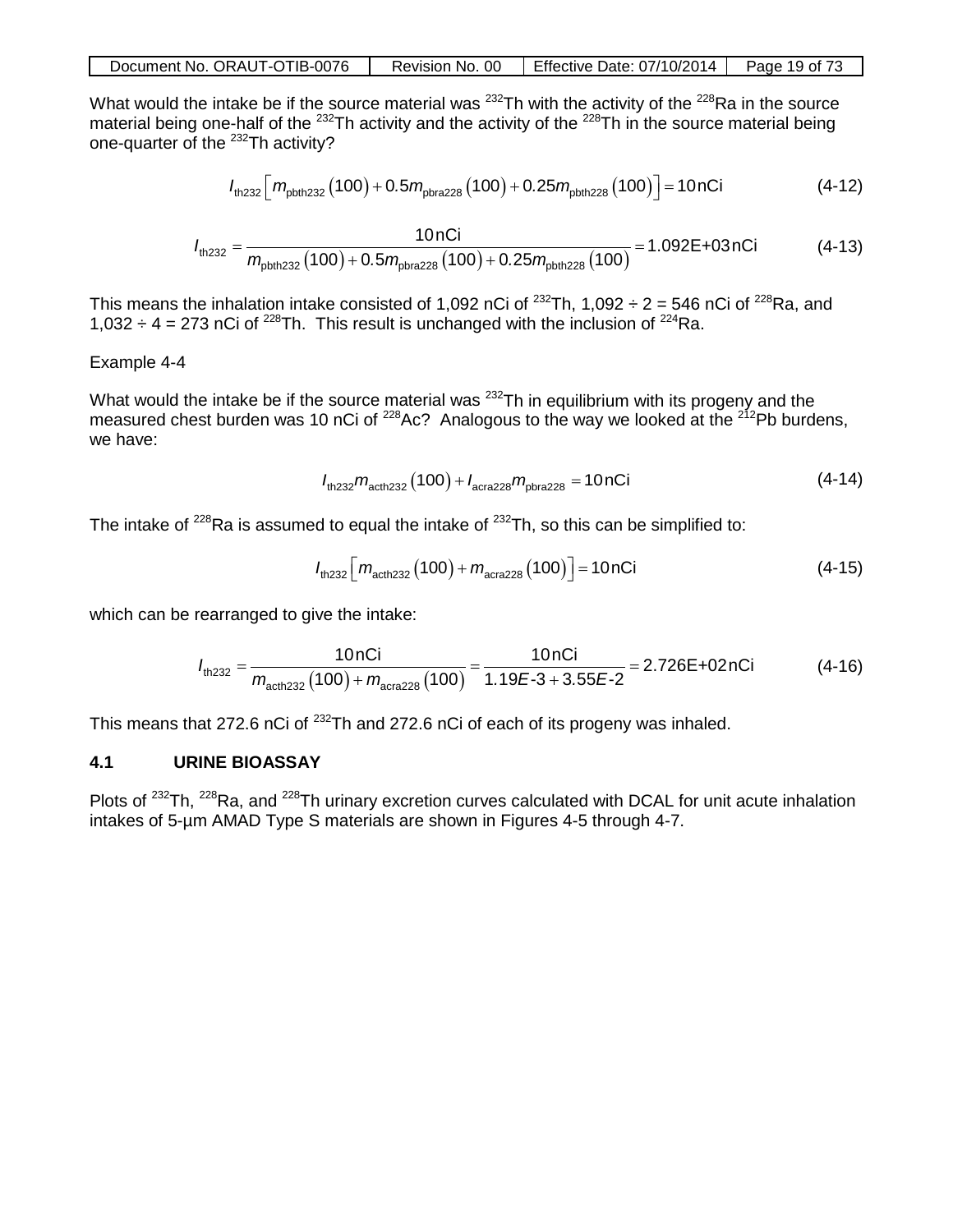| Document No. ORAUT-OTIB-0076 |  | Revision No. 00   Effective Date: $07/10/2014$   Page 19 of 73 |  |
|------------------------------|--|----------------------------------------------------------------|--|
|------------------------------|--|----------------------------------------------------------------|--|

What would the intake be if the source material was  $^{232}$ Th with the activity of the  $^{228}$ Ra in the source material being one-half of the <sup>232</sup>Th activity and the activity of the <sup>228</sup>Th in the source material being one-quarter of the 232Th activity?

$$
I_{\text{th232}}\left[m_{\text{pbth232}}(100) + 0.5m_{\text{pbra228}}(100) + 0.25m_{\text{pbth228}}(100)\right] = 10 \text{nCi} \tag{4-12}
$$

$$
I_{\text{th232}} = \frac{10 \text{ nCi}}{m_{\text{pbth232}}(100) + 0.5 m_{\text{pbra228}}(100) + 0.25 m_{\text{pbth228}}(100)} = 1.092 \text{E} + 03 \text{ nCi}
$$
 (4-13)

This means the inhalation intake consisted of 1,092 nCi of <sup>232</sup>Th, 1,092 ÷ 2 = 546 nCi of <sup>228</sup>Ra, and 1,032  $\div$  4 = 273 nCi of <sup>228</sup>Th. This result is unchanged with the inclusion of <sup>224</sup>Ra.

#### Example 4-4

What would the intake be if the source material was <sup>232</sup>Th in equilibrium with its progeny and the measured chest burden was 10 nCi of <sup>228</sup>Ac? Analogous to the way we looked at the <sup>212</sup>Pb burdens, we have:

$$
I_{\text{th232}}m_{\text{acth232}}(100) + I_{\text{acra228}}m_{\text{pbra228}} = 10 \text{nCi}
$$
 (4-14)

The intake of  $228$ Ra is assumed to equal the intake of  $232$ Th, so this can be simplified to:

$$
I_{\text{th232}}\left[m_{\text{acth232}}(100) + m_{\text{acra228}}(100)\right] = 10 \text{nCi} \tag{4-15}
$$

which can be rearranged to give the intake:

$$
I_{\text{th232}} = \frac{10 \text{ nCi}}{m_{\text{acth232}}(100) + m_{\text{acra228}}(100)} = \frac{10 \text{ nCi}}{1.19E - 3 + 3.55E - 2} = 2.726E + 02 \text{ nCi}
$$
(4-16)

This means that 272.6 nCi of <sup>232</sup>Th and 272.6 nCi of each of its progeny was inhaled.

### **4.1 URINE BIOASSAY**

Plots of <sup>232</sup>Th, <sup>228</sup>Ra, and <sup>228</sup>Th urinary excretion curves calculated with DCAL for unit acute inhalation intakes of 5-µm AMAD Type S materials are shown in Figures 4-5 through 4-7.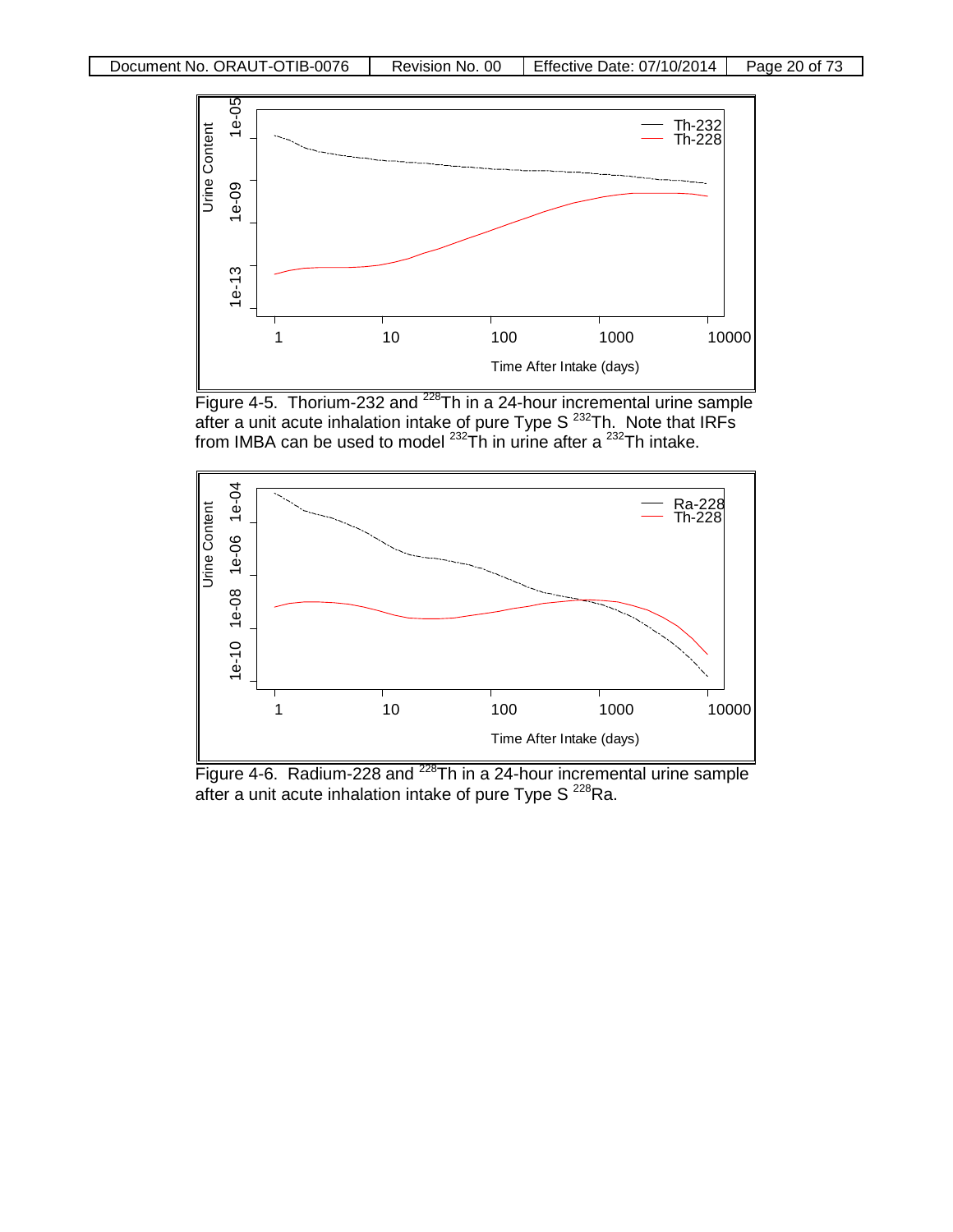

Figure 4-5. Thorium-232 and  $228$ Th in a 24-hour incremental urine sample after a unit acute inhalation intake of pure Type S  $^{232}$ Th. Note that IRFs from IMBA can be used to model  $^{232}$ Th in urine after a  $^{232}$ Th intake.



Figure 4-6. Radium-228 and  $2^{28}$ Th in a 24-hour incremental urine sample after a unit acute inhalation intake of pure Type S  $^{228}$ Ra.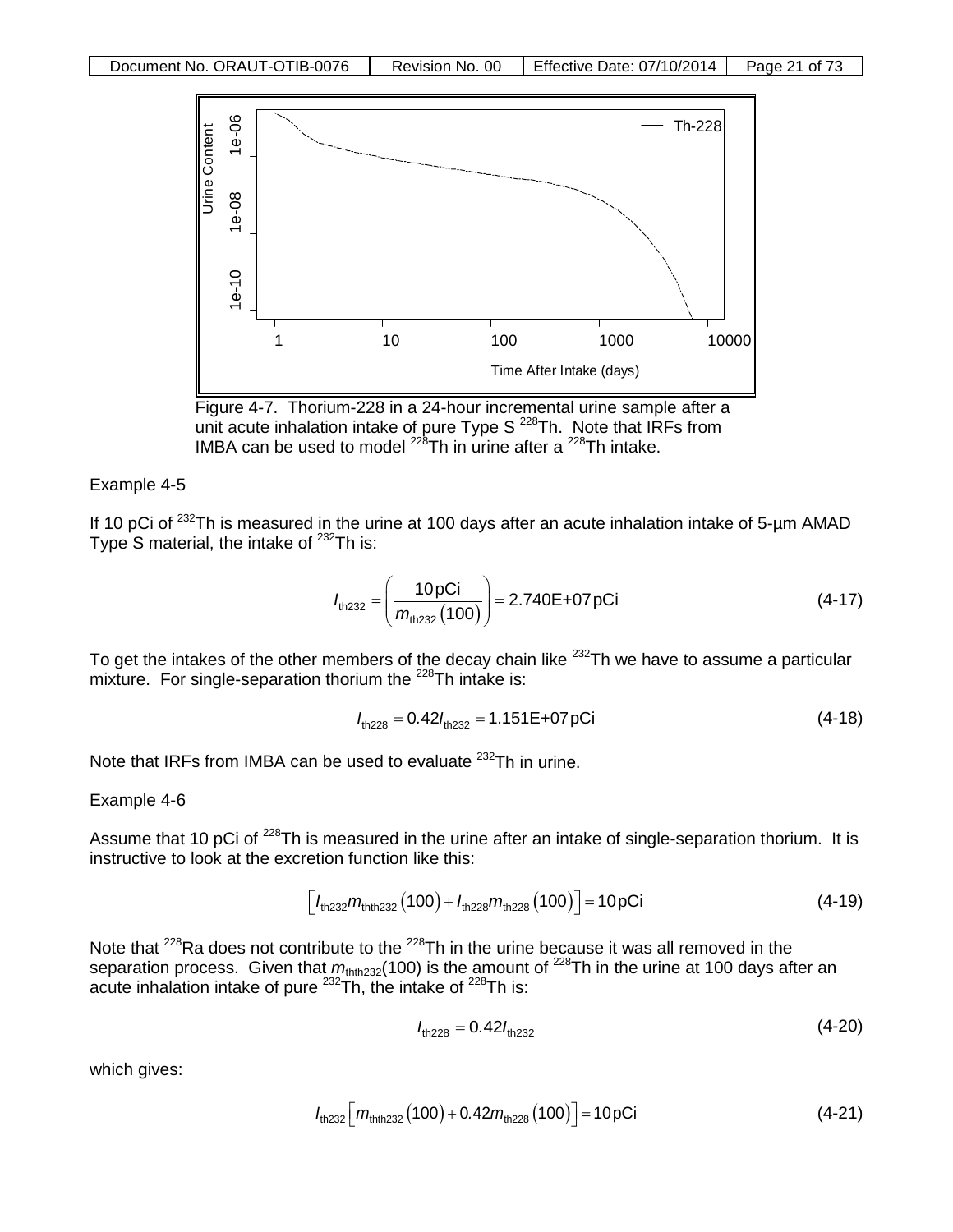

Figure 4-7. Thorium-228 in a 24-hour incremental urine sample after a unit acute inhalation intake of pure Type S<sup>228</sup>Th. Note that IRFs from IMBA can be used to model  $^{228}$ Th in urine after a  $^{228}$ Th intake.

#### Example 4-5

If 10 pCi of  $^{232}$ Th is measured in the urine at 100 days after an acute inhalation intake of 5-µm AMAD Type S material, the intake of <sup>232</sup>Th is:

$$
I_{\text{th232}} = \left(\frac{10 \,\text{pC}}{m_{\text{th232}}(100)}\right) = 2.740\,\text{E} + 07 \,\text{pCi}
$$
 (4-17)

To get the intakes of the other members of the decay chain like  $^{232}$ Th we have to assume a particular mixture. For single-separation thorium the <sup>228</sup>Th intake is:

$$
I_{\text{th,228}} = 0.42 I_{\text{th,232}} = 1.151 \text{E} + 07 \text{pCi}
$$
 (4-18)

Note that IRFs from IMBA can be used to evaluate <sup>232</sup>Th in urine.

#### Example 4-6

Assume that 10 pCi of <sup>228</sup>Th is measured in the urine after an intake of single-separation thorium. It is instructive to look at the excretion function like this:

$$
\left[ I_{\text{th232}} m_{\text{thth232}} (100) + I_{\text{th228}} m_{\text{th228}} (100) \right] = 10 \,\text{pCi} \tag{4-19}
$$

Note that <sup>228</sup>Ra does not contribute to the <sup>228</sup>Th in the urine because it was all removed in the separation process. Given that  $m_{\text{thth232}}(100)$  is the amount of <sup>228</sup>Th in the urine at 100 days after an acute inhalation intake of pure <sup>232</sup>Th, the intake of <sup>228</sup>Th is:

$$
l_{\text{th228}} = 0.42 l_{\text{th232}} \tag{4-20}
$$

which gives:

$$
I_{\text{th232}}\left[m_{\text{thth232}}(100) + 0.42m_{\text{th228}}(100)\right] = 10 \,\text{pCi} \tag{4-21}
$$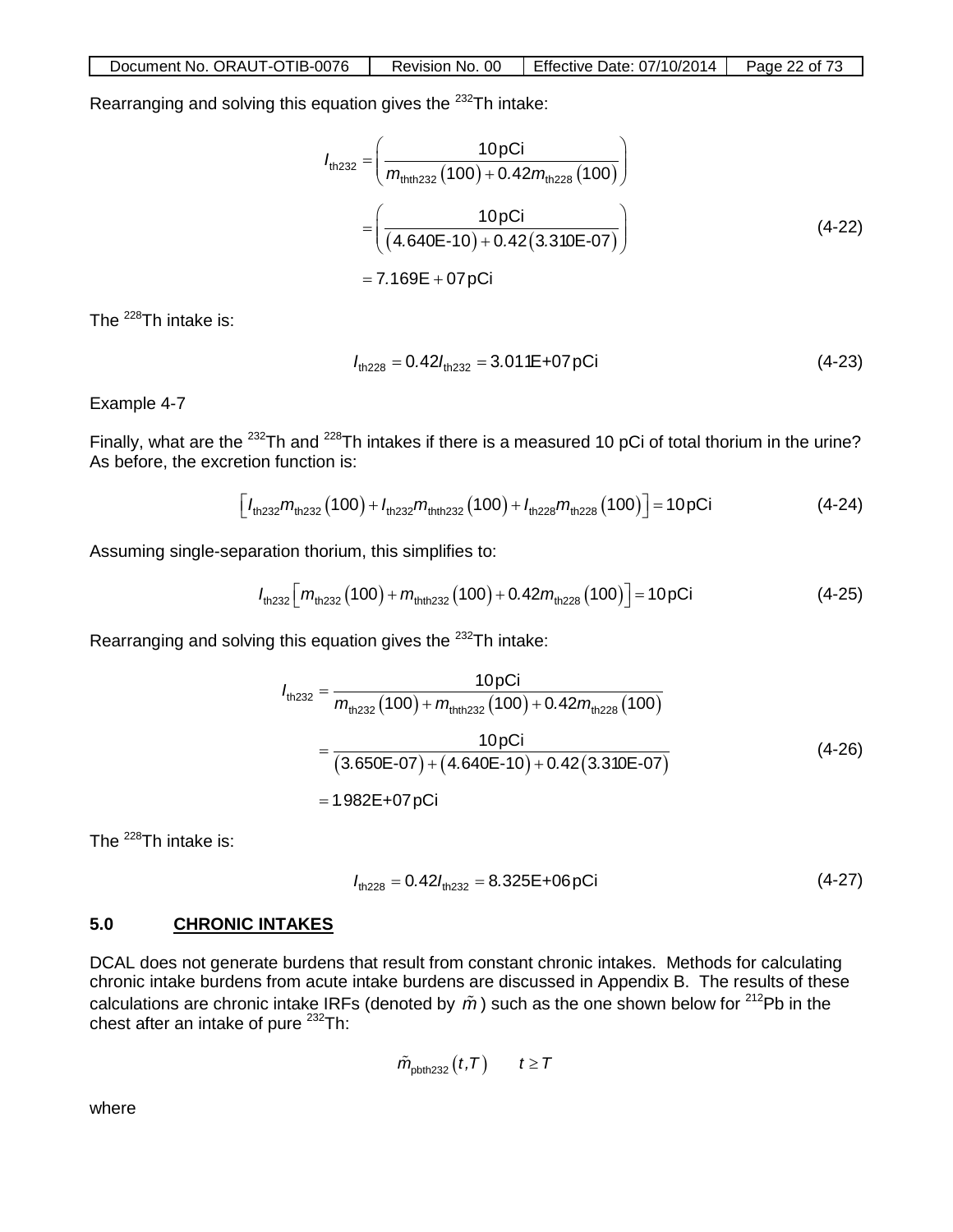Rearranging and solving this equation gives the 232Th intake:

$$
I_{\text{th232}} = \left(\frac{10 \text{pCi}}{m_{\text{th1232}}(100) + 0.42 m_{\text{th228}}(100)}\right)
$$
  
= 
$$
\left(\frac{10 \text{pCi}}{(4.640\text{E} \cdot 10) + 0.42(3.310\text{E} \cdot 07)}\right)
$$
  
= 7.169E + 07 pCi (4-22)

The  $^{228}$ Th intake is:

$$
l_{\text{th228}} = 0.42 l_{\text{th232}} = 3.011E + 07pCi \tag{4-23}
$$

Example 4-7

Finally, what are the <sup>232</sup>Th and <sup>228</sup>Th intakes if there is a measured 10 pCi of total thorium in the urine? As before, the excretion function is:

$$
\left[I_{\text{th232}}m_{\text{th232}}(100) + I_{\text{th232}}m_{\text{th1232}}(100) + I_{\text{th228}}m_{\text{th228}}(100)\right] = 10 \,\text{pCi} \tag{4-24}
$$

Assuming single-separation thorium, this simplifies to:

$$
I_{\text{th,232}}\left[m_{\text{th,232}}(100) + m_{\text{th,th,232}}(100) + 0.42m_{\text{th,228}}(100)\right] = 10 \,\text{pCi} \tag{4-25}
$$

Rearranging and solving this equation gives the <sup>232</sup>Th intake:

$$
I_{\text{th232}} = \frac{10 \text{pCi}}{m_{\text{th232}}(100) + m_{\text{th1232}}(100) + 0.42 m_{\text{th228}}(100)}
$$
  
= 
$$
\frac{10 \text{pCi}}{(3.650 \text{E} \cdot 07) + (4.640 \text{E} \cdot 10) + 0.42(3.310 \text{E} \cdot 07)}
$$
 (4-26)  
= 1.982 \text{E} + 07 \text{pCi}

The  $^{228}$ Th intake is:

$$
I_{\text{th228}} = 0.42 I_{\text{th232}} = 8.325E + 06pCi \tag{4-27}
$$

## **5.0 CHRONIC INTAKES**

DCAL does not generate burdens that result from constant chronic intakes. Methods for calculating chronic intake burdens from acute intake burdens are discussed in Appendix B. The results of these calculations are chronic intake IRFs (denoted by  $\tilde{m}$ ) such as the one shown below for <sup>212</sup>Pb in the chest after an intake of pure <sup>232</sup>Th:

$$
\tilde{m}_{\text{pbth232}}(t,T) \qquad t \geq T
$$

where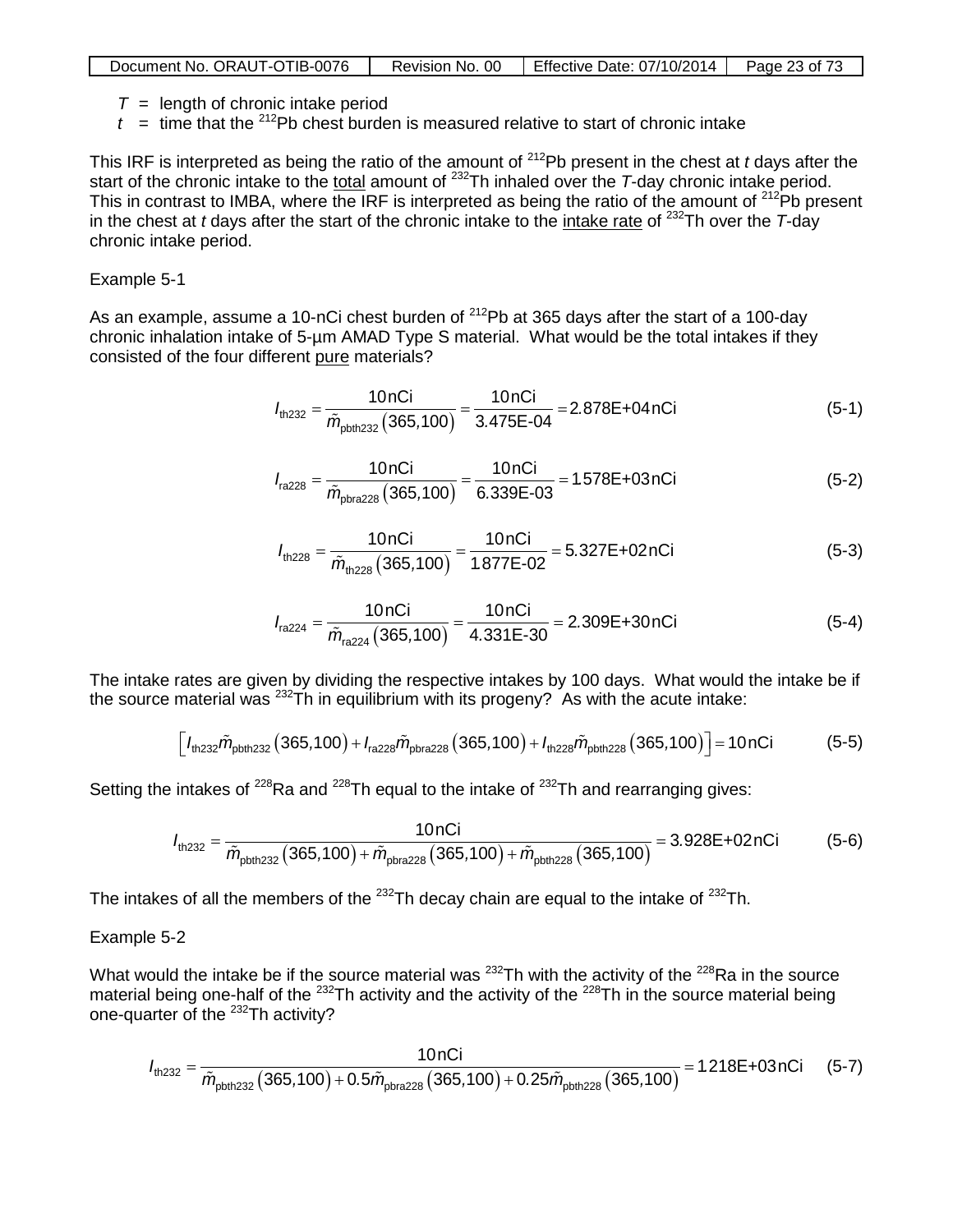| Document No. ORAUT-OTIB-0076 | Revision No. 00 | Effective Date: 07/10/2014 | Page 23 of 73 |
|------------------------------|-----------------|----------------------------|---------------|

- $T =$  length of chronic intake period
- $t =$  time that the <sup>212</sup>Pb chest burden is measured relative to start of chronic intake

This IRF is interpreted as being the ratio of the amount of 212Pb present in the chest at *t* days after the start of the chronic intake to the total amount of <sup>232</sup>Th inhaled over the *T*-day chronic intake period. This in contrast to IMBA, where the IRF is interpreted as being the ratio of the amount of  $^{212}Pb$  present in the chest at *t* days after the start of the chronic intake to the intake rate of 232Th over the *T*-day chronic intake period.

#### Example 5-1

As an example, assume a 10-nCi chest burden of <sup>212</sup>Pb at 365 days after the start of a 100-day chronic inhalation intake of 5-µm AMAD Type S material. What would be the total intakes if they consisted of the four different pure materials?

$$
I_{\text{th232}} = \frac{10 \text{ nCi}}{\tilde{m}_{\text{pbth232}}(365,100)} = \frac{10 \text{ nCi}}{3.475\text{E} \cdot 04} = 2.878\text{E} + 04 \text{ nCi}
$$
 (5-1)

$$
I_{\text{ra228}} = \frac{10 \text{ nCi}}{\tilde{m}_{\text{phra228}}(365,100)} = \frac{10 \text{ nCi}}{6.339 \text{E} \cdot 03} = 1.578 \text{E} + 03 \text{ nCi}
$$
 (5-2)

$$
I_{\text{th228}} = \frac{10 \text{ nCi}}{\tilde{m}_{\text{th228}}(365,100)} = \frac{10 \text{ nCi}}{1.877 \text{E} \cdot 0.02} = 5.327 \text{E} + 0.2 \text{ nCi}
$$
(5-3)

$$
I_{\text{ra224}} = \frac{10 \text{ nCi}}{\tilde{m}_{\text{ra224}} (365,100)} = \frac{10 \text{ nCi}}{4.331 \text{E} \cdot 30} = 2.309 \text{E} + 30 \text{ nCi}
$$
(5-4)

The intake rates are given by dividing the respective intakes by 100 days. What would the intake be if the source material was  $^{232}$ Th in equilibrium with its progeny? As with the acute intake:

$$
\[l_{\text{th232}}\tilde{m}_{\text{pbth232}}(365,100) + l_{\text{ra228}}\tilde{m}_{\text{pbra228}}(365,100) + l_{\text{th228}}\tilde{m}_{\text{pbth228}}(365,100)\] = 10 \text{nCi} \tag{5-5}
$$

Setting the intakes of  $^{228}$ Ra and  $^{228}$ Th equal to the intake of  $^{232}$ Th and rearranging gives:

$$
I_{\text{th232}} = \frac{10 \text{nCi}}{\tilde{m}_{\text{pbth232}} \left( 365,100 \right) + \tilde{m}_{\text{pbra228}} \left( 365,100 \right) + \tilde{m}_{\text{pbth228}} \left( 365,100 \right)} = 3.928 \text{E} + 02 \text{nCi}
$$
 (5-6)

The intakes of all the members of the  $^{232}$ Th decay chain are equal to the intake of  $^{232}$ Th.

#### Example 5-2

What would the intake be if the source material was  $^{232}$ Th with the activity of the  $^{228}$ Ra in the source material being one-half of the <sup>232</sup>Th activity and the activity of the <sup>228</sup>Th in the source material being one-quarter of the 232Th activity?

$$
I_{\text{th232}} = \frac{10 \text{nCi}}{\tilde{m}_{\text{pbth232}}(365,100) + 0.5 \tilde{m}_{\text{pbra228}}(365,100) + 0.25 \tilde{m}_{\text{pbth228}}(365,100)} = 1.218E + 03 \text{nCi} \tag{5-7}
$$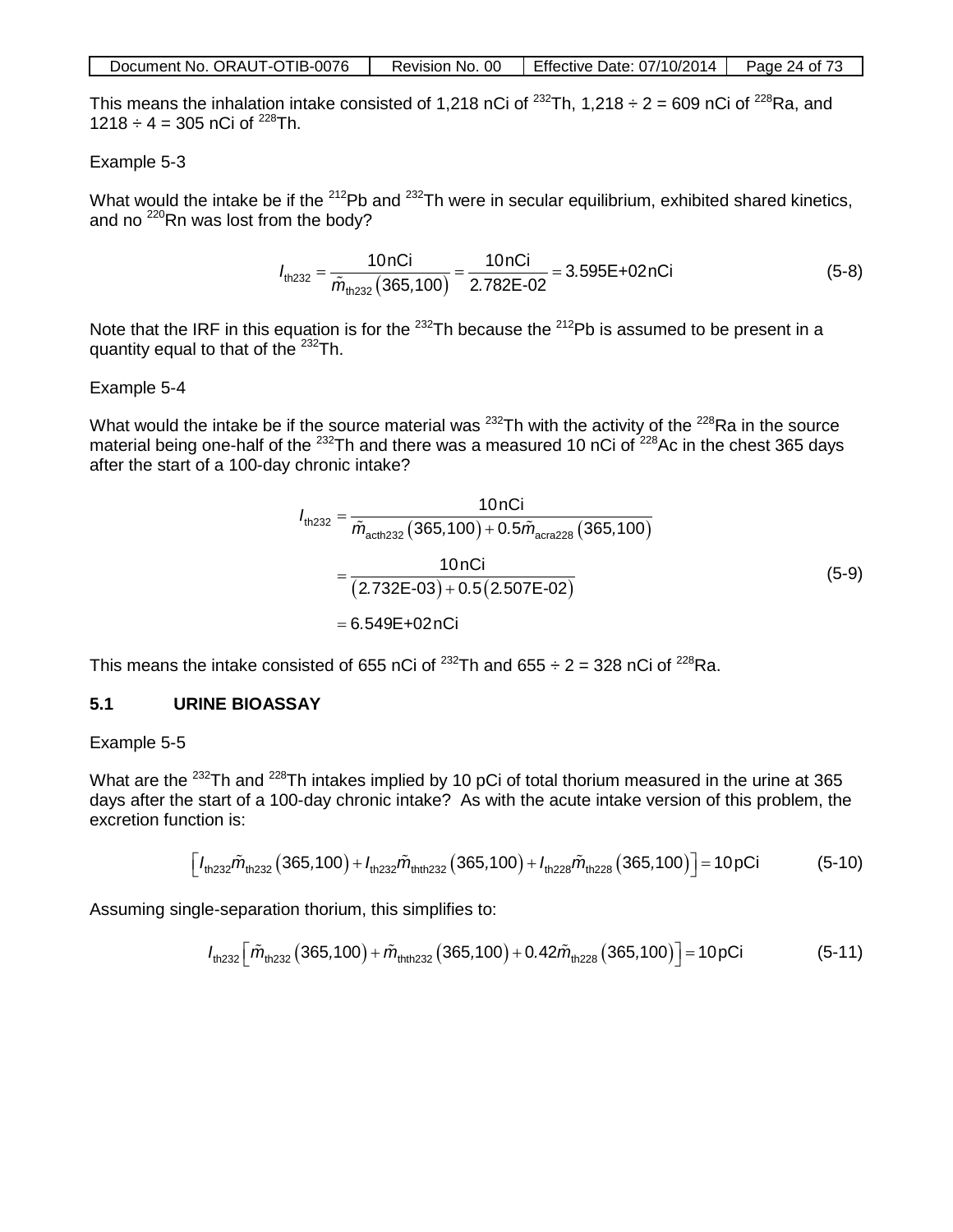| Document No. ORAUT-OTIB-0076 | Revision No. 00 | Effective Date: 07/10/2014 | Page 24 of 73 |
|------------------------------|-----------------|----------------------------|---------------|
|------------------------------|-----------------|----------------------------|---------------|

This means the inhalation intake consisted of 1,218 nCi of  $^{232}$ Th, 1,218 ÷ 2 = 609 nCi of  $^{228}$ Ra, and  $1218 \div 4 = 305$  nCi of <sup>228</sup>Th.

#### Example 5-3

What would the intake be if the <sup>212</sup>Pb and <sup>232</sup>Th were in secular equilibrium, exhibited shared kinetics, and no  $^{220}$ Rn was lost from the body?

$$
I_{\text{th,232}} = \frac{10 \text{ nCi}}{\tilde{m}_{\text{th,232}}(365,100)} = \frac{10 \text{ nCi}}{2.782 \text{E} - 02} = 3.595 \text{E} + 02 \text{ nCi}
$$
(5-8)

Note that the IRF in this equation is for the  $^{232}$ Th because the  $^{212}$ Pb is assumed to be present in a quantity equal to that of the <sup>232</sup>Th.

#### Example 5-4

What would the intake be if the source material was <sup>232</sup>Th with the activity of the <sup>228</sup>Ra in the source material being one-half of the  $^{232}$ Th and there was a measured 10 nCi of  $^{228}$ Ac in the chest 365 days after the start of a 100-day chronic intake?

$$
I_{\text{th232}} = \frac{10 \text{ nCi}}{\tilde{m}_{\text{acth232}} (365,100) + 0.5 \tilde{m}_{\text{acra228}} (365,100)}
$$
  
= 
$$
\frac{10 \text{ nCi}}{(2.732 \text{E} - 03) + 0.5 (2.507 \text{E} - 02)}
$$
  
= 6.549 \text{E} + 02 \text{ nCi} (5-9)

This means the intake consisted of 655 nCi of  $^{232}$ Th and 655  $\div$  2 = 328 nCi of  $^{228}$ Ra.

#### **5.1 URINE BIOASSAY**

#### Example 5-5

What are the <sup>232</sup>Th and <sup>228</sup>Th intakes implied by 10 pCi of total thorium measured in the urine at 365 days after the start of a 100-day chronic intake? As with the acute intake version of this problem, the excretion function is:

$$
\left[ I_{\text{th}232} \tilde{m}_{\text{th}232} \left( 365,100 \right) + I_{\text{th}232} \tilde{m}_{\text{th}232} \left( 365,100 \right) + I_{\text{th}228} \tilde{m}_{\text{th}228} \left( 365,100 \right) \right] = 10 \text{ pCi} \tag{5-10}
$$

Assuming single-separation thorium, this simplifies to:

$$
I_{\text{th232}}\left[\tilde{m}_{\text{th232}}(365,100) + \tilde{m}_{\text{th1232}}(365,100) + 0.42\tilde{m}_{\text{th228}}(365,100)\right] = 10 \,\text{pCi} \tag{5-11}
$$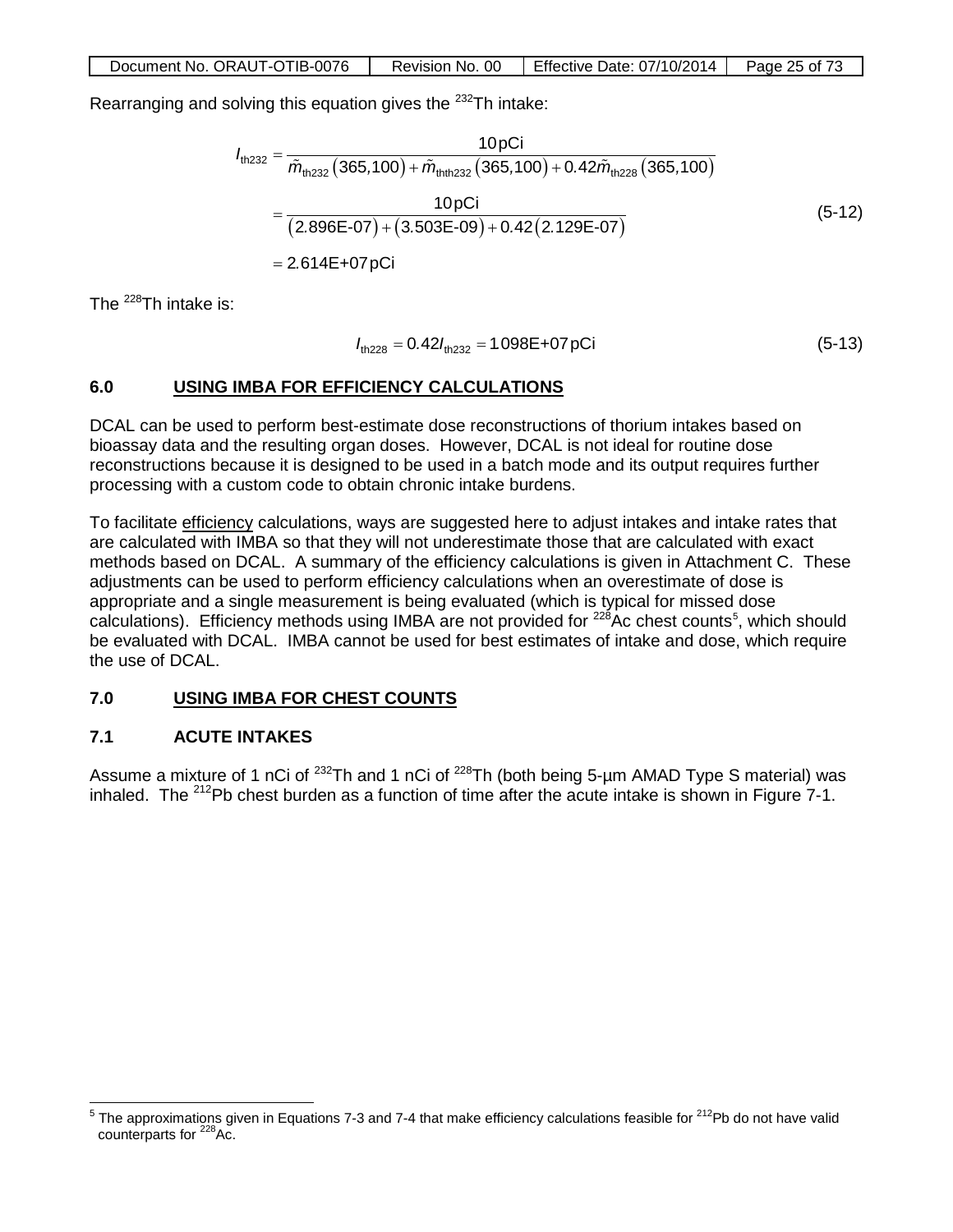Rearranging and solving this equation gives the  $^{232}$ Th intake:

$$
I_{\text{th,232}} = \frac{10 \,\text{pC}}{\tilde{m}_{\text{th,232}} \left( 365,100 \right) + \tilde{m}_{\text{th,th,232}} \left( 365,100 \right) + 0.42 \tilde{m}_{\text{th,228}} \left( 365,100 \right)}
$$
\n
$$
= \frac{10 \,\text{pC}}{\left( 2.896\text{E} - 07 \right) + \left( 3.503\text{E} - 09 \right) + 0.42 \left( 2.129\text{E} - 07 \right)}
$$
\n
$$
= 2.614\text{E} + 07 \,\text{pC}
$$
\n(5-12)

The  $^{228}$ Th intake is:

$$
I_{\text{th228}} = 0.42 I_{\text{th232}} = 1.098 \text{E} + 07 \text{pCi}
$$
 (5-13)

## **6.0 USING IMBA FOR EFFICIENCY CALCULATIONS**

DCAL can be used to perform best-estimate dose reconstructions of thorium intakes based on bioassay data and the resulting organ doses. However, DCAL is not ideal for routine dose reconstructions because it is designed to be used in a batch mode and its output requires further processing with a custom code to obtain chronic intake burdens.

To facilitate efficiency calculations, ways are suggested here to adjust intakes and intake rates that are calculated with IMBA so that they will not underestimate those that are calculated with exact methods based on DCAL. A summary of the efficiency calculations is given in Attachment C. These adjustments can be used to perform efficiency calculations when an overestimate of dose is appropriate and a single measurement is being evaluated (which is typical for missed dose calculations). Efficiency methods using IMBA are not provided for <sup>228</sup>Ac chest counts<sup>[5](#page-24-0)</sup>, which should be evaluated with DCAL. IMBA cannot be used for best estimates of intake and dose, which require the use of DCAL.

## **7.0 USING IMBA FOR CHEST COUNTS**

## **7.1 ACUTE INTAKES**

Assume a mixture of 1 nCi of <sup>232</sup>Th and 1 nCi of <sup>228</sup>Th (both being 5-um AMAD Type S material) was inhaled. The  $212$ Pb chest burden as a function of time after the acute intake is shown in Figure 7-1.

<span id="page-24-0"></span> $5$  The approximations given in Equations 7-3 and 7-4 that make efficiency calculations feasible for  $212$ Pb do not have valid counterparts for <sup>228</sup>Ac.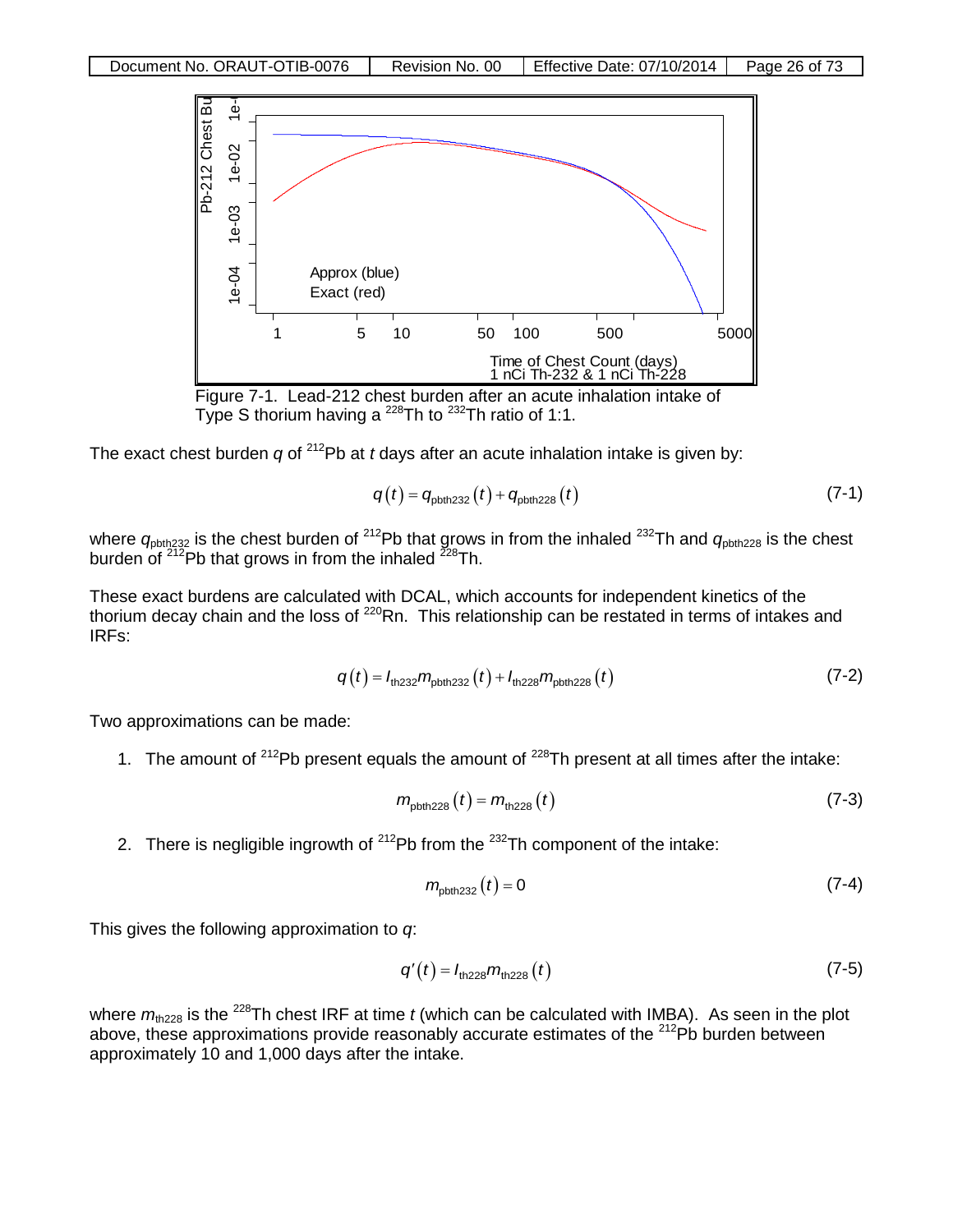



The exact chest burden *q* of <sup>212</sup>Pb at *t* days after an acute inhalation intake is given by:

$$
q(t) = q_{\text{pbth,232}}(t) + q_{\text{pbth,228}}(t) \tag{7-1}
$$

where  $q_{\text{pbth,232}}$  is the chest burden of <sup>212</sup>Pb that grows in from the inhaled <sup>232</sup>Th and  $q_{\text{pbth,228}}$  is the chest burden of <sup>212</sup>Pb that grows in from the inhaled <sup>228</sup>Th.

These exact burdens are calculated with DCAL, which accounts for independent kinetics of the thorium decay chain and the loss of <sup>220</sup>Rn. This relationship can be restated in terms of intakes and IRFs:

$$
q(t) = I_{\text{th232}} m_{\text{pbth232}}(t) + I_{\text{th228}} m_{\text{pbth228}}(t)
$$
 (7-2)

Two approximations can be made:

1. The amount of  $2^{12}Pb$  present equals the amount of  $2^{28}Th$  present at all times after the intake:

$$
m_{\text{pbth 228}}(t) = m_{\text{th 228}}(t) \tag{7-3}
$$

2. There is negligible ingrowth of  $^{212}Pb$  from the  $^{232}Th$  component of the intake:

$$
m_{\text{pbth232}}(t) = 0 \tag{7-4}
$$

This gives the following approximation to *q*:

$$
q'(t) = I_{\text{th228}} m_{\text{th228}}(t) \tag{7-5}
$$

where  $m_{\text{th228}}$  is the <sup>228</sup>Th chest IRF at time *t* (which can be calculated with IMBA). As seen in the plot above, these approximations provide reasonably accurate estimates of the  $^{212}Pb$  burden between approximately 10 and 1,000 days after the intake.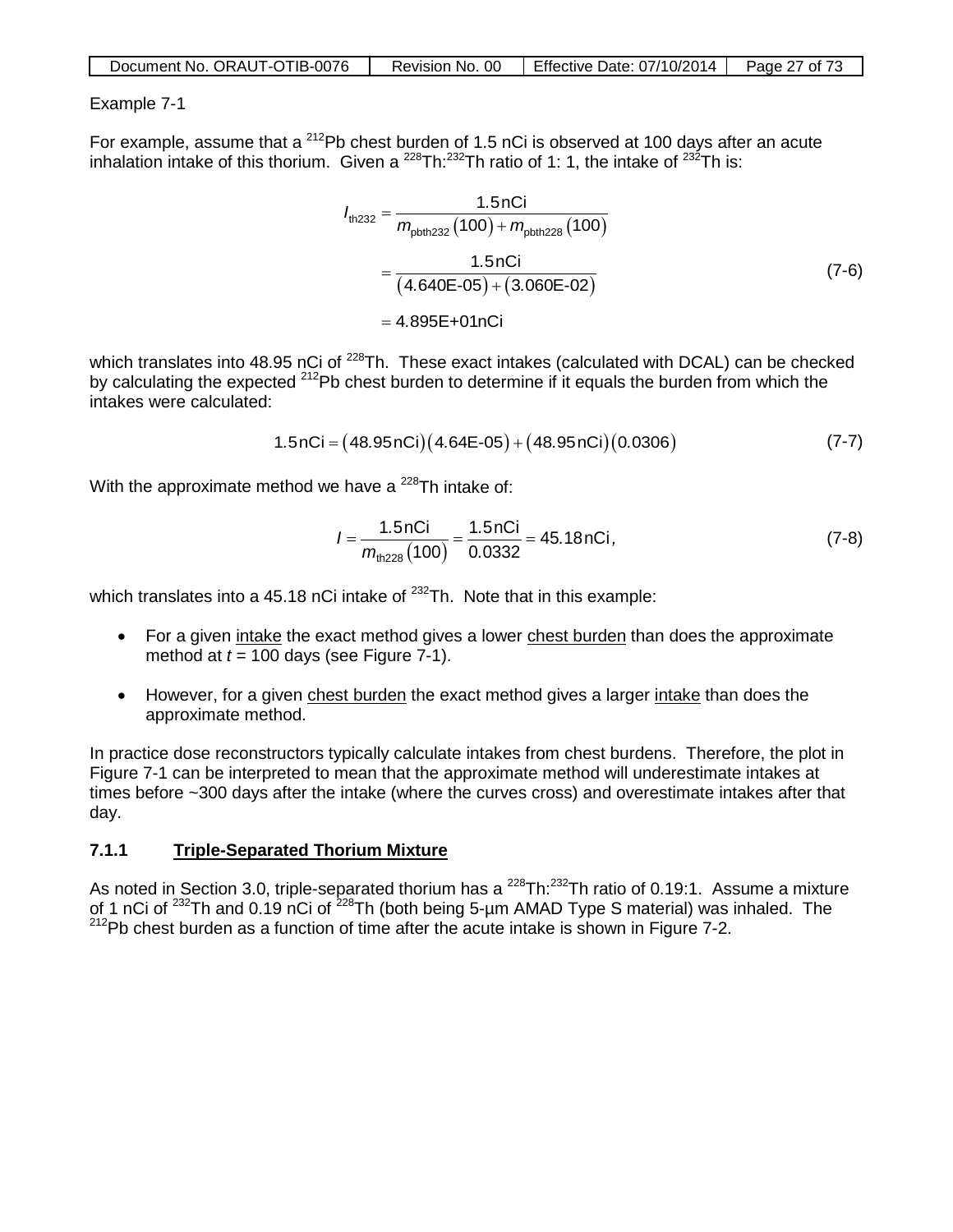| Document No. ORAUT-OTIB-0076 | Revision No. 00 | Effective Date: 07/10/2014 | Page 27 of 73 |
|------------------------------|-----------------|----------------------------|---------------|
|                              |                 |                            |               |

### Example 7-1

For example, assume that a  $^{212}$ Pb chest burden of 1.5 nCi is observed at 100 days after an acute inhalation intake of this thorium. Given a  $^{228}$ Th: $^{232}$ Th ratio of 1: 1, the intake of  $^{232}$ Th is:

$$
I_{\text{th232}} = \frac{1.5 \text{ nCi}}{m_{\text{pbth232}} (100) + m_{\text{pbth228}} (100)}
$$
  
= 
$$
\frac{1.5 \text{ nCi}}{(4.640\text{E} \cdot 05) + (3.060\text{E} \cdot 02)}
$$
  
= 4.895\text{E}+01 \text{ nCi} (7-6)

which translates into 48.95 nCi of <sup>228</sup>Th. These exact intakes (calculated with DCAL) can be checked by calculating the expected <sup>212</sup>Pb chest burden to determine if it equals the burden from which the intakes were calculated:

$$
1.5nCi = (48.95nCi)(4.64E-05) + (48.95nCi)(0.0306)
$$
 (7-7)

With the approximate method we have a  $^{228}$ Th intake of:

$$
I = \frac{1.5 \text{ nCi}}{m_{\text{th228}}(100)} = \frac{1.5 \text{ nCi}}{0.0332} = 45.18 \text{ nCi},\tag{7-8}
$$

which translates into a 45.18 nCi intake of  $^{232}$ Th. Note that in this example:

- For a given intake the exact method gives a lower chest burden than does the approximate method at  $t = 100$  days (see Figure 7-1).
- However, for a given chest burden the exact method gives a larger intake than does the approximate method.

In practice dose reconstructors typically calculate intakes from chest burdens. Therefore, the plot in Figure 7-1 can be interpreted to mean that the approximate method will underestimate intakes at times before ~300 days after the intake (where the curves cross) and overestimate intakes after that day.

### **7.1.1 Triple-Separated Thorium Mixture**

As noted in Section 3.0, triple-separated thorium has a  $^{228}$ Th: $^{232}$ Th ratio of 0.19:1. Assume a mixture of 1 nCi of <sup>232</sup>Th and 0.19 nCi of <sup>228</sup>Th (both being 5-µm AMAD Type S material) was inhaled. The  $212$ Pb chest burden as a function of time after the acute intake is shown in Figure 7-2.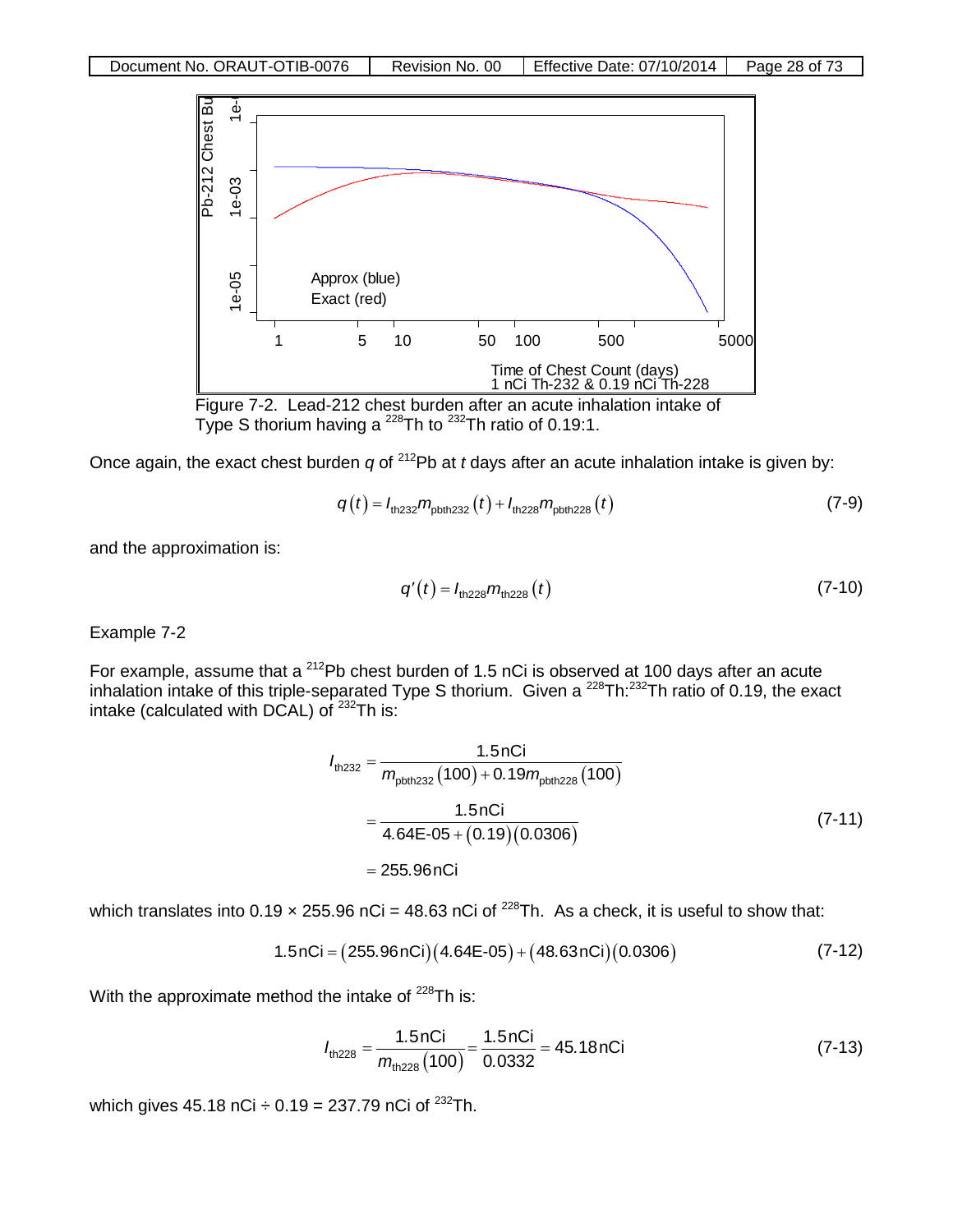

Type S thorium having a  $^{228}$ Th to  $^{232}$ Th ratio of 0.19:1.

Once again, the exact chest burden *q* of <sup>212</sup>Pb at *t* days after an acute inhalation intake is given by:

$$
q(t) = I_{\text{th232}} m_{\text{pbth232}}(t) + I_{\text{th228}} m_{\text{pbth228}}(t)
$$
 (7-9)

and the approximation is:

$$
q'(t) = I_{\text{th228}} m_{\text{th228}}(t) \tag{7-10}
$$

Example 7-2

For example, assume that a <sup>212</sup>Pb chest burden of 1.5 nCi is observed at 100 days after an acute inhalation intake of this triple-separated Type S thorium. Given a <sup>228</sup>Th:<sup>232</sup>Th ratio of 0.19, the exact intake (calculated with DCAL) of  $^{232}$ Th is:

$$
I_{\text{th232}} = \frac{1.5 \text{nCi}}{m_{\text{pbth232}} (100) + 0.19 m_{\text{pbth228}} (100)}
$$
  
= 
$$
\frac{1.5 \text{nCi}}{4.64 \text{E} - 05 + (0.19)(0.0306)}
$$
  
= 255.96 nCi (7-11)

which translates into 0.19  $\times$  255.96 nCi = 48.63 nCi of <sup>228</sup>Th. As a check, it is useful to show that:

$$
1.5nCi = (255.96nCi)(4.64E-05) + (48.63nCi)(0.0306)
$$
 (7-12)

With the approximate method the intake of  $^{228}$ Th is:

$$
I_{\text{th228}} = \frac{1.5 \text{nCi}}{m_{\text{th228}}(100)} = \frac{1.5 \text{nCi}}{0.0332} = 45.18 \text{nCi}
$$
 (7-13)

which gives 45.18 nCi  $\div$  0.19 = 237.79 nCi of <sup>232</sup>Th.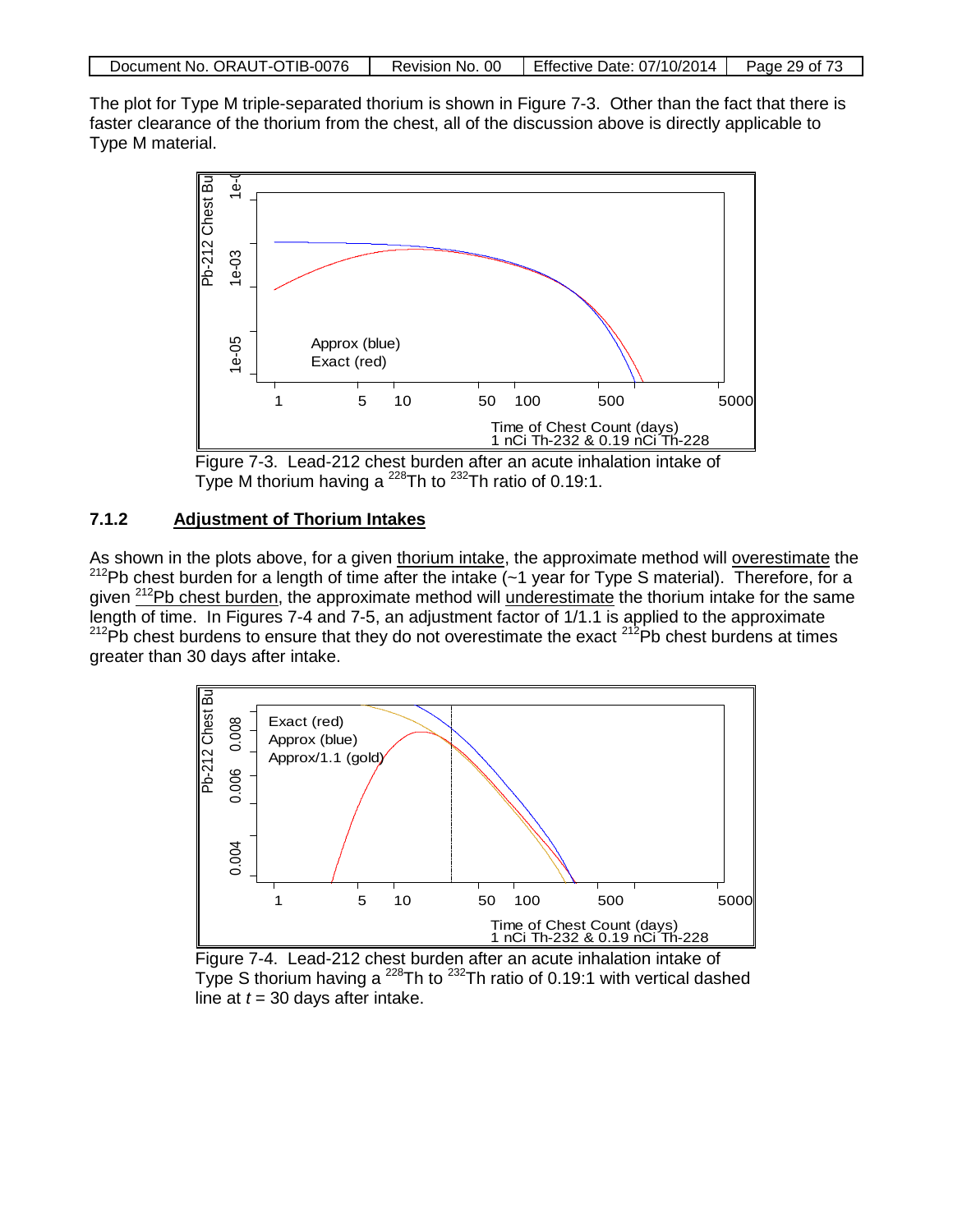| Document No. ORAUT-OTIB-0076 |  | Revision No. 00   Effective Date: $07/10/2014$   Page 29 of 73 |  |
|------------------------------|--|----------------------------------------------------------------|--|
|------------------------------|--|----------------------------------------------------------------|--|

The plot for Type M triple-separated thorium is shown in Figure 7-3. Other than the fact that there is faster clearance of the thorium from the chest, all of the discussion above is directly applicable to Type M material.



Figure 7-3. Lead-212 chest burden after an acute inhalation intake of Type M thorium having a  $^{228}$ Th to  $^{232}$ Th ratio of 0.19:1.

## **7.1.2 Adjustment of Thorium Intakes**

As shown in the plots above, for a given thorium intake, the approximate method will overestimate the  $^{212}$ Pb chest burden for a length of time after the intake (~1 year for Type S material). Therefore, for a given <sup>212</sup>Pb chest burden, the approximate method will underestimate the thorium intake for the same length of time. In Figures 7-4 and 7-5, an adjustment factor of 1/1.1 is applied to the approximate  $^{212}$ Pb chest burdens to ensure that they do not overestimate the exact  $^{212}$ Pb chest burdens at times greater than 30 days after intake.



Figure 7-4. Lead-212 chest burden after an acute inhalation intake of Type S thorium having a <sup>228</sup>Th to <sup>232</sup>Th ratio of 0.19:1 with vertical dashed line at  $t = 30$  days after intake.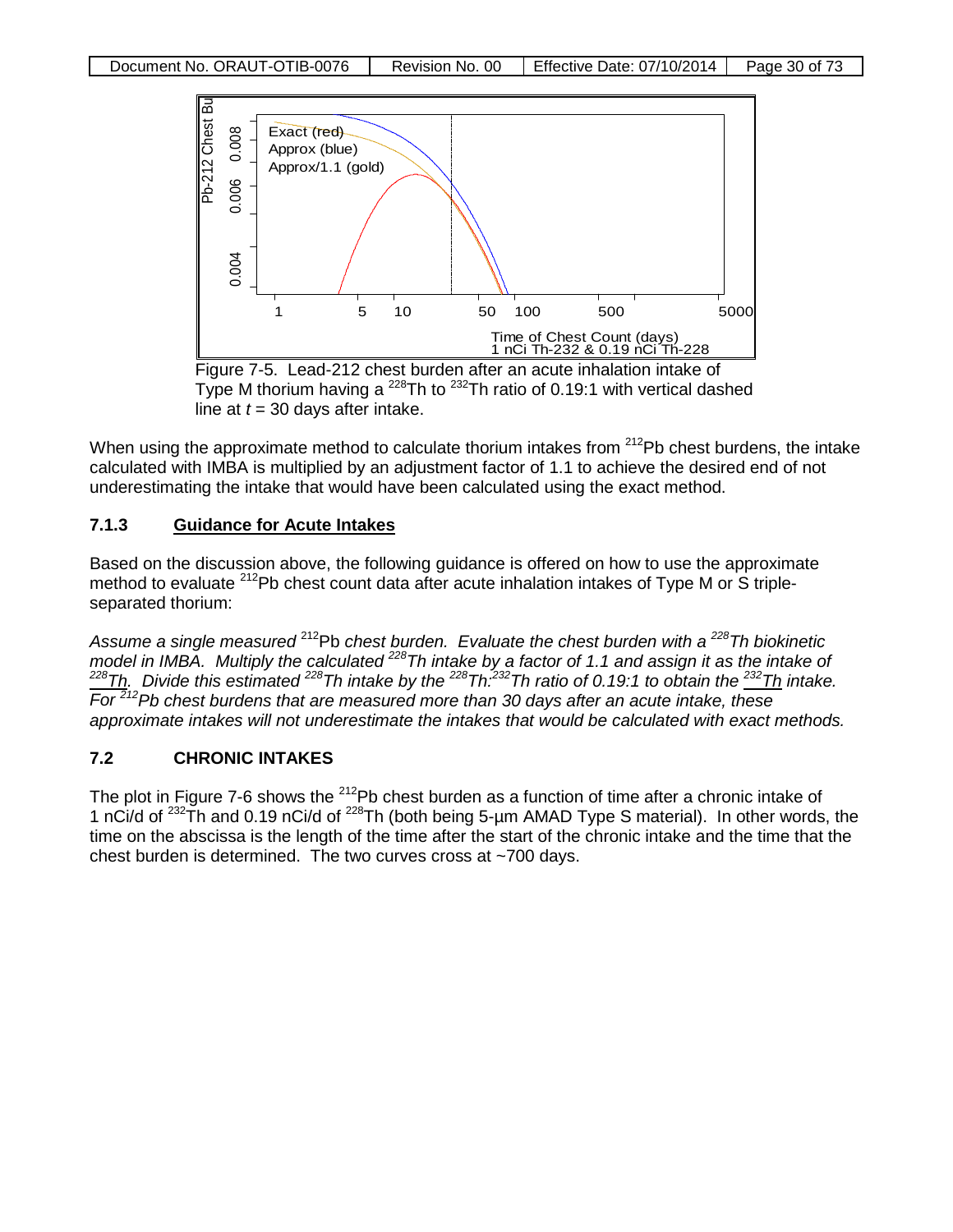

Type M thorium having a  $^{228}$ Th to  $^{232}$ Th ratio of 0.19:1 with vertical dashed line at  $t = 30$  days after intake.

When using the approximate method to calculate thorium intakes from  $212Pb$  chest burdens, the intake calculated with IMBA is multiplied by an adjustment factor of 1.1 to achieve the desired end of not underestimating the intake that would have been calculated using the exact method.

## **7.1.3 Guidance for Acute Intakes**

Based on the discussion above, the following guidance is offered on how to use the approximate method to evaluate <sup>212</sup>Pb chest count data after acute inhalation intakes of Type M or S tripleseparated thorium:

*Assume a single measured* 212Pb *chest burden. Evaluate the chest burden with a 228Th biokinetic model in IMBA. Multiply the calculated 228Th intake by a factor of 1.1 and assign it as the intake of 228Th. Divide this estimated 228Th intake by the 228Th:232Th ratio of 0.19:1 to obtain the 232Th intake. For 212Pb chest burdens that are measured more than 30 days after an acute intake, these approximate intakes will not underestimate the intakes that would be calculated with exact methods.*

## **7.2 CHRONIC INTAKES**

The plot in Figure 7-6 shows the  $^{212}Pb$  chest burden as a function of time after a chronic intake of 1 nCi/d of <sup>232</sup>Th and 0.19 nCi/d of <sup>228</sup>Th (both being 5-um AMAD Type S material). In other words, the time on the abscissa is the length of the time after the start of the chronic intake and the time that the chest burden is determined. The two curves cross at ~700 days.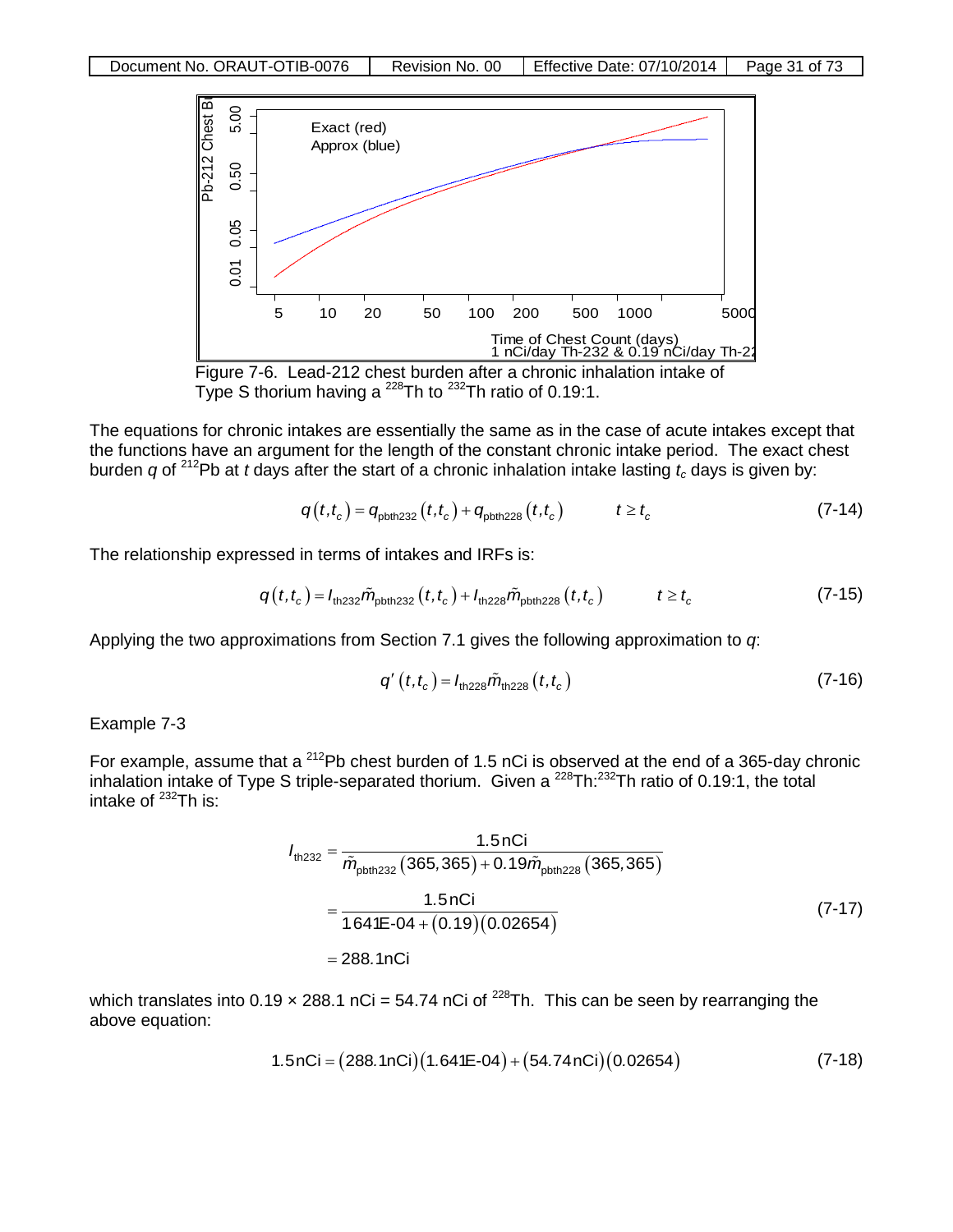

The equations for chronic intakes are essentially the same as in the case of acute intakes except that the functions have an argument for the length of the constant chronic intake period. The exact chest burden *q* of <sup>212</sup>Pb at *t* days after the start of a chronic inhalation intake lasting  $t_c$  days is given by:

$$
q(t,t_c) = q_{\text{pbth232}}(t,t_c) + q_{\text{pbth228}}(t,t_c) \qquad t \ge t_c \tag{7-14}
$$

The relationship expressed in terms of intakes and IRFs is:

$$
q(t,t_c) = I_{\text{th232}}\tilde{m}_{\text{pbth232}}(t,t_c) + I_{\text{th228}}\tilde{m}_{\text{pbth228}}(t,t_c) \qquad t \ge t_c \tag{7-15}
$$

Applying the two approximations from Section 7.1 gives the following approximation to *q*:

$$
q'(t,t_c) = I_{\text{th228}} \tilde{m}_{\text{th228}}(t,t_c)
$$
 (7-16)

Example 7-3

For example, assume that a <sup>212</sup>Pb chest burden of 1.5 nCi is observed at the end of a 365-day chronic inhalation intake of Type S triple-separated thorium. Given a <sup>228</sup>Th:<sup>232</sup>Th ratio of 0.19:1, the total intake of  $^{232}$ Th is:

$$
I_{\text{th,232}} = \frac{1.5 \text{ nCi}}{\tilde{m}_{\text{pbth,232}} (365,365) + 0.19 \tilde{m}_{\text{pbth,228}} (365,365)}
$$
  
= 
$$
\frac{1.5 \text{ nCi}}{1.641\text{E} - 04 + (0.19)(0.02654)}
$$
(7-17)  
= 288.1 nCi

which translates into 0.19  $\times$  288.1 nCi = 54.74 nCi of <sup>228</sup>Th. This can be seen by rearranging the above equation:

$$
1.5nCi = (288.1nCi)(1.641E-04) + (54.74nCi)(0.02654)
$$
 (7-18)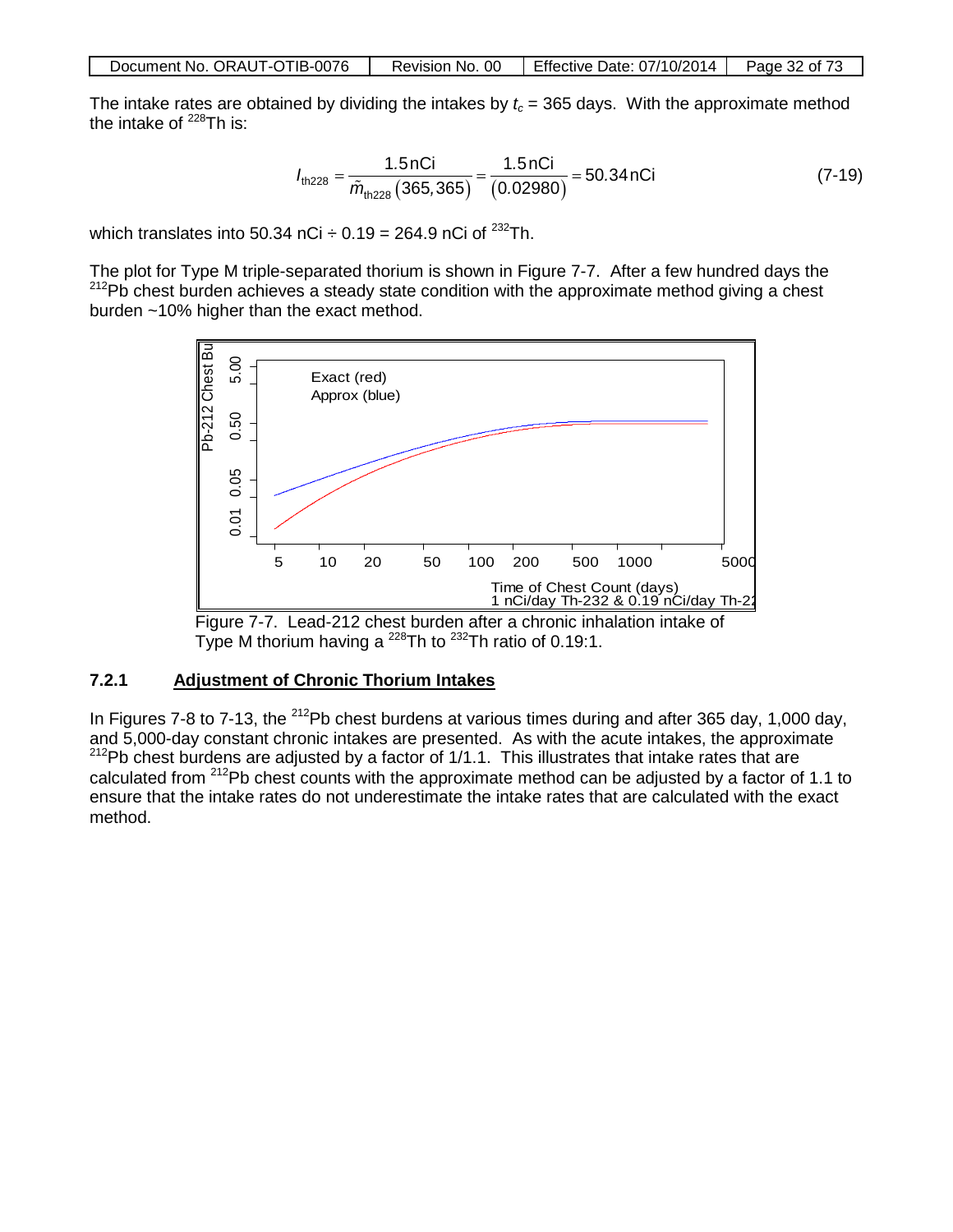The intake rates are obtained by dividing the intakes by  $t_c$  = 365 days. With the approximate method the intake of  $^{228}$ Th is:

$$
I_{\text{th228}} = \frac{1.5 \text{nCi}}{\tilde{m}_{\text{th228}}(365,365)} = \frac{1.5 \text{nCi}}{(0.02980)} = 50.34 \text{nCi}
$$
 (7-19)

which translates into 50.34 nCi  $\div$  0.19 = 264.9 nCi of <sup>232</sup>Th.

The plot for Type M triple-separated thorium is shown in Figure 7-7. After a few hundred days the <sup>212</sup>Pb chest burden achieves a steady state condition with the approximate method giving a chest burden ~10% higher than the exact method.



Figure 7-7. Lead-212 chest burden after a chronic inhalation intake of Type M thorium having a  $^{228}$ Th to  $^{232}$ Th ratio of 0.19:1.

## **7.2.1 Adjustment of Chronic Thorium Intakes**

In Figures 7-8 to 7-13, the <sup>212</sup>Pb chest burdens at various times during and after 365 day, 1,000 day, and 5,000-day constant chronic intakes are presented. As with the acute intakes, the approximate 212 Pb chest burdens are adjusted by a factor of 1/1.1. This illustrates that intake rates that are calculated from  $^{212}$ Pb chest counts with the approximate method can be adjusted by a factor of 1.1 to ensure that the intake rates do not underestimate the intake rates that are calculated with the exact method.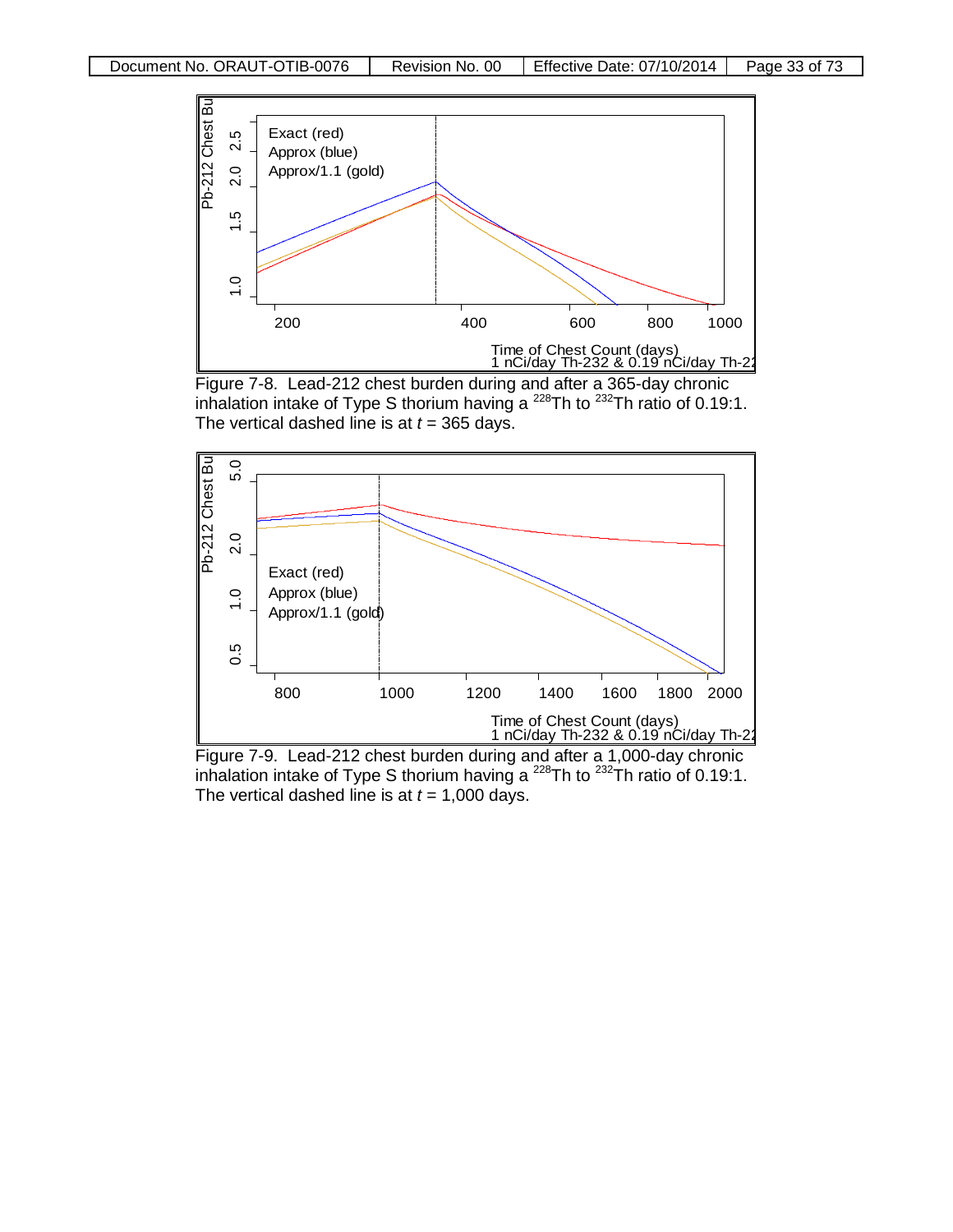

Figure 7-8. Lead-212 chest burden during and after a 365-day chronic inhalation intake of Type S thorium having a  $^{228}$ Th to  $^{232}$ Th ratio of 0.19:1. The vertical dashed line is at  $t = 365$  days.



Figure 7-9. Lead-212 chest burden during and after a 1,000-day chronic inhalation intake of Type S thorium having a  $^{228}$ Th to  $^{232}$ Th ratio of 0.19:1. The vertical dashed line is at  $t = 1,000$  days.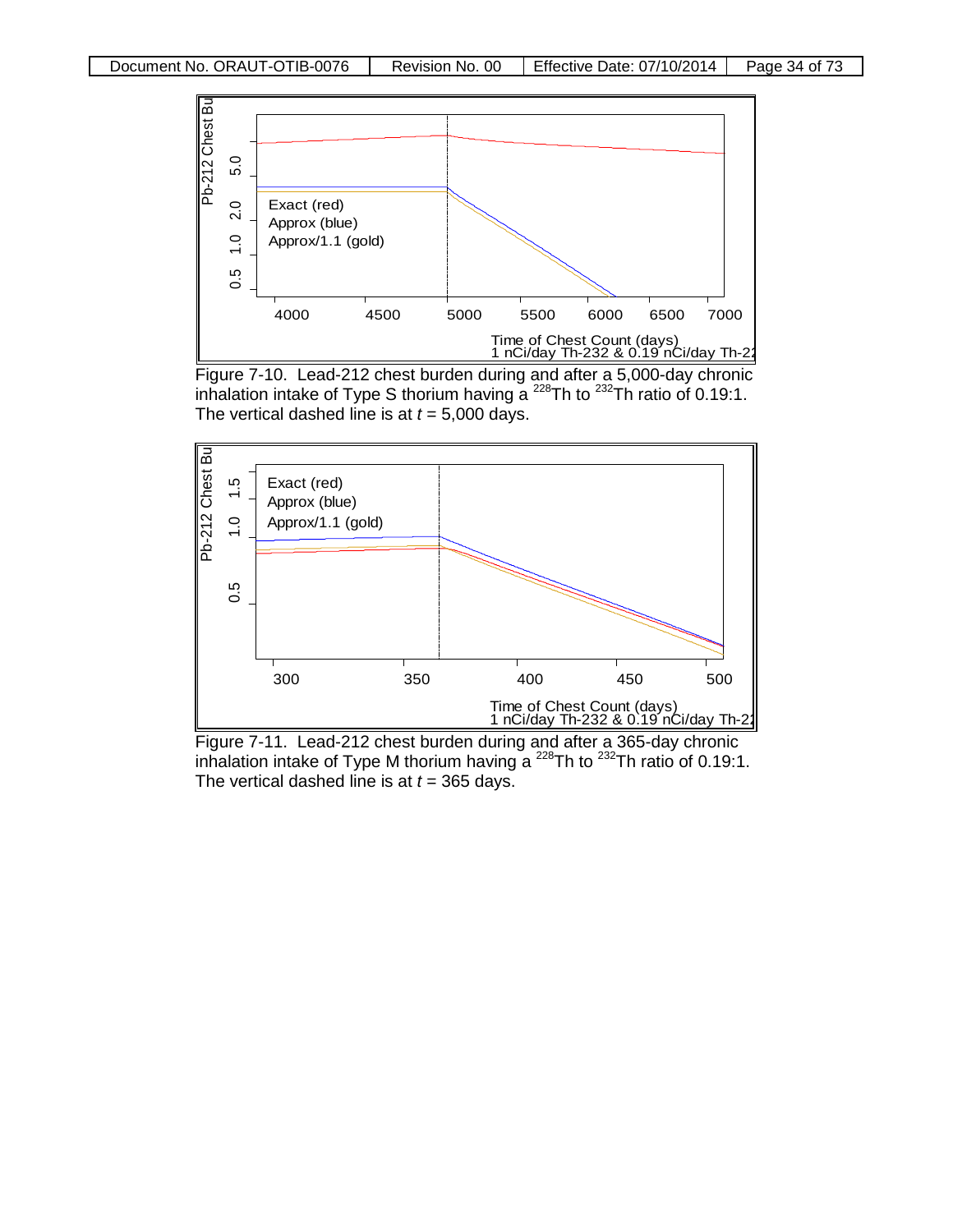





Figure 7-11. Lead-212 chest burden during and after a 365-day chronic inhalation intake of Type M thorium having a  $^{228}$ Th to  $^{232}$ Th ratio of 0.19:1. The vertical dashed line is at  $t = 365$  days.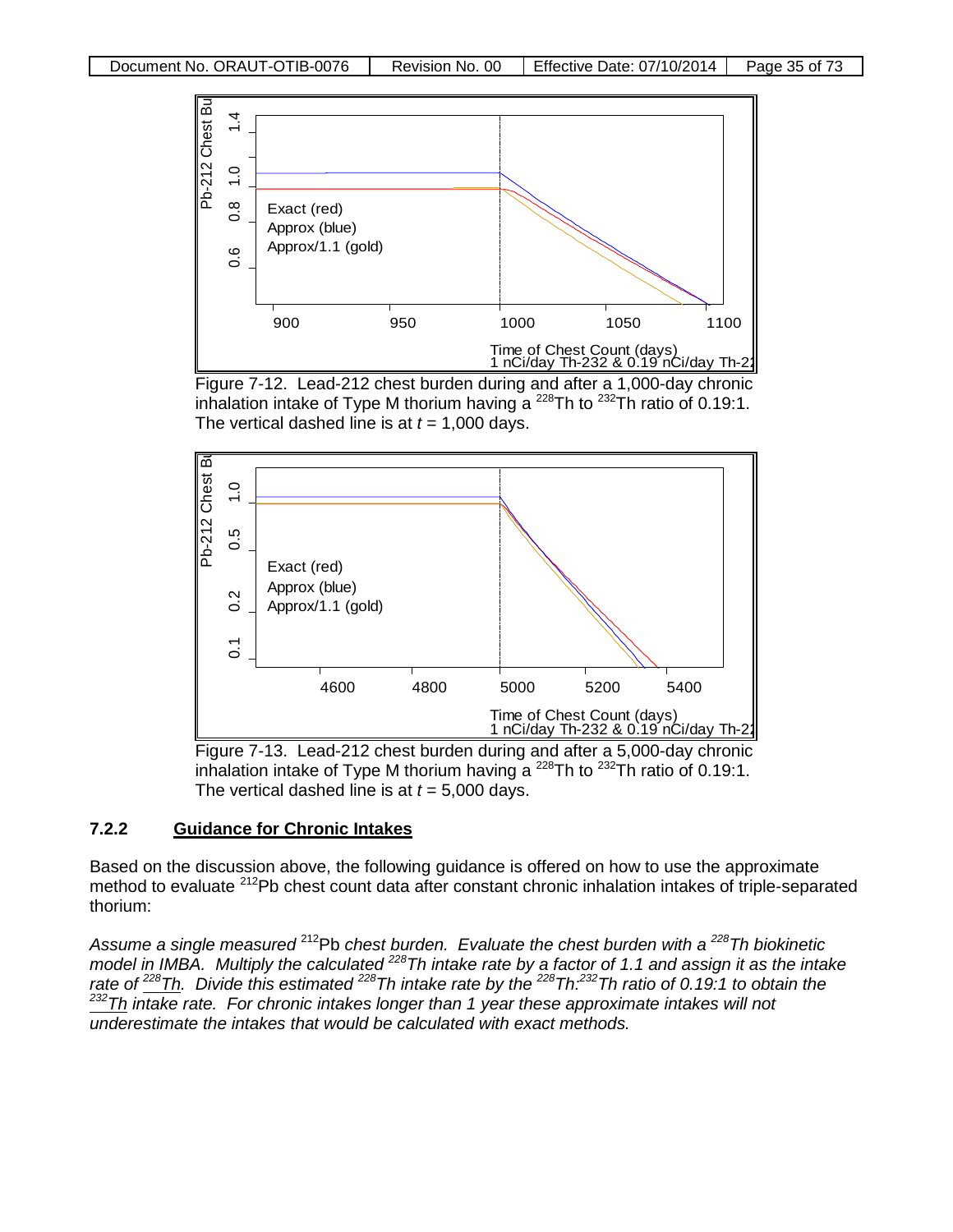

Figure 7-12. Lead-212 chest burden during and after a 1,000-day chronic inhalation intake of Type M thorium having a  $^{228}$ Th to  $^{232}$ Th ratio of 0.19:1. The vertical dashed line is at  $t = 1,000$  days.



Figure 7-13. Lead-212 chest burden during and after a 5,000-day chronic inhalation intake of Type M thorium having a  $^{228}$ Th to  $^{232}$ Th ratio of 0.19:1. The vertical dashed line is at  $t = 5,000$  days.

### **7.2.2 Guidance for Chronic Intakes**

Based on the discussion above, the following guidance is offered on how to use the approximate method to evaluate <sup>212</sup>Pb chest count data after constant chronic inhalation intakes of triple-separated thorium:

*Assume a single measured* 212Pb *chest burden. Evaluate the chest burden with a 228Th biokinetic model in IMBA. Multiply the calculated 228Th intake rate by a factor of 1.1 and assign it as the intake rate of 228Th. Divide this estimated 228Th intake rate by the 228Th:232Th ratio of 0.19:1 to obtain the 232Th intake rate. For chronic intakes longer than 1 year these approximate intakes will not underestimate the intakes that would be calculated with exact methods.*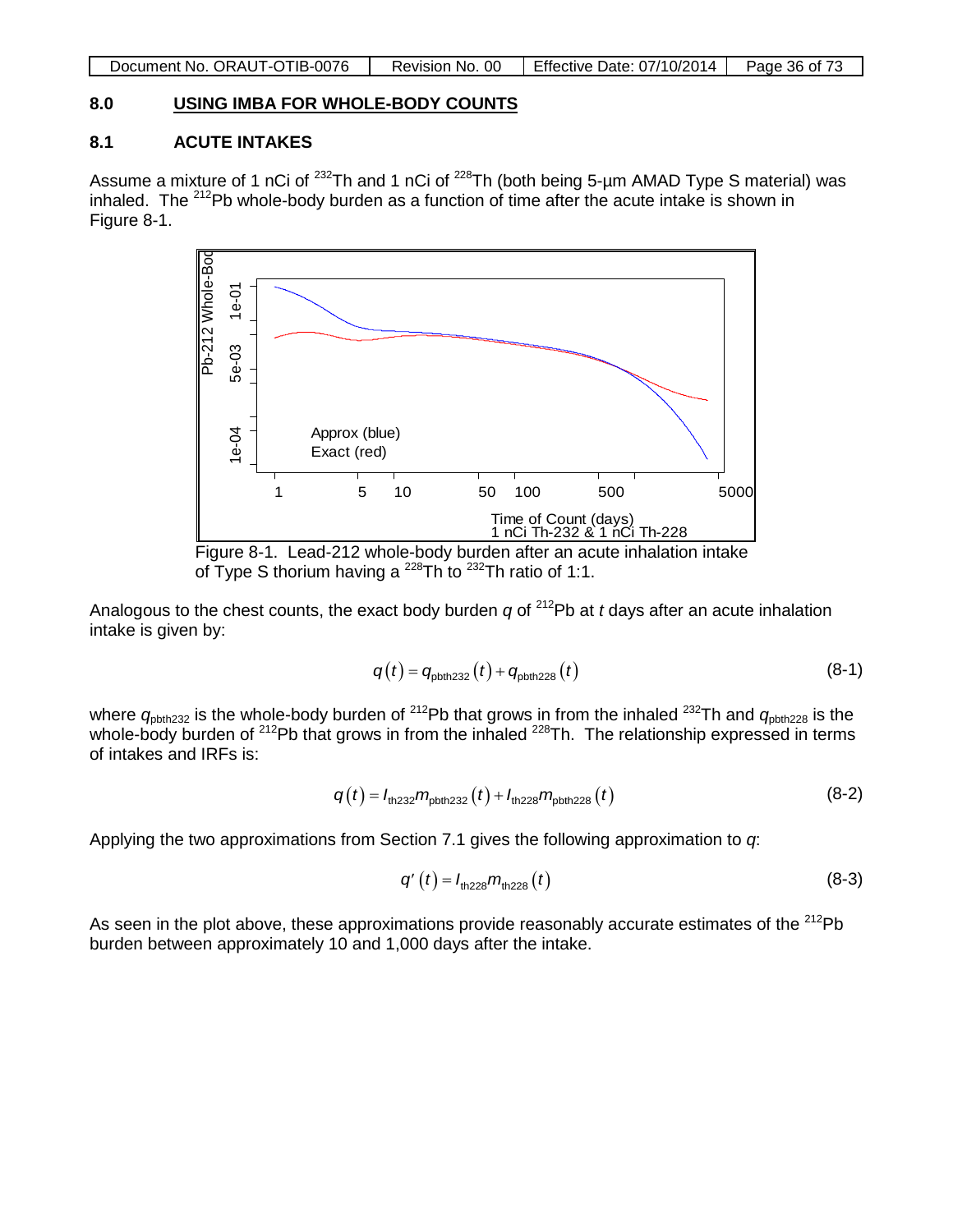| Revision No. 00 | Document No. ORAUT-OTIB-0076 | Effective Date: 07/10/2014<br>Page 36 of 73 |
|-----------------|------------------------------|---------------------------------------------|
|-----------------|------------------------------|---------------------------------------------|

## **8.0 USING IMBA FOR WHOLE-BODY COUNTS**

## **8.1 ACUTE INTAKES**

Assume a mixture of 1 nCi of <sup>232</sup>Th and 1 nCi of <sup>228</sup>Th (both being 5-µm AMAD Type S material) was inhaled. The  $^{212}$ Pb whole-body burden as a function of time after the acute intake is shown in Figure 8-1.



of Type S thorium having a  $^{228}$ Th to  $^{232}$ Th ratio of 1:1.

Analogous to the chest counts, the exact body burden *q* of 212Pb at *t* days after an acute inhalation intake is given by:

$$
q(t) = q_{\text{pbth232}}(t) + q_{\text{pbth228}}(t)
$$
\n(8-1)

where  $q_{\text{pbth232}}$  is the whole-body burden of <sup>212</sup>Pb that grows in from the inhaled <sup>232</sup>Th and  $q_{\text{pbth228}}$  is the whole-body burden of <sup>212</sup>Pb that grows in from the inhaled <sup>228</sup>Th. The relationship expressed in terms of intakes and IRFs is:

$$
q(t) = I_{\text{th232}} m_{\text{pbth232}}(t) + I_{\text{th228}} m_{\text{pbth228}}(t)
$$
 (8-2)

Applying the two approximations from Section 7.1 gives the following approximation to *q*:

$$
q'(t) = I_{\text{th228}} m_{\text{th228}}(t) \tag{8-3}
$$

As seen in the plot above, these approximations provide reasonably accurate estimates of the  $^{212}Pb$ burden between approximately 10 and 1,000 days after the intake.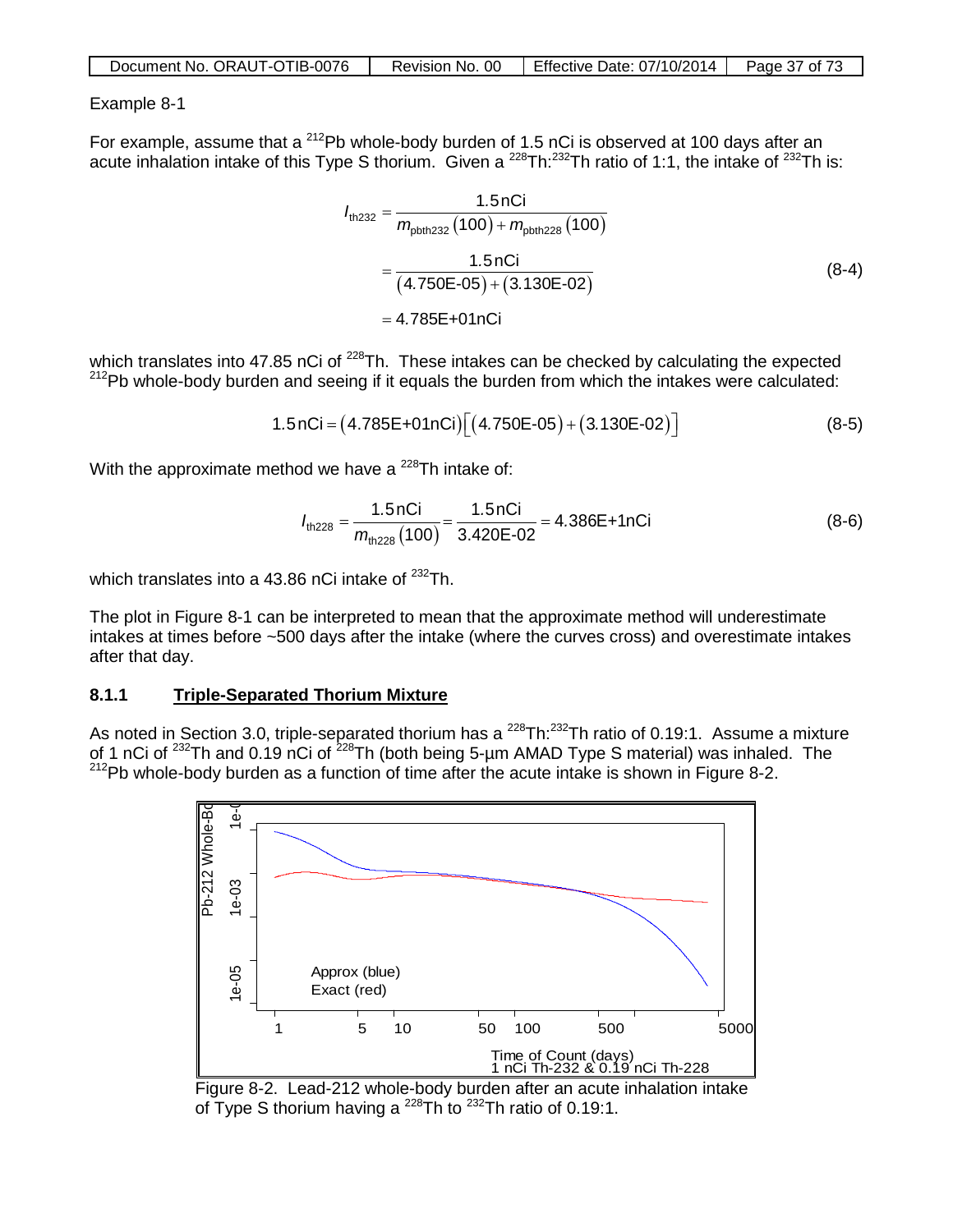| Document No. ORAUT-OTIB-0076 | Revision No. 00 | Effective Date: 07/10/2014 | Page 37 of 73 |
|------------------------------|-----------------|----------------------------|---------------|
|                              |                 |                            |               |

#### Example 8-1

For example, assume that a <sup>212</sup>Pb whole-body burden of 1.5 nCi is observed at 100 days after an acute inhalation intake of this Type S thorium. Given a <sup>228</sup>Th:<sup>232</sup>Th ratio of 1:1, the intake of <sup>232</sup>Th is:

$$
I_{\text{th232}} = \frac{1.5 \text{ nCi}}{m_{\text{pbth232}} (100) + m_{\text{pbth228}} (100)}
$$
  
= 
$$
\frac{1.5 \text{ nCi}}{(4.750 \text{E} \cdot 05) + (3.130 \text{E} \cdot 02)}
$$
  
= 4.785 \text{E} + 01 \text{ nCi} (8-4)

which translates into 47.85 nCi of <sup>228</sup>Th. These intakes can be checked by calculating the expected  $212$ Pb whole-body burden and seeing if it equals the burden from which the intakes were calculated:

$$
1.5 nCi = (4.785E+01nCi)[(4.750E-05)+(3.130E-02)]
$$
 (8-5)

With the approximate method we have a  $^{228}$ Th intake of:

$$
I_{\text{th228}} = \frac{1.5 \text{ nCi}}{m_{\text{th228}} \left(100\right)} = \frac{1.5 \text{ nCi}}{3.420 \text{E} \cdot 0.02} = 4.386 \text{E} + 1 \text{ nCi} \tag{8-6}
$$

which translates into a 43.86 nCi intake of  $^{232}$ Th.

The plot in Figure 8-1 can be interpreted to mean that the approximate method will underestimate intakes at times before ~500 days after the intake (where the curves cross) and overestimate intakes after that day.

#### **8.1.1 Triple-Separated Thorium Mixture**

As noted in Section 3.0, triple-separated thorium has a  $^{228}$ Th: $^{232}$ Th ratio of 0.19:1. Assume a mixture of 1 nCi of <sup>232</sup>Th and 0.19 nCi of <sup>228</sup>Th (both being 5-µm AMAD Type S material) was inhaled. The  $212$ Pb whole-body burden as a function of time after the acute intake is shown in Figure 8-2.



Figure 8-2. Lead-212 whole-body burden after an acute inhalation intake of Type S thorium having a  $^{228}$ Th to  $^{232}$ Th ratio of 0.19:1.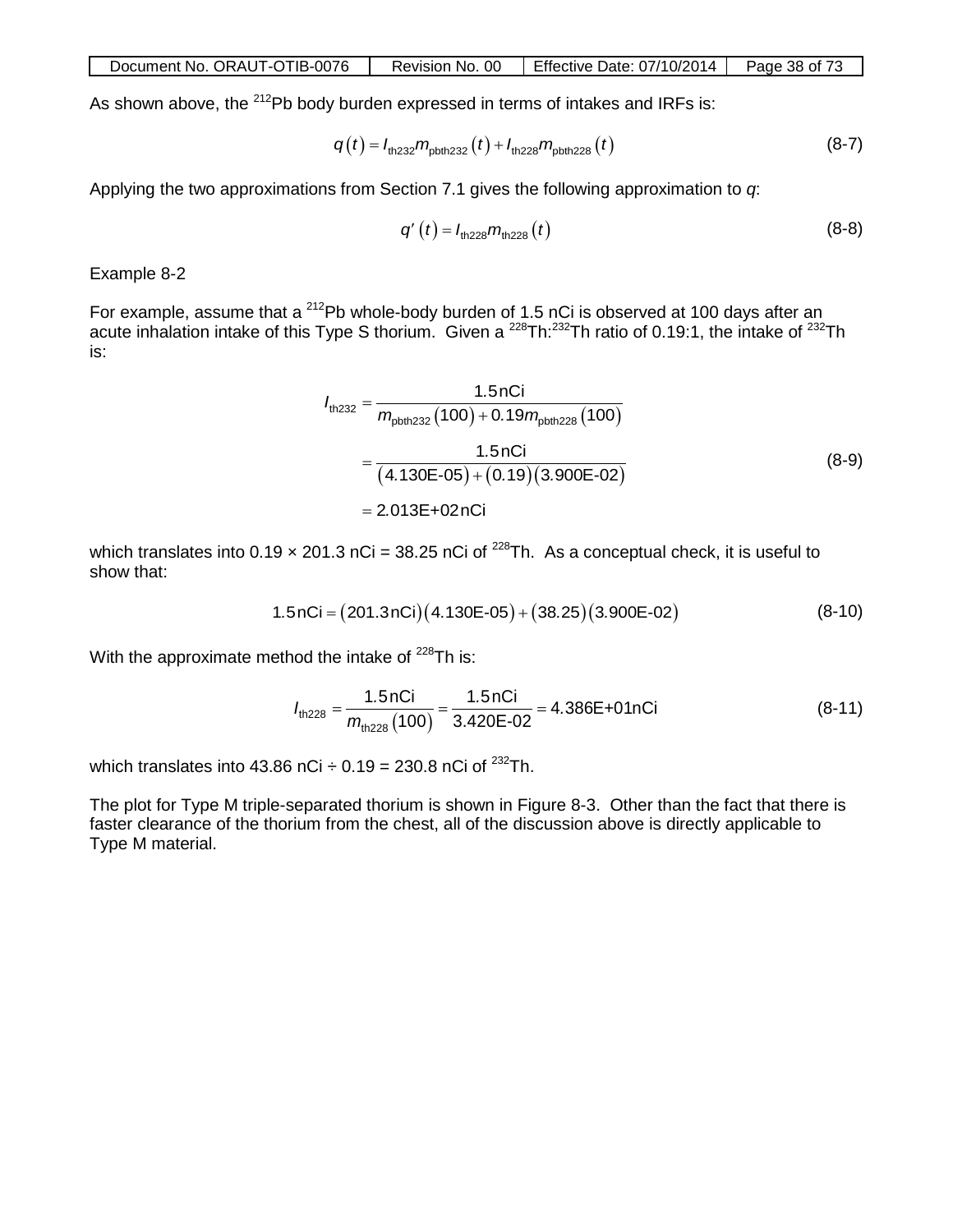| Document No. ORAUT-OTIB-0076 | Revision No. 00 | Effective Date: 07/10/2014 | Page 38 of 73 |
|------------------------------|-----------------|----------------------------|---------------|
|                              |                 |                            |               |

As shown above, the <sup>212</sup>Pb body burden expressed in terms of intakes and IRFs is:

$$
q(t) = I_{\text{th232}} m_{\text{pbth232}}(t) + I_{\text{th228}} m_{\text{pbth228}}(t)
$$
 (8-7)

Applying the two approximations from Section 7.1 gives the following approximation to *q*:

$$
q'(t) = I_{\text{th228}} m_{\text{th228}}(t) \tag{8-8}
$$

Example 8-2

For example, assume that a <sup>212</sup>Pb whole-body burden of 1.5 nCi is observed at 100 days after an acute inhalation intake of this Type S thorium. Given a <sup>228</sup>Th:<sup>232</sup>Th ratio of 0.19:1, the intake of <sup>232</sup>Th is:

$$
I_{\text{th,232}} = \frac{1.5 \text{nCi}}{m_{\text{pbth,232}}(100) + 0.19 m_{\text{pbth,228}}(100)}
$$
  
= 
$$
\frac{1.5 \text{nCi}}{(4.130\text{E} - 05) + (0.19)(3.900\text{E} - 02)}
$$
  
= 2.013\text{E} + 02 \text{nCi} (8-9)

which translates into 0.19  $\times$  201.3 nCi = 38.25 nCi of <sup>228</sup>Th. As a conceptual check, it is useful to show that:

$$
1.5nCi = (201.3nCi)(4.130E-05) + (38.25)(3.900E-02)
$$
 (8-10)

With the approximate method the intake of  $228$ Th is:

$$
I_{\text{th228}} = \frac{1.5 \text{ nCi}}{m_{\text{th228}}(100)} = \frac{1.5 \text{ nCi}}{3.420 \text{E} \cdot 0.02} = 4.386 \text{E} + 0.1 \text{ nCi}
$$
(8-11)

which translates into 43.86 nCi  $\div$  0.19 = 230.8 nCi of <sup>232</sup>Th.

The plot for Type M triple-separated thorium is shown in Figure 8-3. Other than the fact that there is faster clearance of the thorium from the chest, all of the discussion above is directly applicable to Type M material.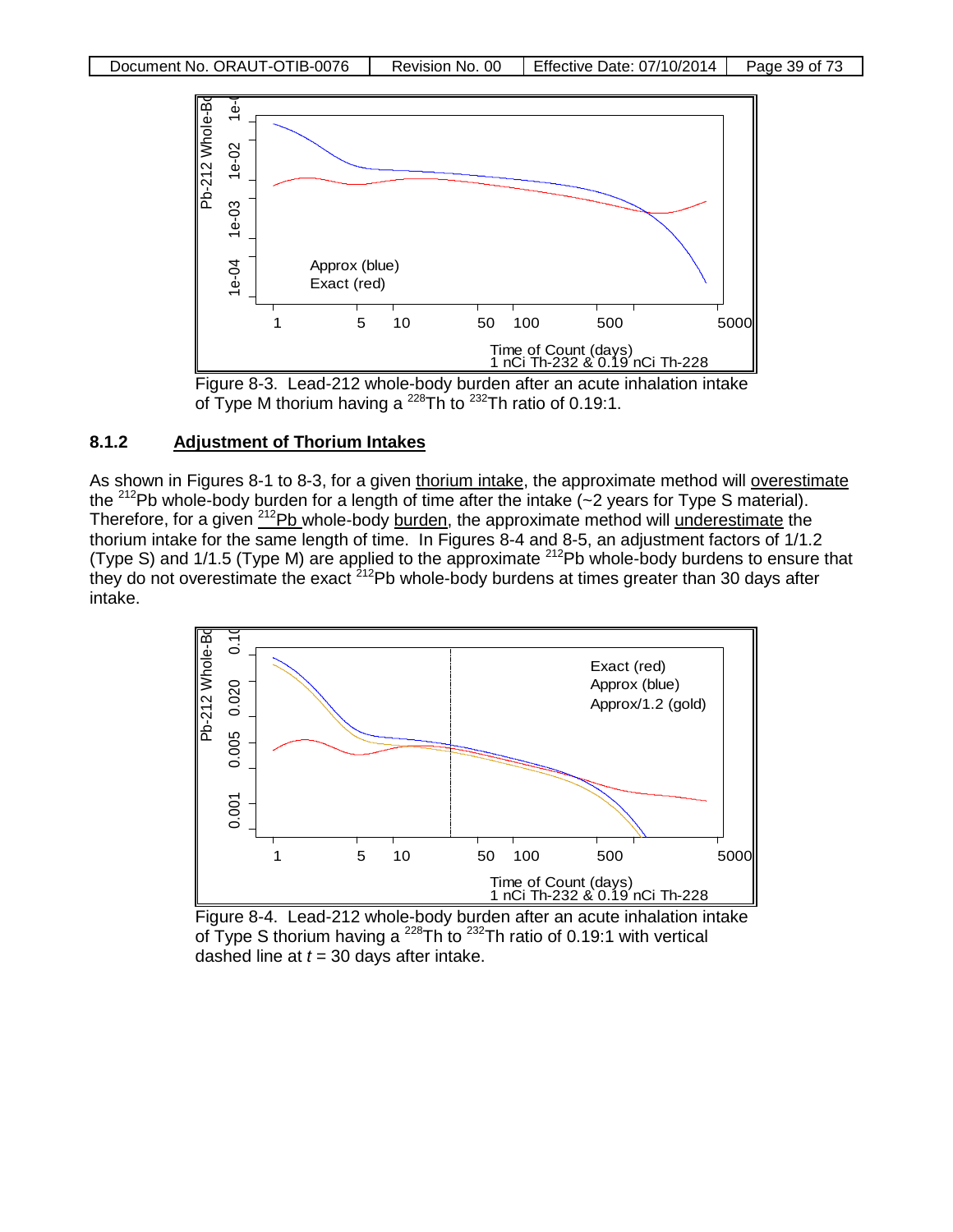



#### **8.1.2 Adjustment of Thorium Intakes**

As shown in Figures 8-1 to 8-3, for a given thorium intake, the approximate method will overestimate the <sup>212</sup>Pb whole-body burden for a length of time after the intake  $\left(-2\right)$  years for Type S material). Therefore, for a given <sup>212</sup>Pb whole-body burden, the approximate method will underestimate the thorium intake for the same length of time. In Figures 8-4 and 8-5, an adjustment factors of 1/1.2 (Type S) and 1/1.5 (Type M) are applied to the approximate  $^{212}$ Pb whole-body burdens to ensure that they do not overestimate the exact <sup>212</sup>Pb whole-body burdens at times greater than 30 days after intake.



Figure 8-4. Lead-212 whole-body burden after an acute inhalation intake of Type S thorium having a  $^{228}$ Th to  $^{232}$ Th ratio of 0.19:1 with vertical dashed line at  $t = 30$  days after intake.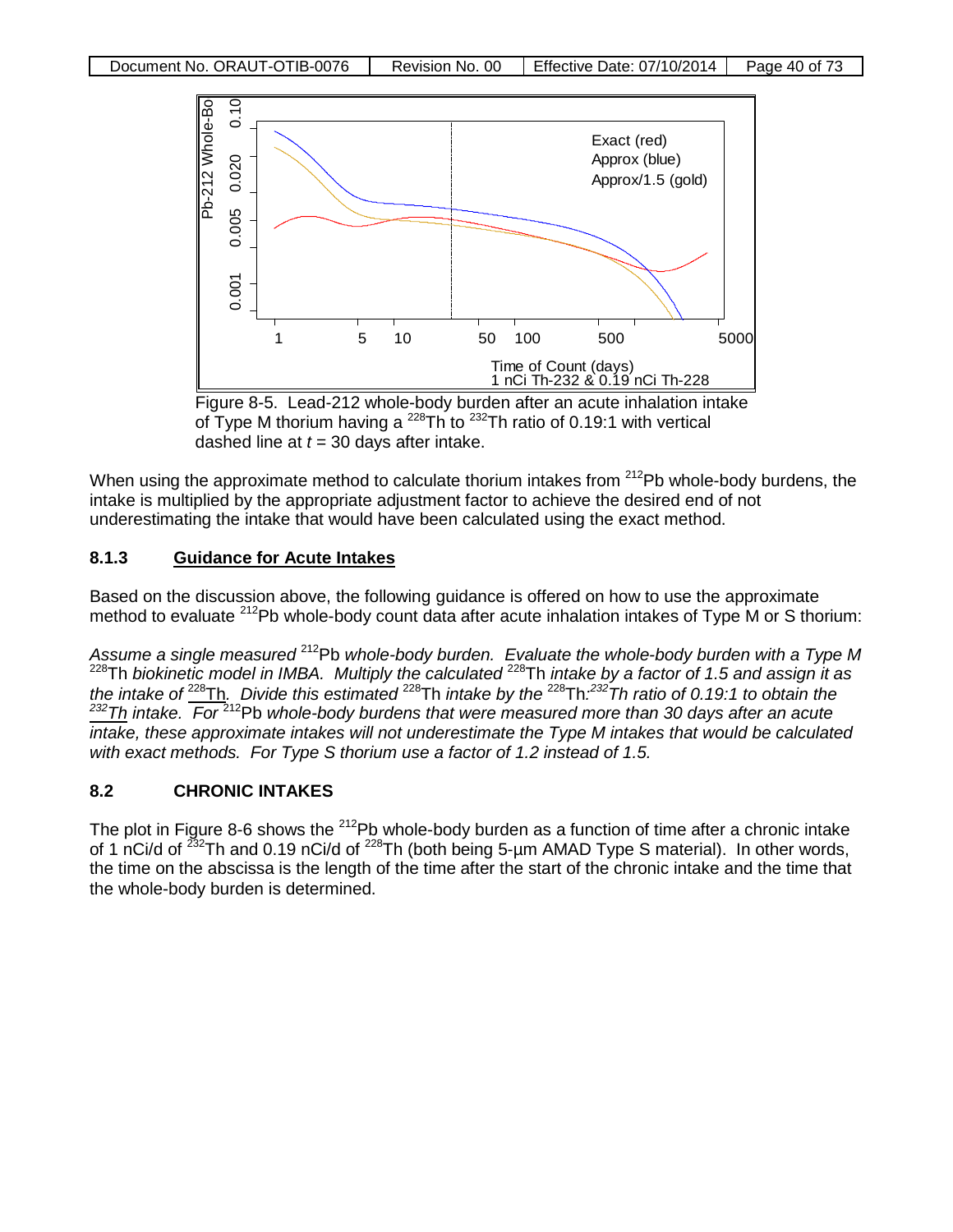

Figure 8-5. Lead-212 whole-body burden after an acute inhalation intake of Type M thorium having a  $^{228}$ Th to  $^{232}$ Th ratio of 0.19:1 with vertical dashed line at *t* = 30 days after intake.

When using the approximate method to calculate thorium intakes from  $212Pb$  whole-body burdens, the intake is multiplied by the appropriate adjustment factor to achieve the desired end of not underestimating the intake that would have been calculated using the exact method.

## **8.1.3 Guidance for Acute Intakes**

Based on the discussion above, the following guidance is offered on how to use the approximate method to evaluate <sup>212</sup>Pb whole-body count data after acute inhalation intakes of Type M or S thorium:

*Assume a single measured* 212Pb *whole-body burden. Evaluate the whole-body burden with a Type M*  228Th *biokinetic model in IMBA. Multiply the calculated* 228Th *intake by a factor of 1.5 and assign it as the intake of* 228Th*. Divide this estimated* 228Th *intake by the* 228Th*: 232Th ratio of 0.19:1 to obtain the 232Th intake. For* 212Pb *whole-body burdens that were measured more than 30 days after an acute intake, these approximate intakes will not underestimate the Type M intakes that would be calculated with exact methods. For Type S thorium use a factor of 1.2 instead of 1.5.*

## **8.2 CHRONIC INTAKES**

The plot in Figure 8-6 shows the  $^{212}Pb$  whole-body burden as a function of time after a chronic intake of 1 nCi/d of 232Th and 0.19 nCi/d of 228Th (both being 5-µm AMAD Type S material). In other words, the time on the abscissa is the length of the time after the start of the chronic intake and the time that the whole-body burden is determined.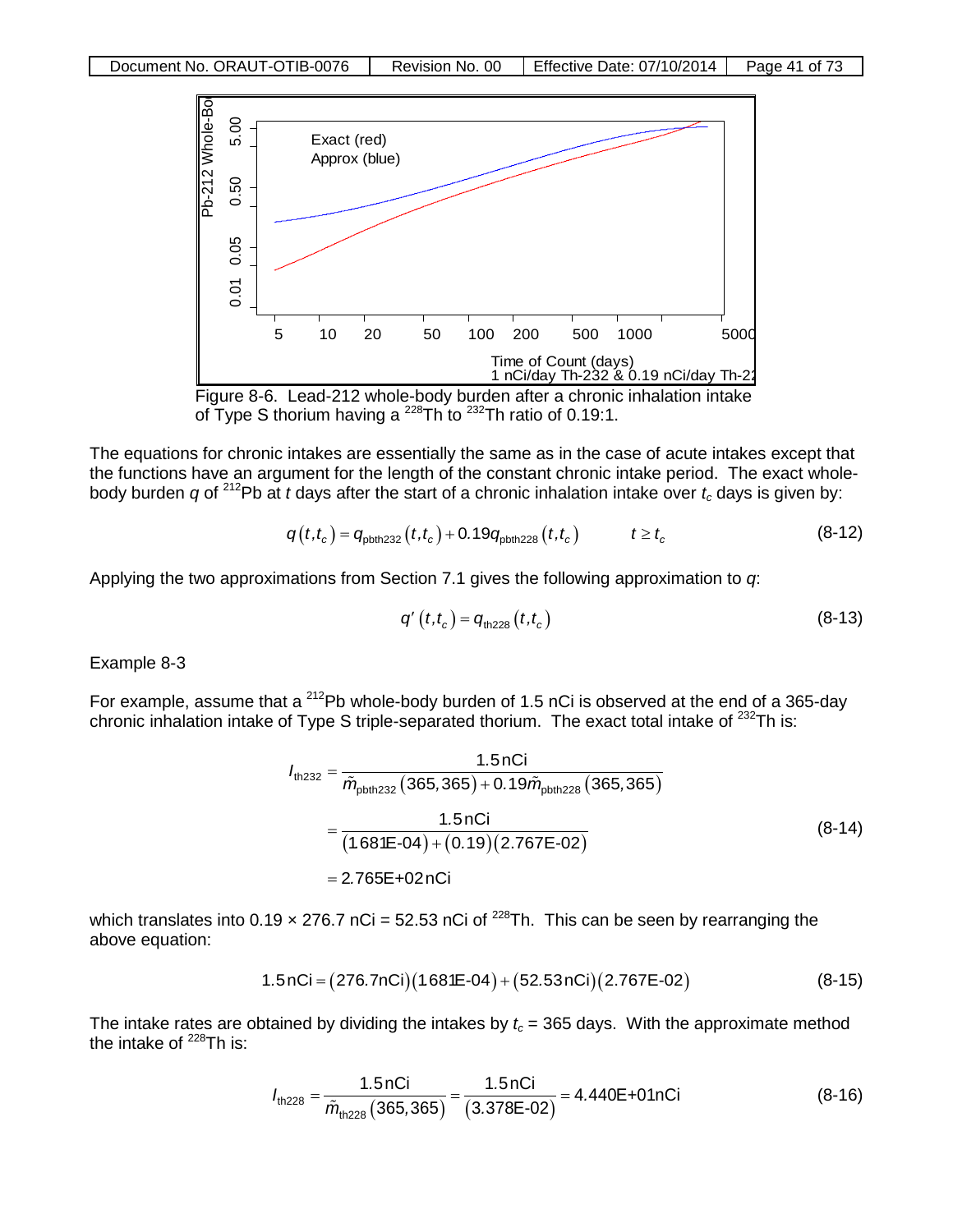



The equations for chronic intakes are essentially the same as in the case of acute intakes except that the functions have an argument for the length of the constant chronic intake period. The exact wholebody burden  $q$  of <sup>212</sup>Pb at *t* days after the start of a chronic inhalation intake over  $t_c$  days is given by:

$$
q(t,t_c) = q_{\text{pbth}232}(t,t_c) + 0.19q_{\text{pbth}228}(t,t_c) \qquad t \ge t_c
$$
 (8-12)

Applying the two approximations from Section 7.1 gives the following approximation to *q*:

$$
q'(t,t_c) = q_{\text{th228}}(t,t_c)
$$
 (8-13)

Example 8-3

For example, assume that a <sup>212</sup>Pb whole-body burden of 1.5 nCi is observed at the end of a 365-day chronic inhalation intake of Type S triple-separated thorium. The exact total intake of  $^{232}$ Th is:

$$
I_{\text{th232}} = \frac{1.5 \text{ nCi}}{\tilde{m}_{\text{pbth232}} (365,365) + 0.19 \tilde{m}_{\text{pbth228}} (365,365)}
$$
  
= 
$$
\frac{1.5 \text{ nCi}}{(1.681\text{E} - 04) + (0.19)(2.767\text{E} - 02)}
$$
  
= 2.765\text{E} + 02 nCi (8-12 n)

which translates into 0.19  $\times$  276.7 nCi = 52.53 nCi of <sup>228</sup>Th. This can be seen by rearranging the above equation:

$$
1.5 nCi = (276.7 nCi)(1.681E-04) + (52.53 nCi)(2.767E-02)
$$
 (8-15)

The intake rates are obtained by dividing the intakes by  $t_c$  = 365 days. With the approximate method the intake of  $^{228}$ Th is:

$$
I_{\text{th228}} = \frac{1.5 \text{ nCi}}{\tilde{m}_{\text{th228}} (365,365)} = \frac{1.5 \text{ nCi}}{(3.378 \text{E} - 02)} = 4.440 \text{E} + 01 \text{ nCi}
$$
(8-16)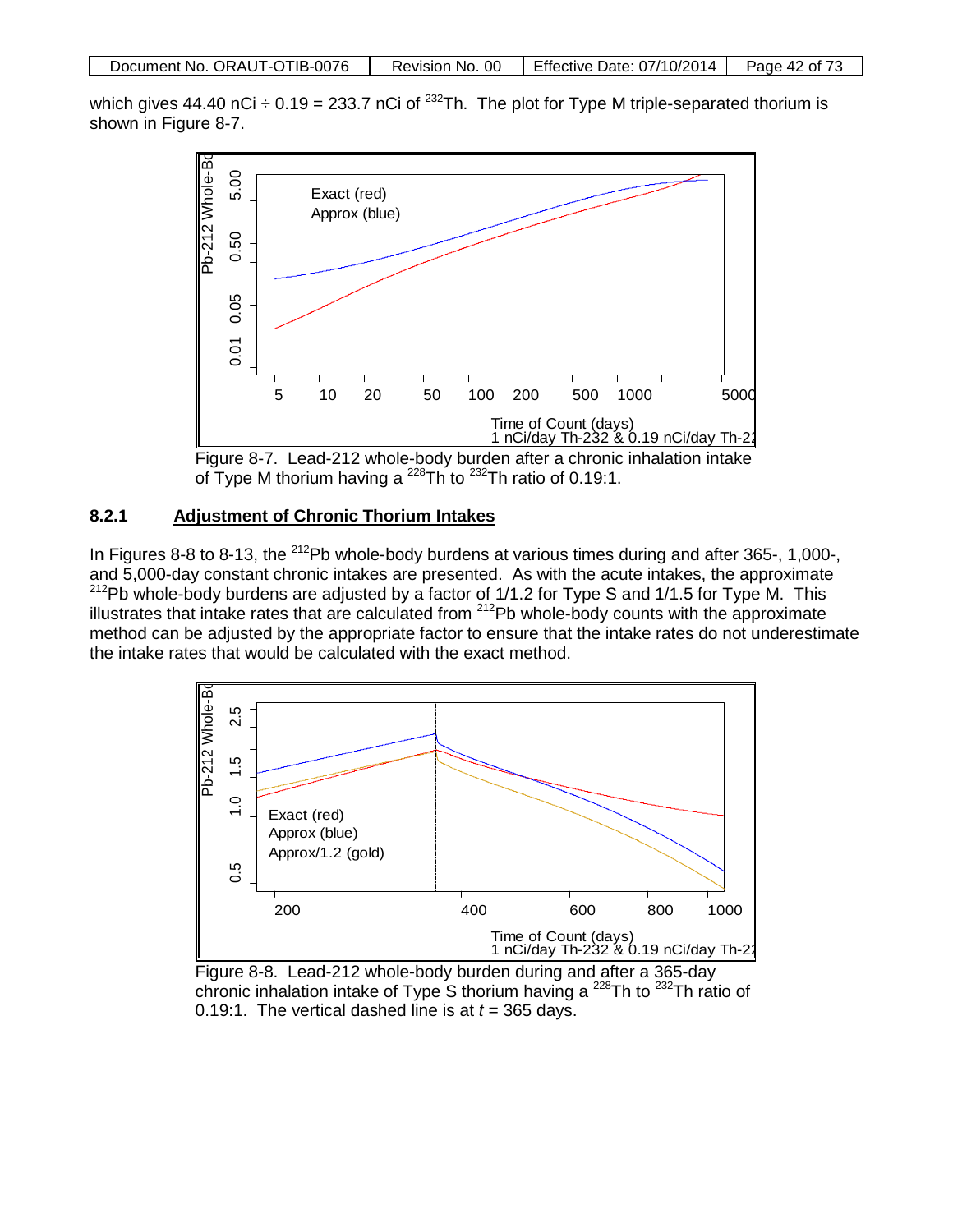| Document No. ORAUT-OTIB-0076 | Revision No. 00 | Effective Date: 07/10/2014 | Page 42 of 73 |
|------------------------------|-----------------|----------------------------|---------------|
|                              |                 |                            |               |

which gives 44.40 nCi  $\div$  0.19 = 233.7 nCi of <sup>232</sup>Th. The plot for Type M triple-separated thorium is shown in Figure 8-7.



Figure 8-7. Lead-212 whole-body burden after a chronic inhalation intake of Type M thorium having a <sup>228</sup>Th to <sup>232</sup>Th ratio of 0.19:1.

## **8.2.1 Adjustment of Chronic Thorium Intakes**

In Figures 8-8 to 8-13, the <sup>212</sup>Pb whole-body burdens at various times during and after 365-, 1,000-, and 5,000-day constant chronic intakes are presented. As with the acute intakes, the approximate  $^{212}$ Pb whole-body burdens are adjusted by a factor of 1/1.2 for Type S and 1/1.5 for Type M. This illustrates that intake rates that are calculated from 212Pb whole-body counts with the approximate method can be adjusted by the appropriate factor to ensure that the intake rates do not underestimate the intake rates that would be calculated with the exact method.



Figure 8-8. Lead-212 whole-body burden during and after a 365-day chronic inhalation intake of Type S thorium having a <sup>228</sup>Th to <sup>232</sup>Th ratio of 0.19:1. The vertical dashed line is at  $t = 365$  days.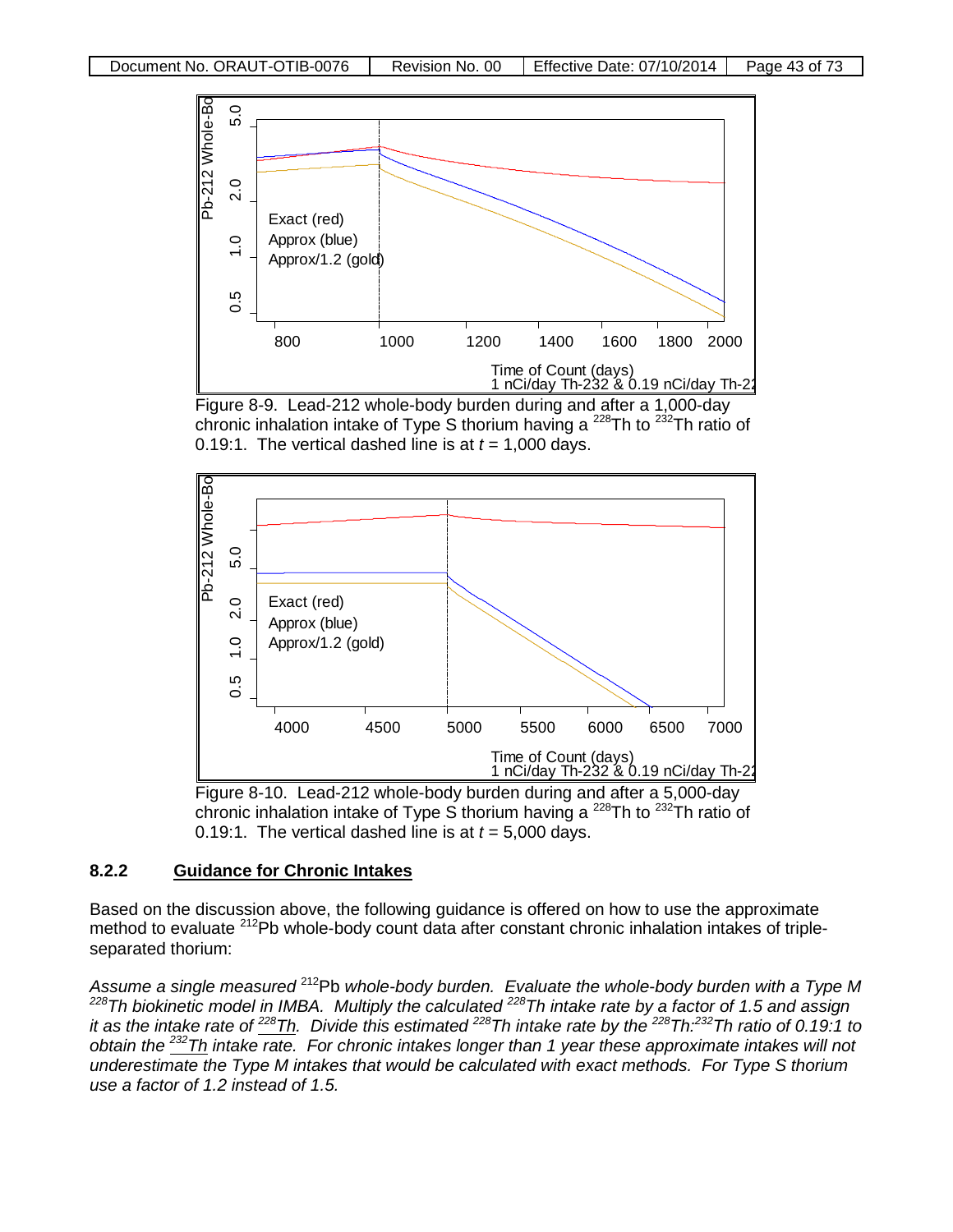





Figure 8-10. Lead-212 whole-body burden during and after a 5,000-day chronic inhalation intake of Type S thorium having a  $^{228}$ Th to  $^{232}$ Th ratio of 0.19:1. The vertical dashed line is at  $t = 5,000$  days.

#### **8.2.2 Guidance for Chronic Intakes**

Based on the discussion above, the following guidance is offered on how to use the approximate method to evaluate <sup>212</sup>Pb whole-body count data after constant chronic inhalation intakes of tripleseparated thorium:

*Assume a single measured* 212Pb *whole-body burden. Evaluate the whole-body burden with a Type M 228Th biokinetic model in IMBA. Multiply the calculated 228Th intake rate by a factor of 1.5 and assign it as the intake rate of 228Th. Divide this estimated 228Th intake rate by the 228Th:232Th ratio of 0.19:1 to obtain the 232Th intake rate. For chronic intakes longer than 1 year these approximate intakes will not underestimate the Type M intakes that would be calculated with exact methods. For Type S thorium use a factor of 1.2 instead of 1.5.*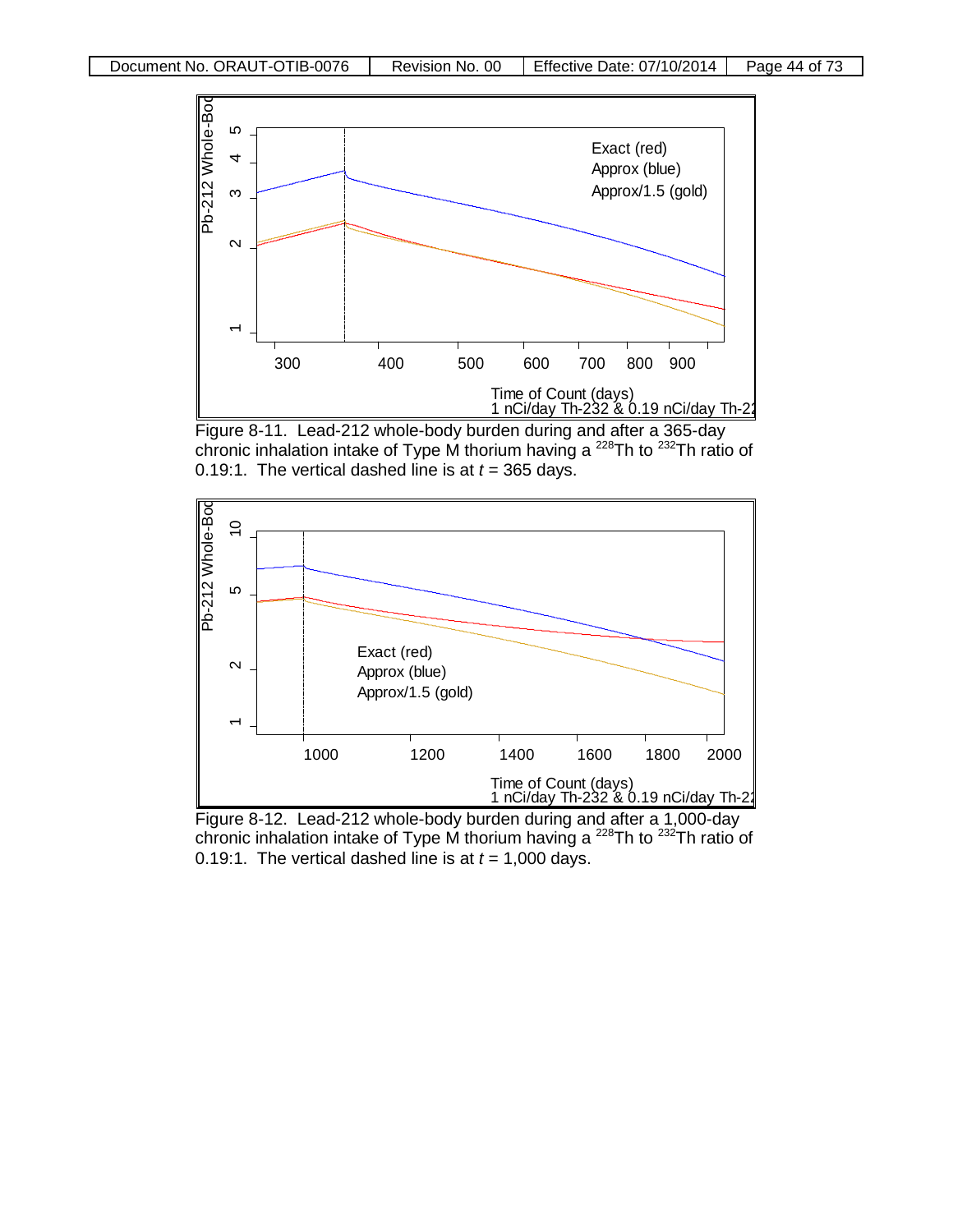

Figure 8-11. Lead-212 whole-body burden during and after a 365-day chronic inhalation intake of Type M thorium having a  $^{228}$ Th to  $^{232}$ Th ratio of 0.19:1. The vertical dashed line is at  $t = 365$  days.



Figure 8-12. Lead-212 whole-body burden during and after a 1,000-day chronic inhalation intake of Type M thorium having a  $^{228}$ Th to  $^{232}$ Th ratio of 0.19:1. The vertical dashed line is at  $t = 1,000$  days.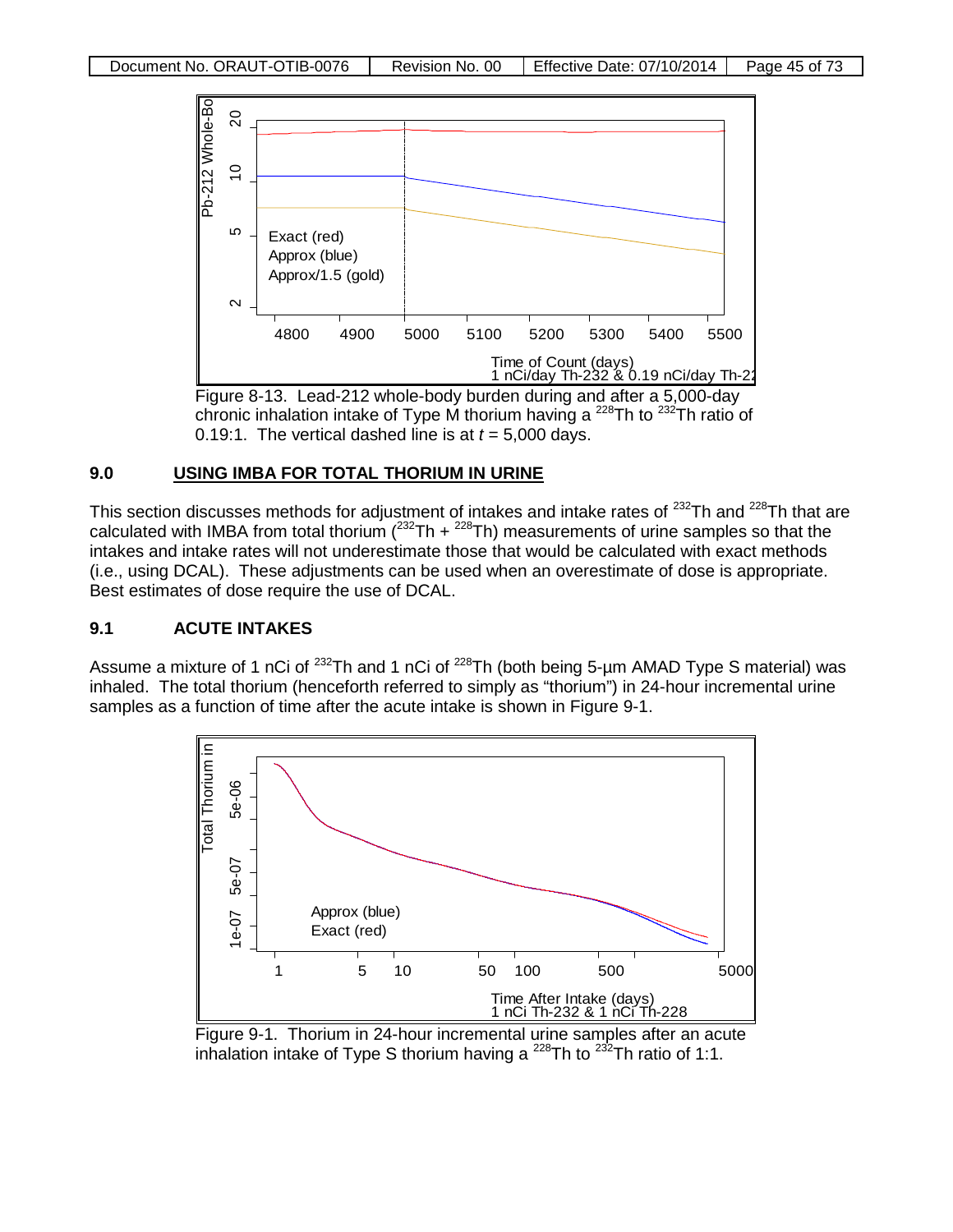



#### **9.0 USING IMBA FOR TOTAL THORIUM IN URINE**

This section discusses methods for adjustment of intakes and intake rates of <sup>232</sup>Th and <sup>228</sup>Th that are calculated with IMBA from total thorium ( $^{232}$ Th +  $^{228}$ Th) measurements of urine samples so that the intakes and intake rates will not underestimate those that would be calculated with exact methods (i.e., using DCAL). These adjustments can be used when an overestimate of dose is appropriate. Best estimates of dose require the use of DCAL.

## **9.1 ACUTE INTAKES**

Assume a mixture of 1 nCi of <sup>232</sup>Th and 1 nCi of <sup>228</sup>Th (both being 5-µm AMAD Type S material) was inhaled. The total thorium (henceforth referred to simply as "thorium") in 24-hour incremental urine samples as a function of time after the acute intake is shown in Figure 9-1.



Figure 9-1. Thorium in 24-hour incremental urine samples after an acute inhalation intake of Type S thorium having a  $^{228}$ Th to  $^{232}$ Th ratio of 1:1.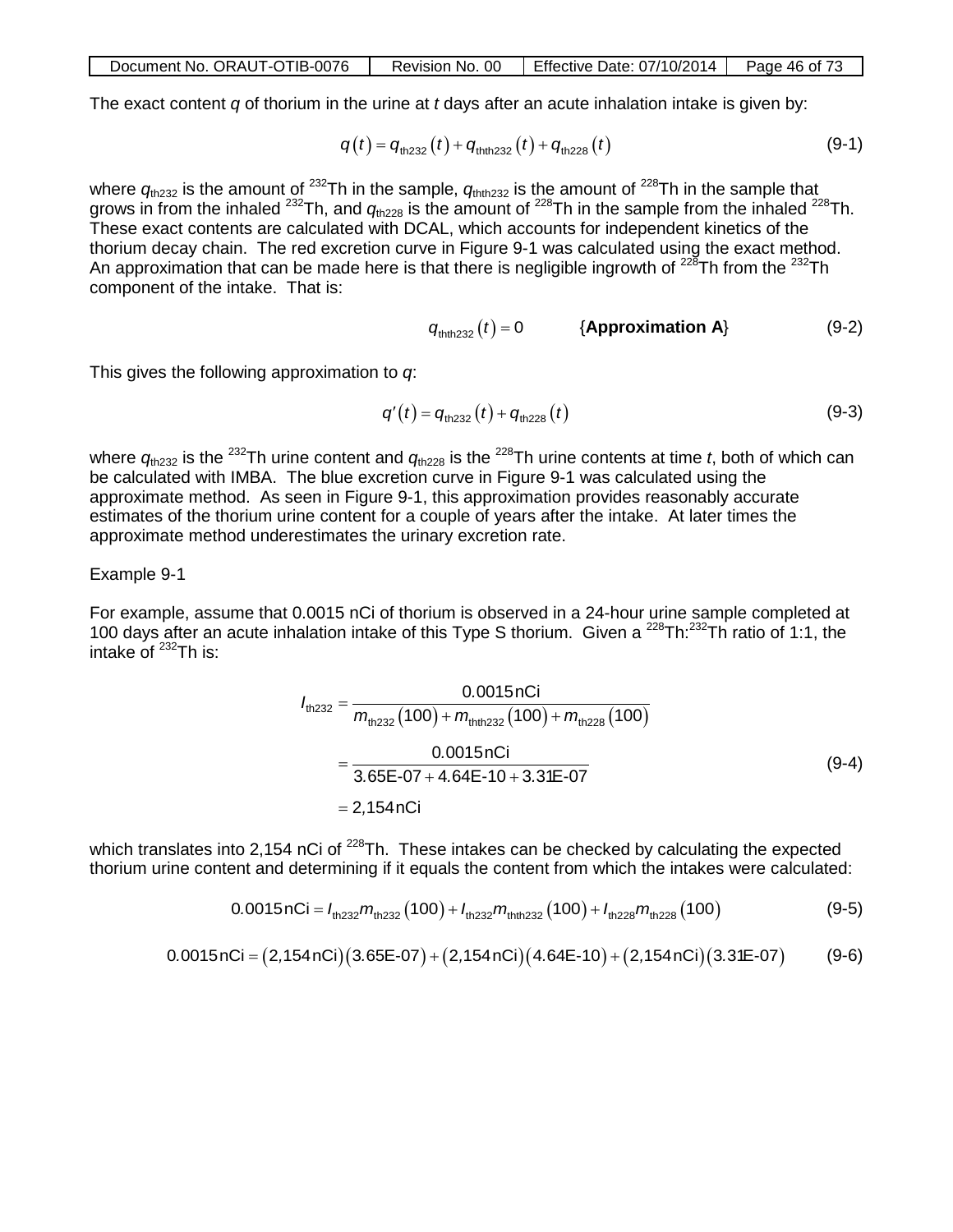| Document No. ORAUT-OTIB-0076 | Revision No. 00 | Effective Date: $07/10/2014$ | Page 46 of 73 |
|------------------------------|-----------------|------------------------------|---------------|
|------------------------------|-----------------|------------------------------|---------------|

The exact content *q* of thorium in the urine at *t* days after an acute inhalation intake is given by:

$$
q(t) = q_{\text{th232}}(t) + q_{\text{thth232}}(t) + q_{\text{th228}}(t)
$$
 (9-1)

where  $q_{\text{th232}}$  is the amount of <sup>232</sup>Th in the sample,  $q_{\text{thth232}}$  is the amount of <sup>228</sup>Th in the sample that grows in from the inhaled <sup>232</sup>Th, and  $q_{th228}$  is the amount of <sup>228</sup>Th in the sample from the inhaled <sup>228</sup>Th. These exact contents are calculated with DCAL, which accounts for independent kinetics of the thorium decay chain. The red excretion curve in Figure 9-1 was calculated using the exact method. An approximation that can be made here is that there is negligible ingrowth of  $^{228}$ Th from the  $^{232}$ Th component of the intake. That is:

$$
q_{\text{thth 232}}(t) = 0 \qquad \{ \text{Approximation A} \} \tag{9-2}
$$

This gives the following approximation to *q*:

$$
q'(t) = q_{\text{th232}}(t) + q_{\text{th228}}(t)
$$
 (9-3)

where  $q_{th232}$  is the <sup>232</sup>Th urine content and  $q_{th228}$  is the <sup>228</sup>Th urine contents at time *t*, both of which can be calculated with IMBA. The blue excretion curve in Figure 9-1 was calculated using the approximate method. As seen in Figure 9-1, this approximation provides reasonably accurate estimates of the thorium urine content for a couple of years after the intake. At later times the approximate method underestimates the urinary excretion rate.

#### Example 9-1

For example, assume that 0.0015 nCi of thorium is observed in a 24-hour urine sample completed at 100 days after an acute inhalation intake of this Type S thorium. Given a  $^{228}$ Th: $^{232}$ Th ratio of 1:1, the intake of  $^{232}$ Th is:

$$
I_{\text{th232}} = \frac{0.0015 \text{ nCi}}{m_{\text{th232}}(100) + m_{\text{th1232}}(100) + m_{\text{th228}}(100)}
$$
  
= 
$$
\frac{0.0015 \text{ nCi}}{3.65\text{E} \cdot 07 + 4.64\text{E} \cdot 10 + 3.31\text{E} \cdot 07}
$$
  
= 2,154 nCi (9-4)

which translates into 2,154 nCi of  $^{228}$ Th. These intakes can be checked by calculating the expected thorium urine content and determining if it equals the content from which the intakes were calculated:

$$
0.0015nCi = I_{th232}m_{th232}(100) + I_{th232}m_{th232}(100) + I_{th228}m_{th228}(100)
$$
 (9-5)

$$
0.0015nCi = (2,154nCi)(3.65E-07) + (2,154nCi)(4.64E-10) + (2,154nCi)(3.31E-07)
$$
 (9-6)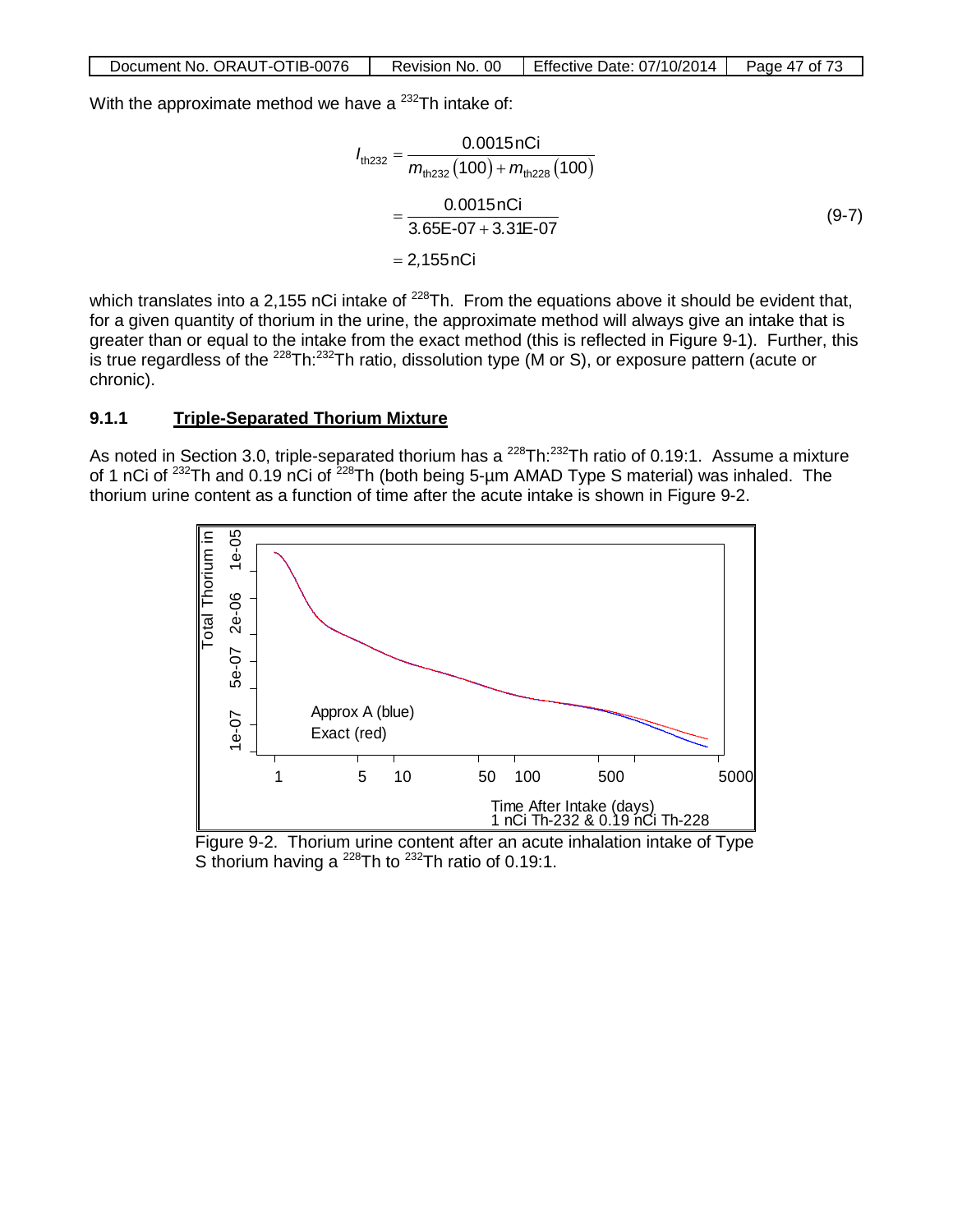With the approximate method we have a  $232$ Th intake of:

$$
I_{\text{th232}} = \frac{0.0015 \text{ nCi}}{m_{\text{th232}}(100) + m_{\text{th228}}(100)}
$$
  
= 
$$
\frac{0.0015 \text{ nCi}}{3.65\text{E} \cdot 07 + 3.31\text{E} \cdot 07}
$$
  
= 2,155 nCi (9-7)

which translates into a 2,155 nCi intake of  $^{228}$ Th. From the equations above it should be evident that, for a given quantity of thorium in the urine, the approximate method will always give an intake that is greater than or equal to the intake from the exact method (this is reflected in Figure 9-1). Further, this is true regardless of the <sup>228</sup>Th:<sup>232</sup>Th ratio, dissolution type (M or S), or exposure pattern (acute or chronic).

#### **9.1.1 Triple-Separated Thorium Mixture**

As noted in Section 3.0, triple-separated thorium has a <sup>228</sup>Th:<sup>232</sup>Th ratio of 0.19:1. Assume a mixture of 1 nCi of 232Th and 0.19 nCi of 228Th (both being 5-µm AMAD Type S material) was inhaled. The thorium urine content as a function of time after the acute intake is shown in Figure 9-2.



Figure 9-2. Thorium urine content after an acute inhalation intake of Type S thorium having a  $^{228}$ Th to  $^{232}$ Th ratio of 0.19:1.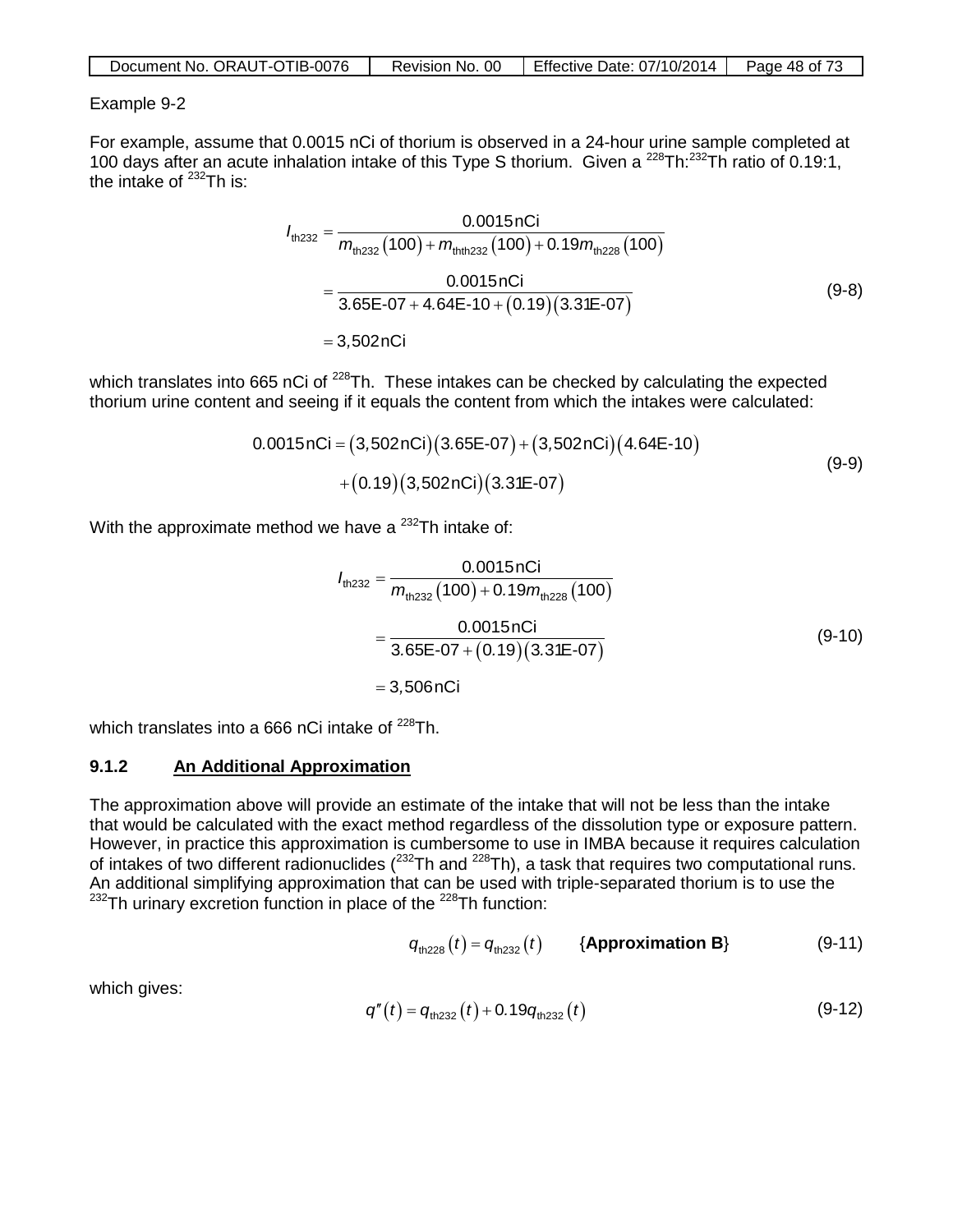| Document No. ORAUT-OTIB-0076 | Revision No. 00 | Effective Date: 07/10/2014 | Page 48 of 73 |
|------------------------------|-----------------|----------------------------|---------------|
|------------------------------|-----------------|----------------------------|---------------|

#### Example 9-2

For example, assume that 0.0015 nCi of thorium is observed in a 24-hour urine sample completed at 100 days after an acute inhalation intake of this Type S thorium. Given a 228Th:232Th ratio of 0.19:1, the intake of  $^{232}$ Th is:

$$
I_{\text{th232}} = \frac{0.0015 \text{ nCi}}{m_{\text{th232}}(100) + m_{\text{thth232}}(100) + 0.19 m_{\text{th228}}(100)}
$$
  
= 
$$
\frac{0.0015 \text{ nCi}}{3.65\text{E} \cdot 07 + 4.64\text{E} \cdot 10 + (0.19)(3.31\text{E} \cdot 07)}
$$
 (9-8)  
= 3,502 nCi

which translates into 665 nCi of <sup>228</sup>Th. These intakes can be checked by calculating the expected thorium urine content and seeing if it equals the content from which the intakes were calculated:

$$
0.0015nCi = (3,502nCi)(3.65E-07) + (3,502nCi)(4.64E-10) + (0.19)(3,502nCi)(3.31E-07)
$$
 (9-9)

With the approximate method we have a  $^{232}$ Th intake of:

$$
I_{\text{th,232}} = \frac{0.0015 \text{ nCi}}{m_{\text{th,232}}(100) + 0.19 m_{\text{th,228}}(100)}
$$
  
= 
$$
\frac{0.0015 \text{ nCi}}{3.65\text{E} \cdot 07 + (0.19)(3.31\text{E} \cdot 07)}
$$
  
= 3,506 nCi (9-10)

which translates into a 666 nCi intake of  $^{228}$ Th.

#### **9.1.2 An Additional Approximation**

The approximation above will provide an estimate of the intake that will not be less than the intake that would be calculated with the exact method regardless of the dissolution type or exposure pattern. However, in practice this approximation is cumbersome to use in IMBA because it requires calculation of intakes of two different radionuclides ( $232$ Th and  $228$ Th), a task that requires two computational runs. An additional simplifying approximation that can be used with triple-separated thorium is to use the  $232$ Th urinary excretion function in place of the  $228$ Th function:

$$
q_{\text{th228}}(t) = q_{\text{th232}}(t) \qquad \text{{\{Approximation B\}} \qquad (9-11)}
$$

which gives:

$$
q''(t) = q_{\text{th232}}(t) + 0.19q_{\text{th232}}(t)
$$
 (9-12)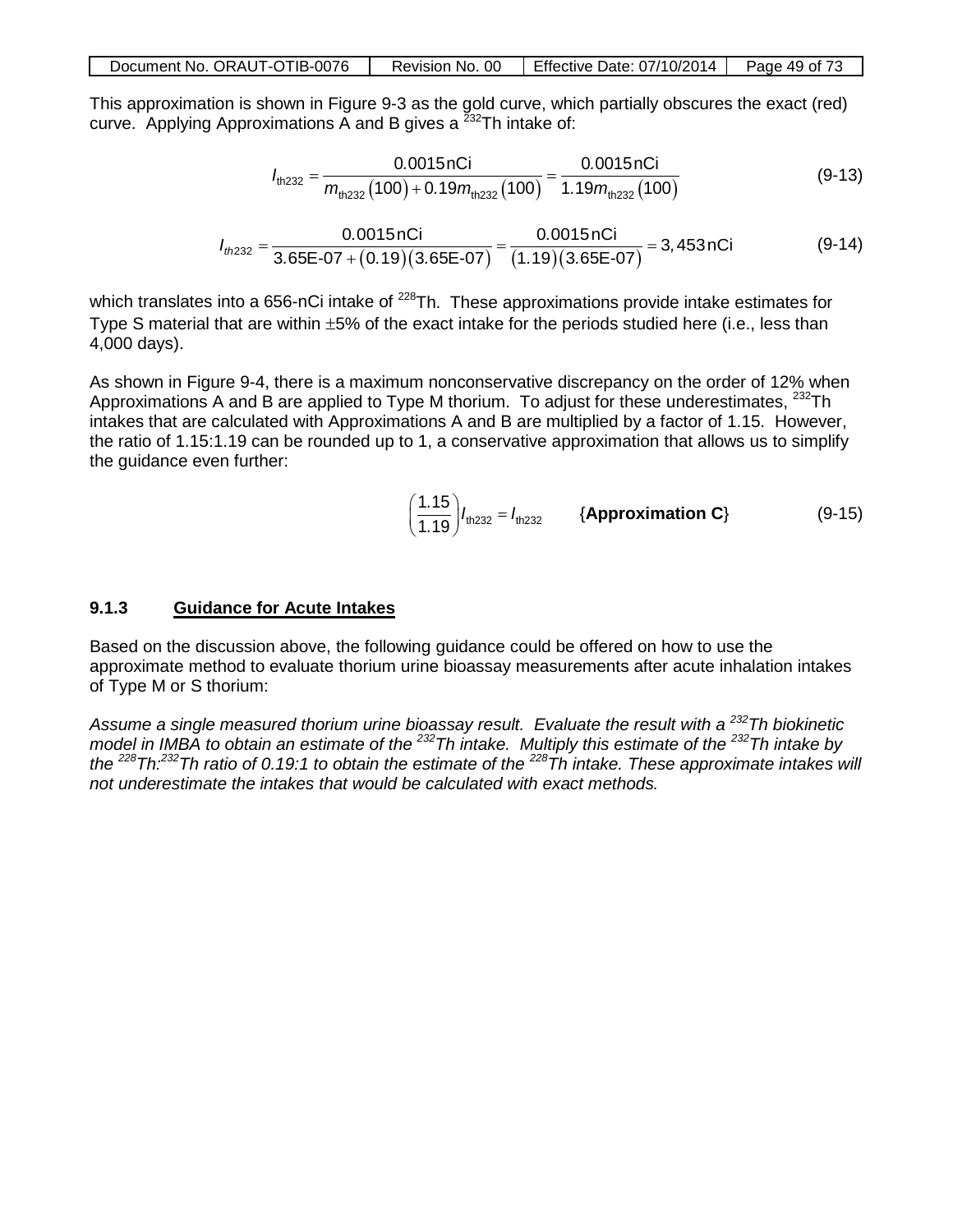| Document No. ORAUT-OTIB-0076 | Revision No. 00 | Effective Date: $07/10/2014$   Page 49 of 73 |  |
|------------------------------|-----------------|----------------------------------------------|--|
|------------------------------|-----------------|----------------------------------------------|--|

This approximation is shown in Figure 9-3 as the gold curve, which partially obscures the exact (red) curve. Applying Approximations A and B gives a  $^{232}$ Th intake of:

$$
I_{\text{th232}} = \frac{0.0015 \text{ nCi}}{m_{\text{th232}}(100) + 0.19 m_{\text{th232}}(100)} = \frac{0.0015 \text{ nCi}}{1.19 m_{\text{th232}}(100)}\tag{9-13}
$$

$$
I_{th232} = \frac{0.0015 \text{ nCi}}{3.65 \text{E} \cdot 07 + (0.19)(3.65 \text{E} \cdot 07)} = \frac{0.0015 \text{ nCi}}{(1.19)(3.65 \text{E} \cdot 07)} = 3,453 \text{ nCi}
$$
(9-14)

which translates into a 656-nCi intake of  $^{228}$ Th. These approximations provide intake estimates for Type S material that are within ±5% of the exact intake for the periods studied here (i.e., less than 4,000 days).

As shown in Figure 9-4, there is a maximum nonconservative discrepancy on the order of 12% when Approximations A and B are applied to Type M thorium. To adjust for these underestimates,  $^{232}$ Th intakes that are calculated with Approximations A and B are multiplied by a factor of 1.15. However, the ratio of 1.15:1.19 can be rounded up to 1, a conservative approximation that allows us to simplify the guidance even further:

$$
\left(\frac{1.15}{1.19}\right)l_{\text{th232}} = l_{\text{th232}} \qquad \{\text{Approximation C}\}\tag{9-15}
$$

#### **9.1.3 Guidance for Acute Intakes**

Based on the discussion above, the following guidance could be offered on how to use the approximate method to evaluate thorium urine bioassay measurements after acute inhalation intakes of Type M or S thorium:

*Assume a single measured thorium urine bioassay result. Evaluate the result with a 232Th biokinetic model in IMBA to obtain an estimate of the 232Th intake. Multiply this estimate of the 232Th intake by the 228Th:232Th ratio of 0.19:1 to obtain the estimate of the 228Th intake. These approximate intakes will not underestimate the intakes that would be calculated with exact methods.*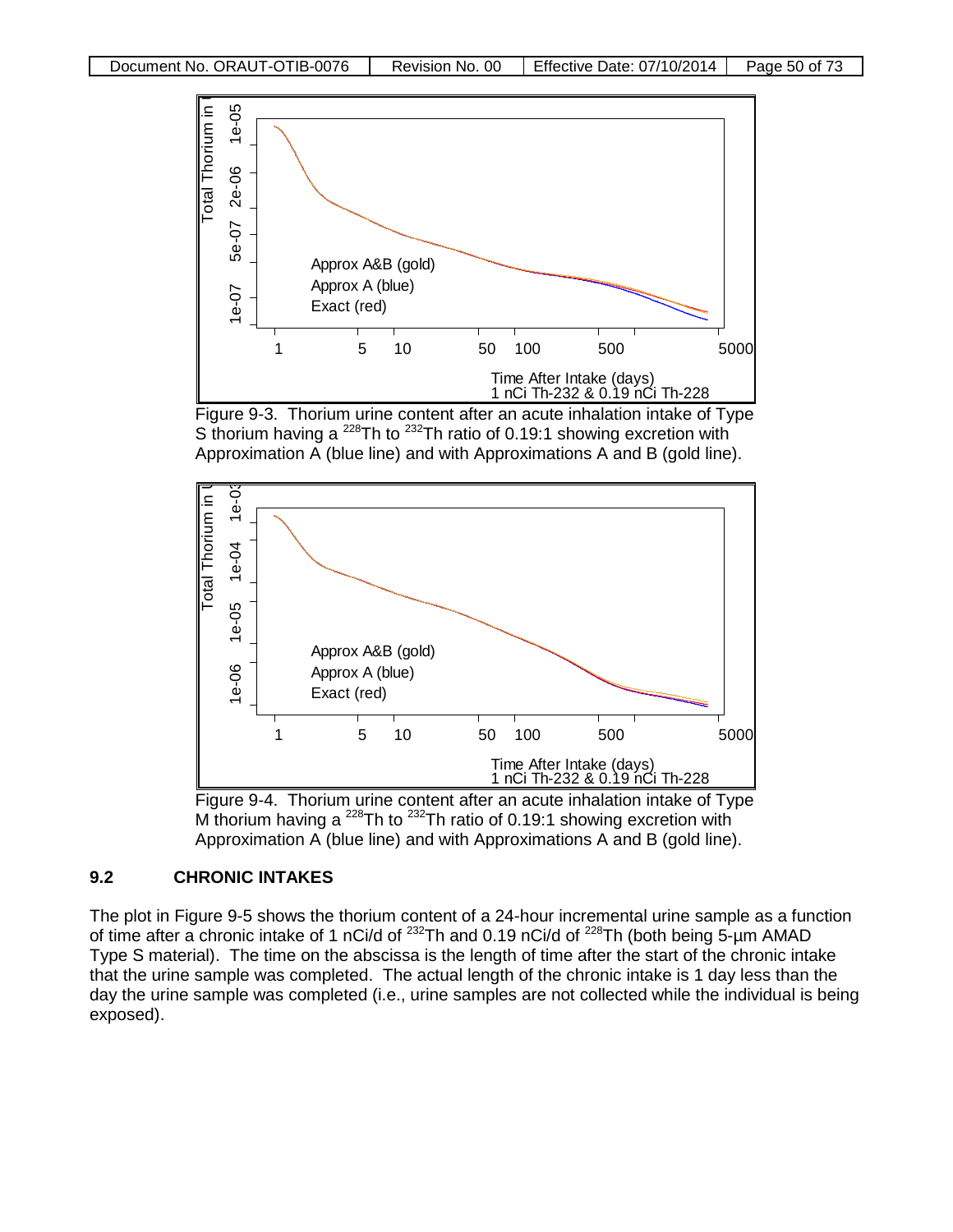







## **9.2 CHRONIC INTAKES**

The plot in Figure 9-5 shows the thorium content of a 24-hour incremental urine sample as a function of time after a chronic intake of 1 nCi/d of  $^{232}$ Th and 0.19 nCi/d of  $^{228}$ Th (both being 5-µm AMAD Type S material). The time on the abscissa is the length of time after the start of the chronic intake that the urine sample was completed. The actual length of the chronic intake is 1 day less than the day the urine sample was completed (i.e., urine samples are not collected while the individual is being exposed).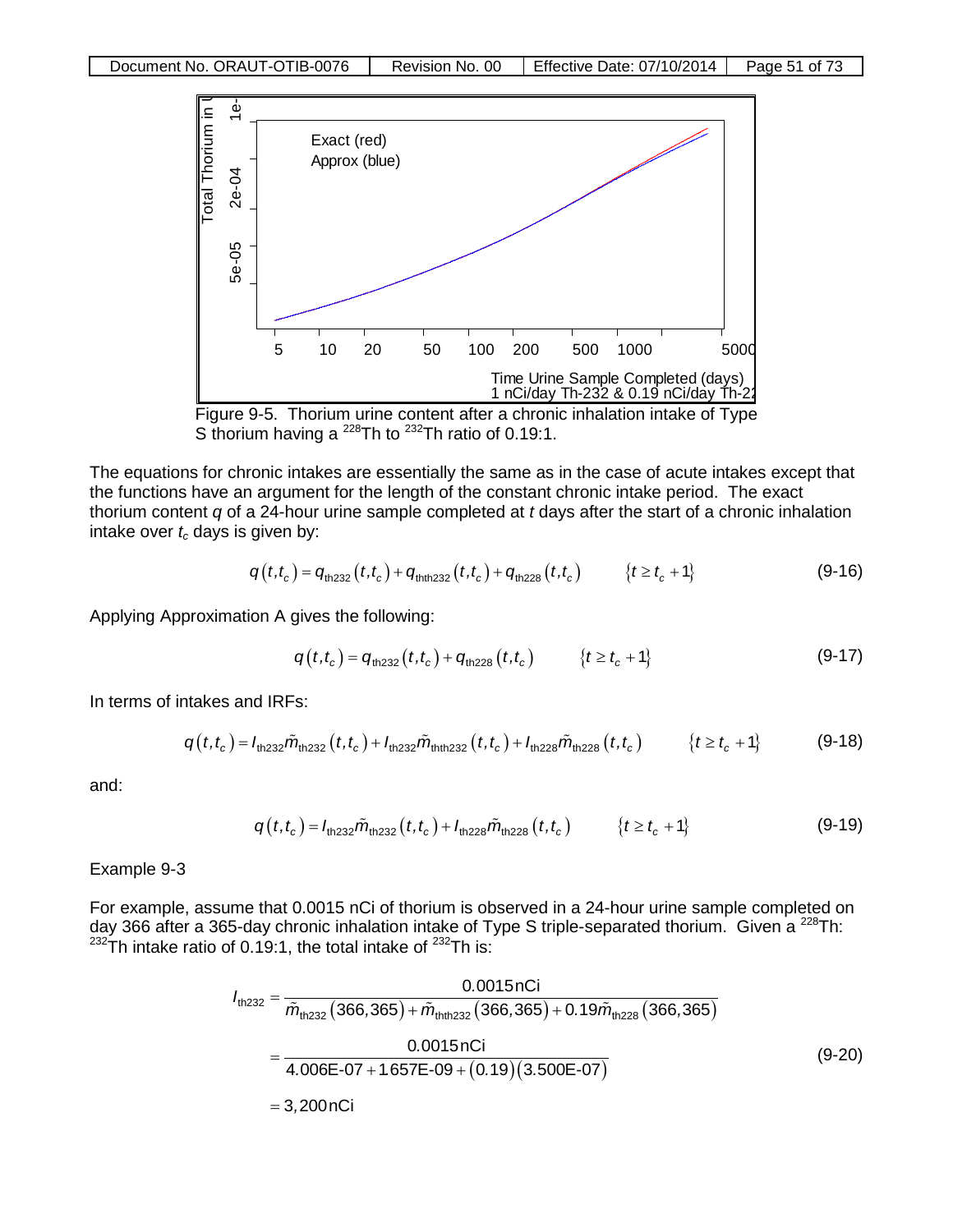



The equations for chronic intakes are essentially the same as in the case of acute intakes except that the functions have an argument for the length of the constant chronic intake period. The exact thorium content *q* of a 24-hour urine sample completed at *t* days after the start of a chronic inhalation intake over  $t_c$  days is given by:

$$
q(t,t_c) = q_{\text{th232}}(t,t_c) + q_{\text{thth232}}(t,t_c) + q_{\text{th228}}(t,t_c) \qquad \{t \ge t_c + 1\} \tag{9-16}
$$

Applying Approximation A gives the following:

$$
q(t,t_c) = q_{\text{th232}}(t,t_c) + q_{\text{th228}}(t,t_c) \qquad \{t \ge t_c + 1\} \tag{9-17}
$$

In terms of intakes and IRFs:

$$
q(t,t_c) = I_{\text{th232}}\tilde{m}_{\text{th232}}(t,t_c) + I_{\text{th232}}\tilde{m}_{\text{th232}}(t,t_c) + I_{\text{th228}}\tilde{m}_{\text{th228}}(t,t_c) \qquad \{t \ge t_c + 1\} \tag{9-18}
$$

and:

$$
q(t,t_c) = I_{\text{th232}} \tilde{m}_{\text{th232}}(t,t_c) + I_{\text{th228}} \tilde{m}_{\text{th228}}(t,t_c) \qquad \{t \ge t_c + 1\} \tag{9-19}
$$

Example 9-3

For example, assume that 0.0015 nCi of thorium is observed in a 24-hour urine sample completed on day 366 after a 365-day chronic inhalation intake of Type S triple-separated thorium. Given a <sup>228</sup>Th:  $232$ Th intake ratio of 0.19:1, the total intake of  $232$ Th is:

$$
I_{\text{th232}} = \frac{0.0015 \text{ nC}}{\tilde{m}_{\text{th232}} \left( 366,365 \right) + \tilde{m}_{\text{th232}} \left( 366,365 \right) + 0.19 \tilde{m}_{\text{th228}} \left( 366,365 \right)}
$$
\n
$$
= \frac{0.0015 \text{ nC}}{4.006 \text{E} \cdot 07 + 1.657 \text{E} \cdot 09 + \left( 0.19 \right) \left( 3.500 \text{E} \cdot 07 \right)}
$$
\n
$$
= 3,200 \text{ nC}
$$
\n(9-20)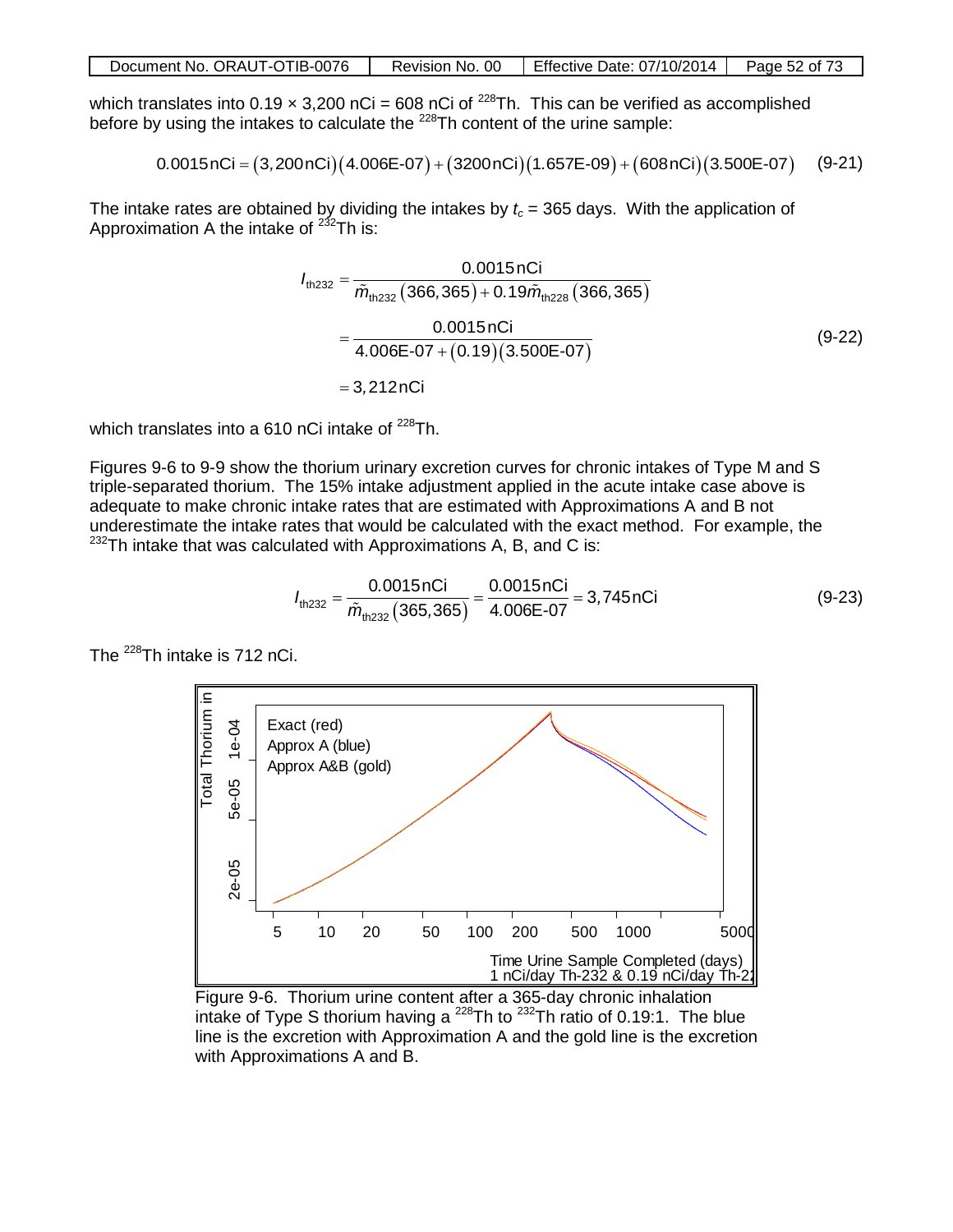| Document No. ORAUT-OTIB-0076 | Revision No. 00 | Effective Date: 07/10/2014 | Page 52 of 73 |
|------------------------------|-----------------|----------------------------|---------------|
|------------------------------|-----------------|----------------------------|---------------|

which translates into  $0.19 \times 3{,}200$  nCi = 608 nCi of <sup>228</sup>Th. This can be verified as accomplished before by using the intakes to calculate the <sup>228</sup>Th content of the urine sample:

$$
0.0015nCi = (3,200nCi)(4.006E-07) + (3200nCi)(1.657E-09) + (608nCi)(3.500E-07) \quad (9-21)
$$

The intake rates are obtained by dividing the intakes by  $t_c$  = 365 days. With the application of Approximation A the intake of  $232$ Th is:

$$
I_{\text{th232}} = \frac{0.0015 \text{ nCi}}{\tilde{m}_{\text{th232}} (366,365) + 0.19 \tilde{m}_{\text{th228}} (366,365)}
$$
  
= 
$$
\frac{0.0015 \text{ nCi}}{4.006E - 07 + (0.19)(3.500E - 07)}
$$
  
= 3,212 nCi (9-22)

which translates into a 610 nCi intake of  $^{228}$ Th.

Figures 9-6 to 9-9 show the thorium urinary excretion curves for chronic intakes of Type M and S triple-separated thorium. The 15% intake adjustment applied in the acute intake case above is adequate to make chronic intake rates that are estimated with Approximations A and B not underestimate the intake rates that would be calculated with the exact method. For example, the  $232$ Th intake that was calculated with Approximations A, B, and C is:

$$
I_{\text{th232}} = \frac{0.0015 \text{ nCi}}{\tilde{m}_{\text{th232}}(365,365)} = \frac{0.0015 \text{ nCi}}{4.006 \text{E} \cdot 07} = 3{,}745 \text{ nCi}
$$
(9-23)

The <sup>228</sup>Th intake is 712 nCi.



Figure 9-6. Thorium urine content after a 365-day chronic inhalation intake of Type S thorium having a  $^{228}$ Th to  $^{232}$ Th ratio of 0.19:1. The blue line is the excretion with Approximation A and the gold line is the excretion with Approximations A and B.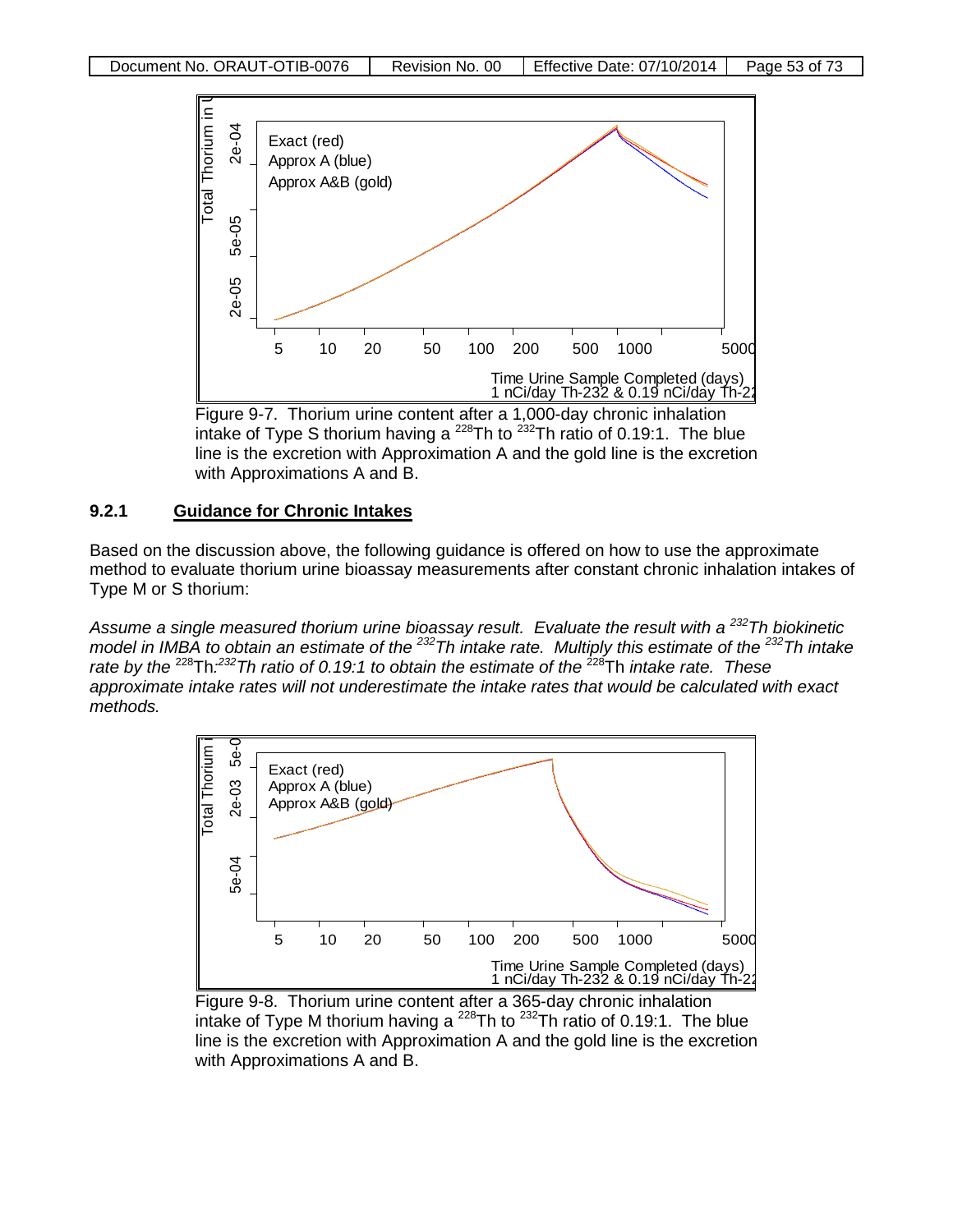

intake of Type S thorium having a  $^{228}$ Th to  $^{232}$ Th ratio of 0.19:1. The blue line is the excretion with Approximation A and the gold line is the excretion with Approximations A and B.

#### **9.2.1 Guidance for Chronic Intakes**

Based on the discussion above, the following guidance is offered on how to use the approximate method to evaluate thorium urine bioassay measurements after constant chronic inhalation intakes of Type M or S thorium:

*Assume a single measured thorium urine bioassay result. Evaluate the result with a 232Th biokinetic model in IMBA to obtain an estimate of the 232Th intake rate. Multiply this estimate of the 232Th intake rate by the* 228Th*: 232Th ratio of 0.19:1 to obtain the estimate of the* 228Th *intake rate. These approximate intake rates will not underestimate the intake rates that would be calculated with exact methods.*



Figure 9-8. Thorium urine content after a 365-day chronic inhalation intake of Type M thorium having a  $^{228}$ Th to  $^{232}$ Th ratio of 0.19:1. The blue line is the excretion with Approximation A and the gold line is the excretion with Approximations A and B.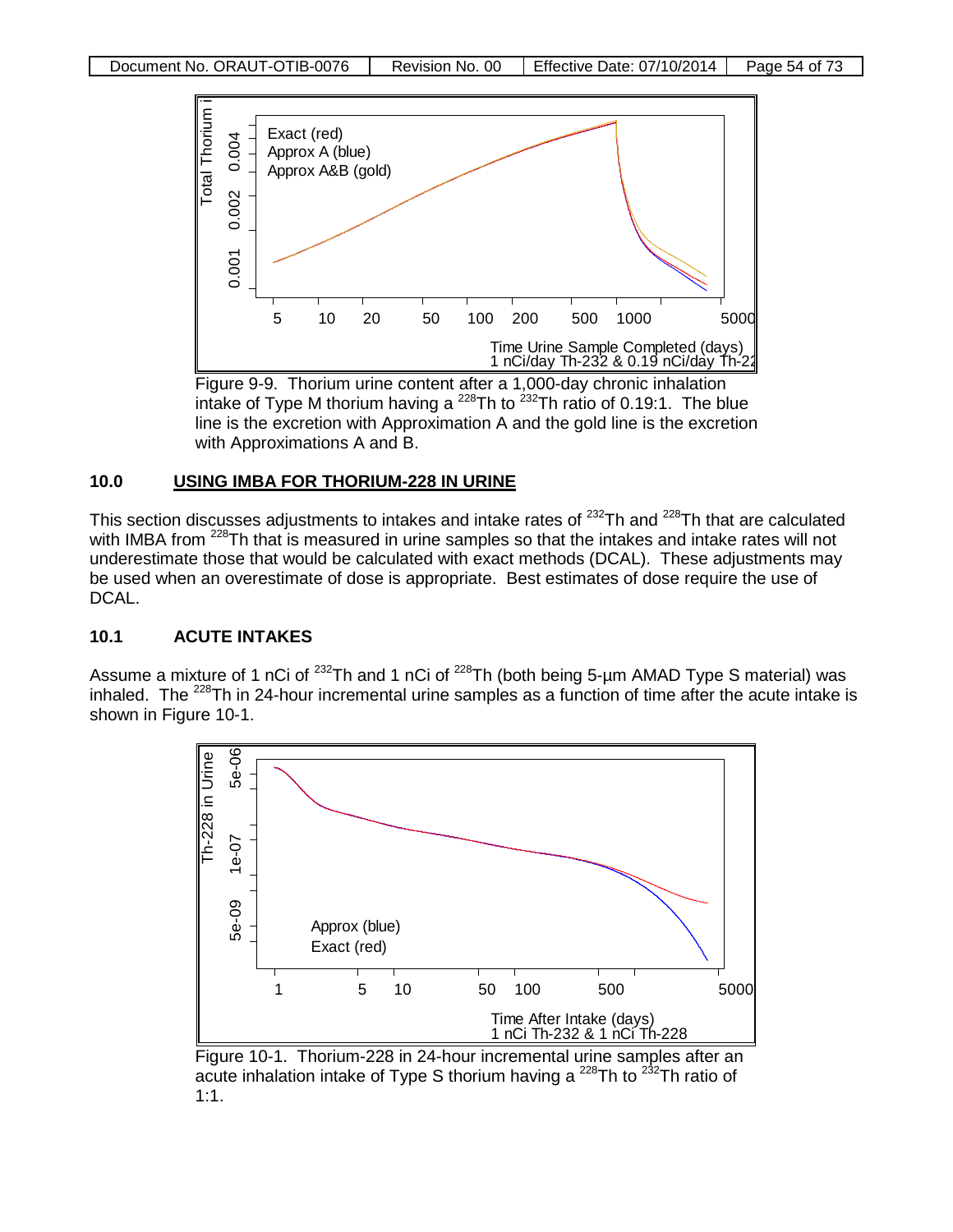

intake of Type M thorium having a  $^{228}$ Th to  $^{232}$ Th ratio of 0.19:1. The blue line is the excretion with Approximation A and the gold line is the excretion with Approximations A and B.

## **10.0 USING IMBA FOR THORIUM-228 IN URINE**

This section discusses adjustments to intakes and intake rates of <sup>232</sup>Th and <sup>228</sup>Th that are calculated with IMBA from <sup>228</sup>Th that is measured in urine samples so that the intakes and intake rates will not underestimate those that would be calculated with exact methods (DCAL). These adjustments may be used when an overestimate of dose is appropriate. Best estimates of dose require the use of DCAL.

## **10.1 ACUTE INTAKES**

Assume a mixture of 1 nCi of <sup>232</sup>Th and 1 nCi of <sup>228</sup>Th (both being 5-µm AMAD Type S material) was inhaled. The <sup>228</sup>Th in 24-hour incremental urine samples as a function of time after the acute intake is shown in Figure 10-1.



Figure 10-1. Thorium-228 in 24-hour incremental urine samples after an acute inhalation intake of Type S thorium having a  $^{228}$ Th to  $^{232}$ Th ratio of 1:1.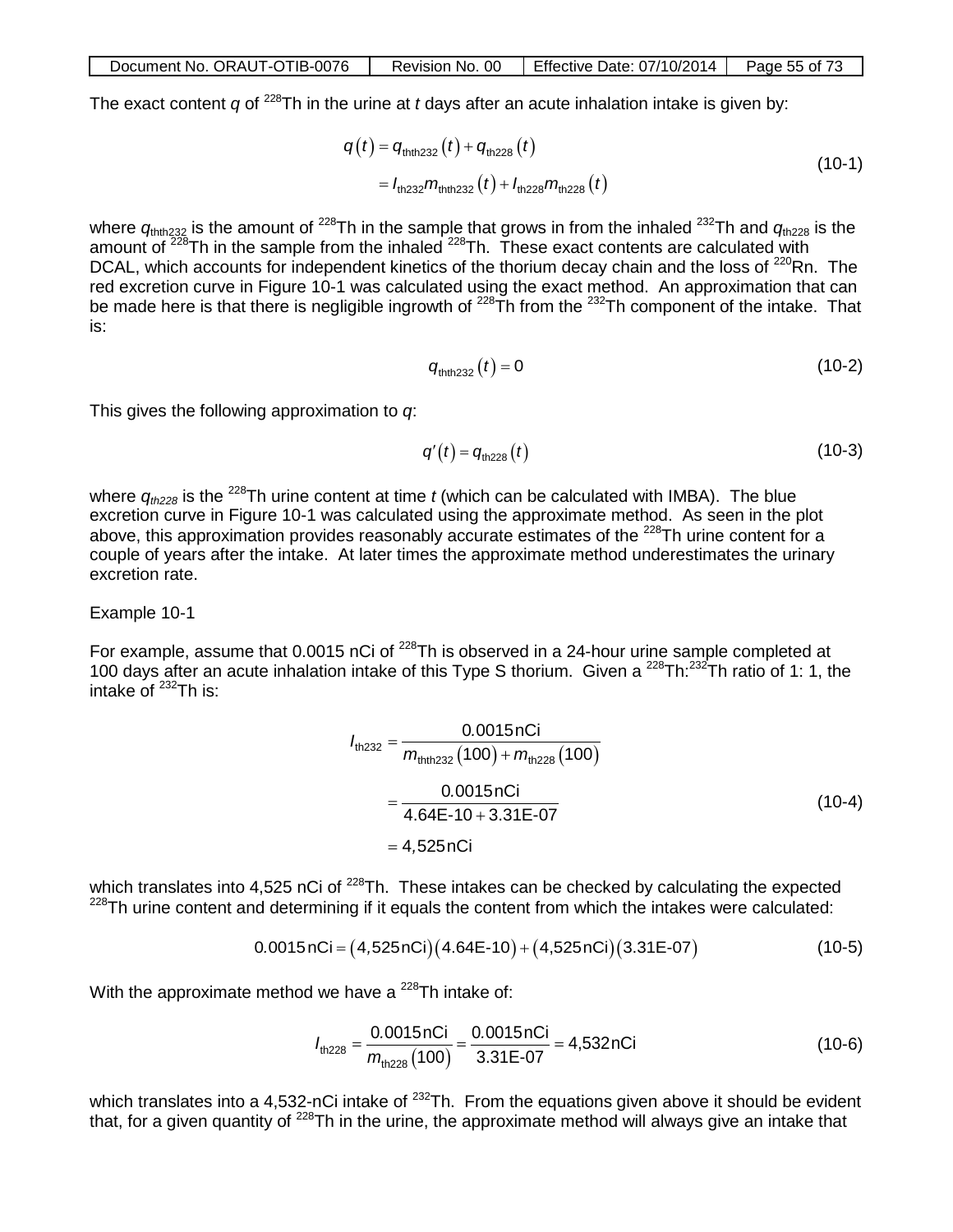| Document No. ORAUT-OTIB-0076 |  | Revision No. 00 Fffective Date: $07/10/2014$ Page 55 of 73 |  |
|------------------------------|--|------------------------------------------------------------|--|
|------------------------------|--|------------------------------------------------------------|--|

The exact content *q* of 228Th in the urine at *t* days after an acute inhalation intake is given by:

$$
q(t) = q_{\text{thth 232}}(t) + q_{\text{th 228}}(t)
$$
  
=  $I_{\text{th 232}} m_{\text{thth 232}}(t) + I_{\text{th 228}} m_{\text{th 228}}(t)$  (10-1)

where  $q_{\text{thth232}}$  is the amount of <sup>228</sup>Th in the sample that grows in from the inhaled <sup>232</sup>Th and  $q_{\text{th228}}$  is the amount of  $228$ Th in the sample from the inhaled  $228$ Th. These exact contents are calculated with DCAL, which accounts for independent kinetics of the thorium decay chain and the loss of <sup>220</sup>Rn. The red excretion curve in Figure 10-1 was calculated using the exact method. An approximation that can be made here is that there is negligible ingrowth of <sup>228</sup>Th from the <sup>232</sup>Th component of the intake. That is:

$$
q_{\text{thth 232}}(t) = 0 \tag{10-2}
$$

This gives the following approximation to *q*:

$$
q'(t) = q_{\text{th228}}(t) \tag{10-3}
$$

where  $q_{th228}$  is the <sup>228</sup>Th urine content at time *t* (which can be calculated with IMBA). The blue excretion curve in Figure 10-1 was calculated using the approximate method. As seen in the plot above, this approximation provides reasonably accurate estimates of the <sup>228</sup>Th urine content for a couple of years after the intake. At later times the approximate method underestimates the urinary excretion rate.

#### Example 10-1

For example, assume that 0.0015 nCi of <sup>228</sup>Th is observed in a 24-hour urine sample completed at 100 days after an acute inhalation intake of this Type S thorium. Given a  $^{228}$ Th: $^{232}$ Th ratio of 1: 1, the intake of  $^{232}$ Th is:

$$
I_{\text{th232}} = \frac{0.0015 \text{ nCi}}{m_{\text{thth232}} (100) + m_{\text{th228}} (100)}
$$
  
= 
$$
\frac{0.0015 \text{ nCi}}{4.64 \text{E} - 10 + 3.31 \text{E} - 07}
$$
 (10-4)  
= 4,525 nCi

which translates into 4,525 nCi of  $^{228}$ Th. These intakes can be checked by calculating the expected  $228$ Th urine content and determining if it equals the content from which the intakes were calculated:

$$
0.0015 nCi = (4.525 nCi)(4.64E-10) + (4.525 nCi)(3.31E-07)
$$
 (10-5)

With the approximate method we have a  $^{228}$ Th intake of:

$$
I_{\text{th228}} = \frac{0.0015 \text{nCi}}{m_{\text{th228}}(100)} = \frac{0.0015 \text{nCi}}{3.31 \text{E} \cdot 07} = 4,532 \text{nCi}
$$
 (10-6)

which translates into a 4,532-nCi intake of <sup>232</sup>Th. From the equations given above it should be evident that, for a given quantity of  $^{228}$ Th in the urine, the approximate method will always give an intake that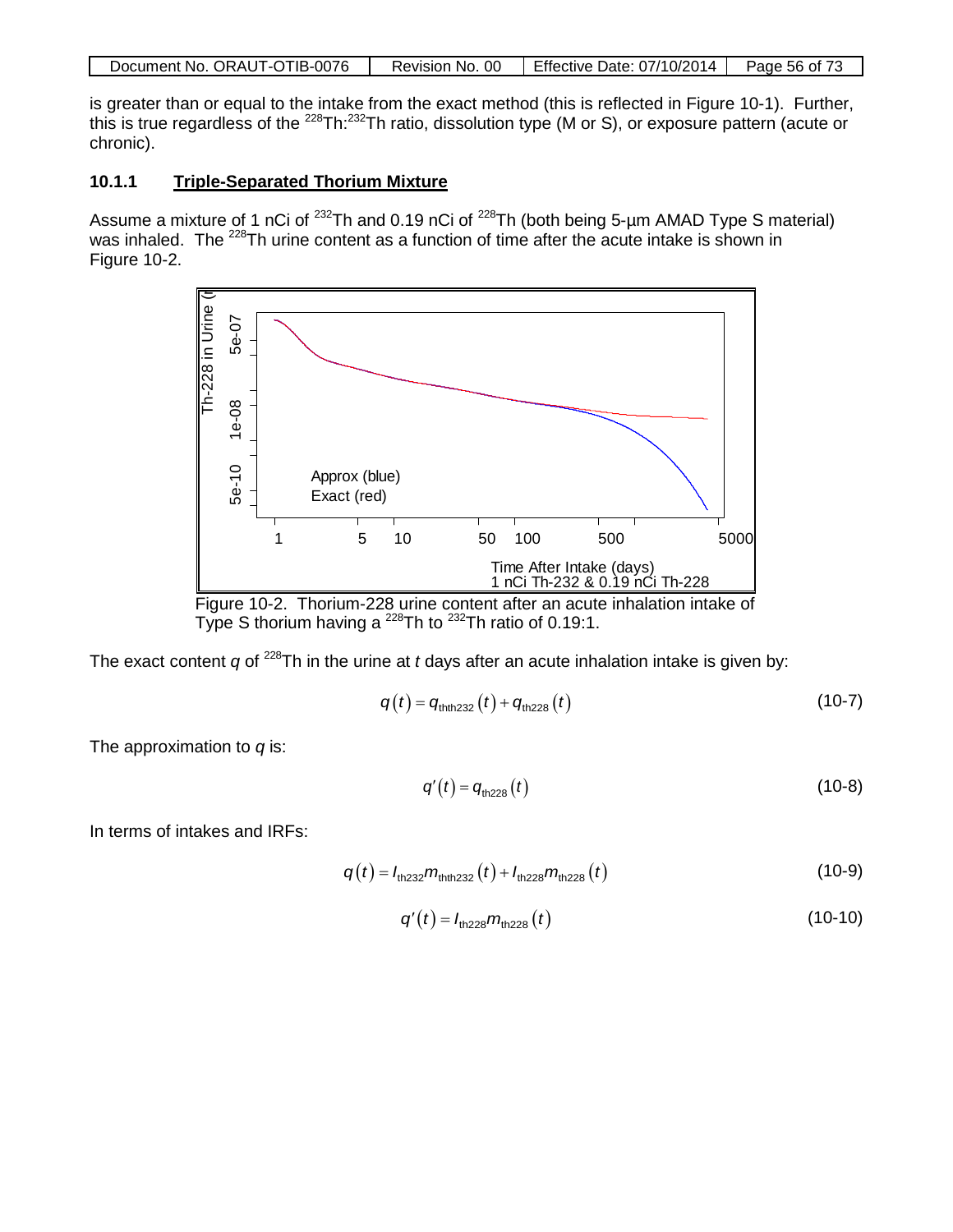| Document No. ORAUT-OTIB-0076 | Revision No. 00 | Effective Date: 07/10/2014 | Page 56 of 73 |
|------------------------------|-----------------|----------------------------|---------------|
|------------------------------|-----------------|----------------------------|---------------|

is greater than or equal to the intake from the exact method (this is reflected in Figure 10-1). Further, this is true regardless of the <sup>228</sup>Th:<sup>232</sup>Th ratio, dissolution type (M or S), or exposure pattern (acute or chronic).

#### **10.1.1 Triple-Separated Thorium Mixture**

Assume a mixture of 1 nCi of <sup>232</sup>Th and 0.19 nCi of <sup>228</sup>Th (both being 5-µm AMAD Type S material) was inhaled. The <sup>228</sup>Th urine content as a function of time after the acute intake is shown in Figure 10-2.



Type S thorium having a  $^{228}$ Th to  $^{232}$ Th ratio of 0.19:1.

The exact content *q* of <sup>228</sup>Th in the urine at *t* days after an acute inhalation intake is given by:

$$
q(t) = q_{\text{thth 232}}(t) + q_{\text{th 228}}(t)
$$
 (10-7)

The approximation to *q* is:

$$
q'(t) = q_{\text{th228}}(t) \tag{10-8}
$$

In terms of intakes and IRFs:

$$
q(t) = I_{\text{th232}} m_{\text{th232}}(t) + I_{\text{th228}} m_{\text{th228}}(t)
$$
 (10-9)

$$
q'(t) = I_{\text{th228}} m_{\text{th228}}(t) \tag{10-10}
$$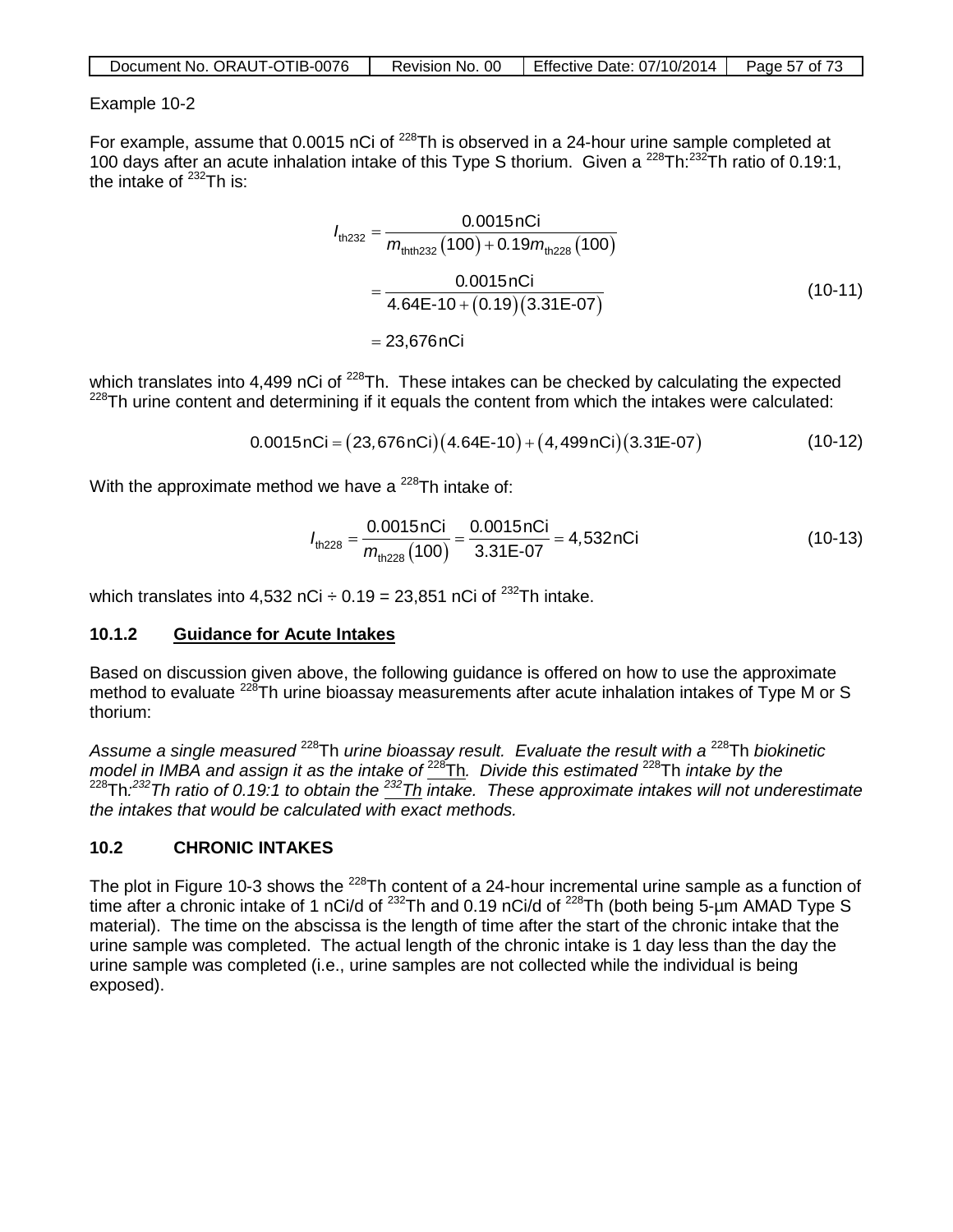| Document No. ORAUT-OTIB-0076 | Revision No. 00 | Effective Date: 07/10/2014 | Page 57 of 73 |
|------------------------------|-----------------|----------------------------|---------------|
|------------------------------|-----------------|----------------------------|---------------|

#### Example 10-2

For example, assume that 0.0015 nCi of <sup>228</sup>Th is observed in a 24-hour urine sample completed at 100 days after an acute inhalation intake of this Type S thorium. Given a 228Th:232Th ratio of 0.19:1, the intake of  $^{232}$ Th is:

$$
I_{\text{th232}} = \frac{0.0015 \text{ nCi}}{m_{\text{th1232}}(100) + 0.19 m_{\text{th228}}(100)}
$$
  
= 
$$
\frac{0.0015 \text{ nCi}}{4.64 \text{E} \cdot 10 + (0.19)(3.31 \text{E} \cdot 07)}
$$
  
= 23,676 nCi (10-11)

which translates into 4,499 nCi of <sup>228</sup>Th. These intakes can be checked by calculating the expected  $228$ Th urine content and determining if it equals the content from which the intakes were calculated:

$$
0.0015nCi = (23,676nCi)(4.64E-10) + (4,499nCi)(3.31E-07)
$$
 (10-12)

With the approximate method we have a  $^{228}$ Th intake of:

$$
I_{\text{th228}} = \frac{0.0015 \text{ nCi}}{m_{\text{th228}}(100)} = \frac{0.0015 \text{ nCi}}{3.31 \text{ E} \cdot 07} = 4,532 \text{ nCi}
$$
 (10-13)

which translates into 4,532 nCi  $\div$  0.19 = 23,851 nCi of <sup>232</sup>Th intake.

#### **10.1.2 Guidance for Acute Intakes**

Based on discussion given above, the following guidance is offered on how to use the approximate method to evaluate <sup>228</sup>Th urine bioassay measurements after acute inhalation intakes of Type M or S thorium:

*Assume a single measured* 228Th *urine bioassay result. Evaluate the result with a* 228Th *biokinetic model in IMBA and assign it as the intake of*  $\frac{228}{h}$ . *Divide this estimated* <sup>228</sup>Th *intake by the* 228Th*: 232Th ratio of 0.19:1 to obtain the 232Th intake. These approximate intakes will not underestimate the intakes that would be calculated with exact methods.*

## **10.2 CHRONIC INTAKES**

The plot in Figure 10-3 shows the <sup>228</sup>Th content of a 24-hour incremental urine sample as a function of time after a chronic intake of 1 nCi/d of  $^{232}$ Th and 0.19 nCi/d of  $^{228}$ Th (both being 5-um AMAD Type S material). The time on the abscissa is the length of time after the start of the chronic intake that the urine sample was completed. The actual length of the chronic intake is 1 day less than the day the urine sample was completed (i.e., urine samples are not collected while the individual is being exposed).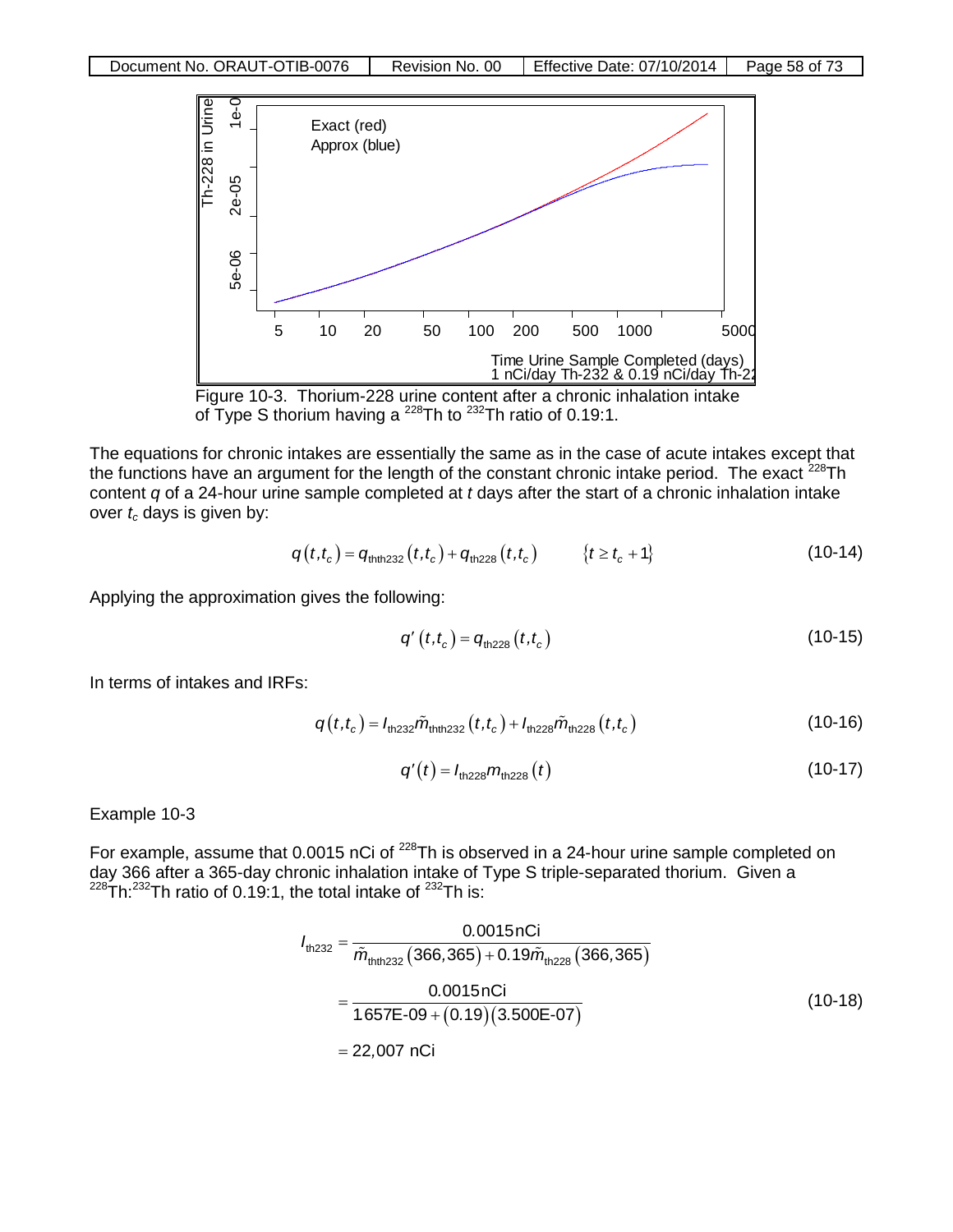



The equations for chronic intakes are essentially the same as in the case of acute intakes except that the functions have an argument for the length of the constant chronic intake period. The exact  $^{228}$ Th content *q* of a 24-hour urine sample completed at *t* days after the start of a chronic inhalation intake over  $t_c$  days is given by:

$$
q(t,t_c) = q_{\text{thth232}}(t,t_c) + q_{\text{th228}}(t,t_c) \qquad \{t \ge t_c + 1\} \tag{10-14}
$$

Applying the approximation gives the following:

$$
q'(t,t_c) = q_{\text{th228}}(t,t_c)
$$
 (10-15)

In terms of intakes and IRFs:

$$
q(t,t_c) = I_{\text{th232}} \tilde{m}_{\text{th232}}(t,t_c) + I_{\text{th228}} \tilde{m}_{\text{th228}}(t,t_c)
$$
 (10-16)

$$
q'(t) = I_{\text{th228}} m_{\text{th228}}(t) \tag{10-17}
$$

Example 10-3

For example, assume that 0.0015 nCi of <sup>228</sup>Th is observed in a 24-hour urine sample completed on day 366 after a 365-day chronic inhalation intake of Type S triple-separated thorium. Given a  $^{228}$ Th: $^{232}$ Th ratio of 0.19:1, the total intake of  $^{232}$ Th is:

$$
I_{\text{th232}} = \frac{0.0015 \text{ nCi}}{\tilde{m}_{\text{th1232}} \left( 366,365 \right) + 0.19 \tilde{m}_{\text{th228}} \left( 366,365 \right)}
$$
\n
$$
= \frac{0.0015 \text{ nCi}}{1.657 \text{E} \cdot 09 + (0.19) \left( 3.500 \text{E} \cdot 07 \right)} \tag{10-18}
$$
\n
$$
= 22,007 \text{ nCi}
$$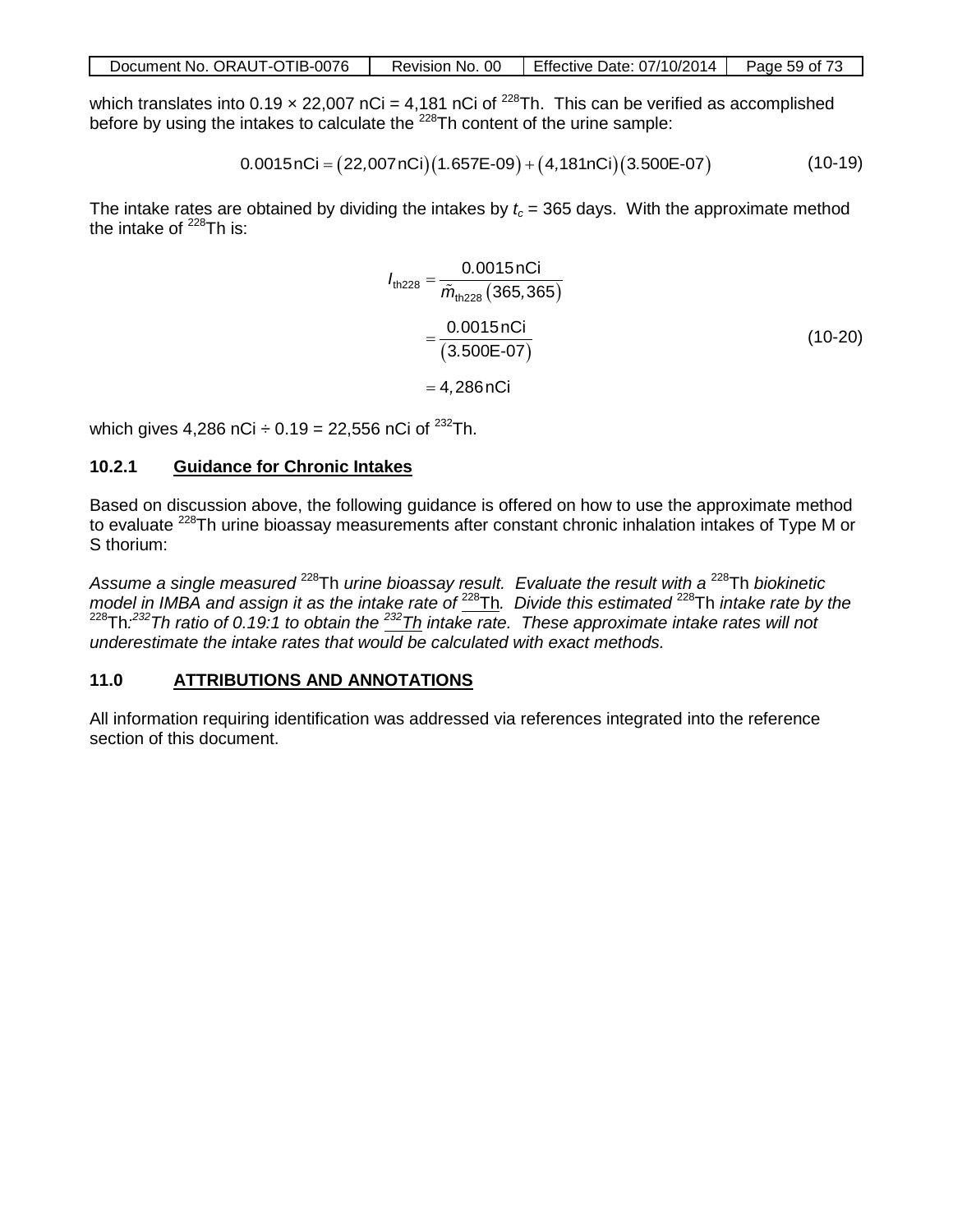| Document No. ORAUT-OTIB-0076 | Revision No. 00 | Effective Date: 07/10/2014 | Page 59 of 73 |
|------------------------------|-----------------|----------------------------|---------------|

which translates into 0.19  $\times$  22,007 nCi = 4,181 nCi of <sup>228</sup>Th. This can be verified as accomplished before by using the intakes to calculate the <sup>228</sup>Th content of the urine sample:

$$
0.0015 nCi = (22,007 nCi)(1.657E-09) + (4,181 nCi)(3.500E-07)
$$
 (10-19)

The intake rates are obtained by dividing the intakes by  $t_c = 365$  days. With the approximate method the intake of  $^{228}$ Th is:

$$
I_{\text{th228}} = \frac{0.0015 \text{ nCi}}{\tilde{m}_{\text{th228}} (365,365)}
$$
  
= 
$$
\frac{0.0015 \text{ nCi}}{(3.500E - 07)}
$$
 (10-20)  
= 4,286 nCi

which gives 4,286 nCi  $\div$  0.19 = 22,556 nCi of <sup>232</sup>Th.

#### **10.2.1 Guidance for Chronic Intakes**

Based on discussion above, the following guidance is offered on how to use the approximate method to evaluate <sup>228</sup>Th urine bioassay measurements after constant chronic inhalation intakes of Type M or S thorium:

*Assume a single measured* 228Th *urine bioassay result. Evaluate the result with a* 228Th *biokinetic model in IMBA and assign it as the intake rate of* 228Th*. Divide this estimated* 228Th *intake rate by the*  228Th*: 232Th ratio of 0.19:1 to obtain the 232Th intake rate. These approximate intake rates will not underestimate the intake rates that would be calculated with exact methods.*

#### **11.0 ATTRIBUTIONS AND ANNOTATIONS**

All information requiring identification was addressed via references integrated into the reference section of this document.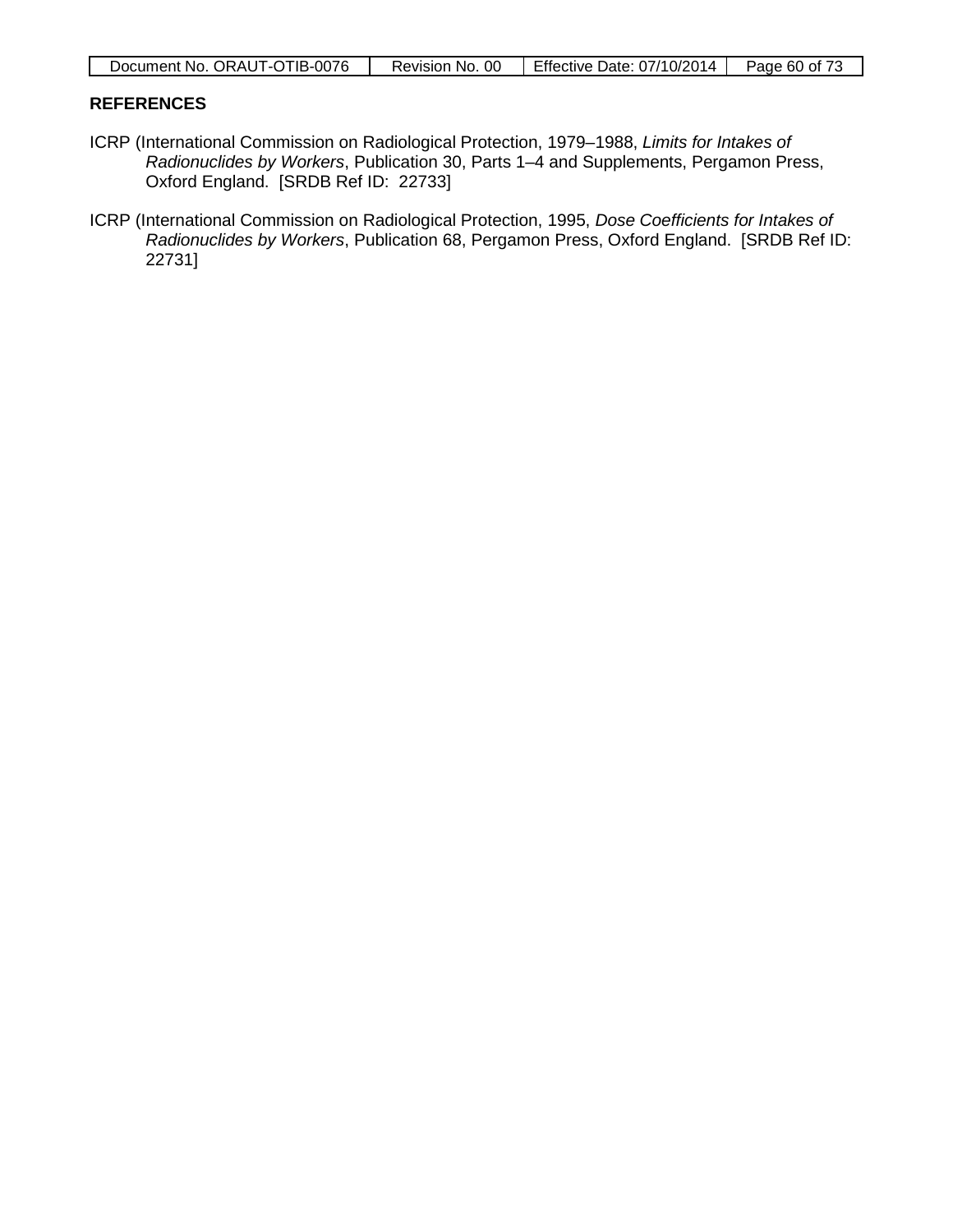| Document No. ORAUT-OTIB-0076 | Revision No. 00 $\parallel$ Effective Date: 07/10/2014 $\parallel$ Page 60 of 73 |  |
|------------------------------|----------------------------------------------------------------------------------|--|

#### **REFERENCES**

- ICRP (International Commission on Radiological Protection, 1979–1988, *Limits for Intakes of Radionuclides by Workers*, Publication 30, Parts 1–4 and Supplements, Pergamon Press, Oxford England. [SRDB Ref ID: 22733]
- ICRP (International Commission on Radiological Protection, 1995, *Dose Coefficients for Intakes of Radionuclides by Workers*, Publication 68, Pergamon Press, Oxford England. [SRDB Ref ID: 22731]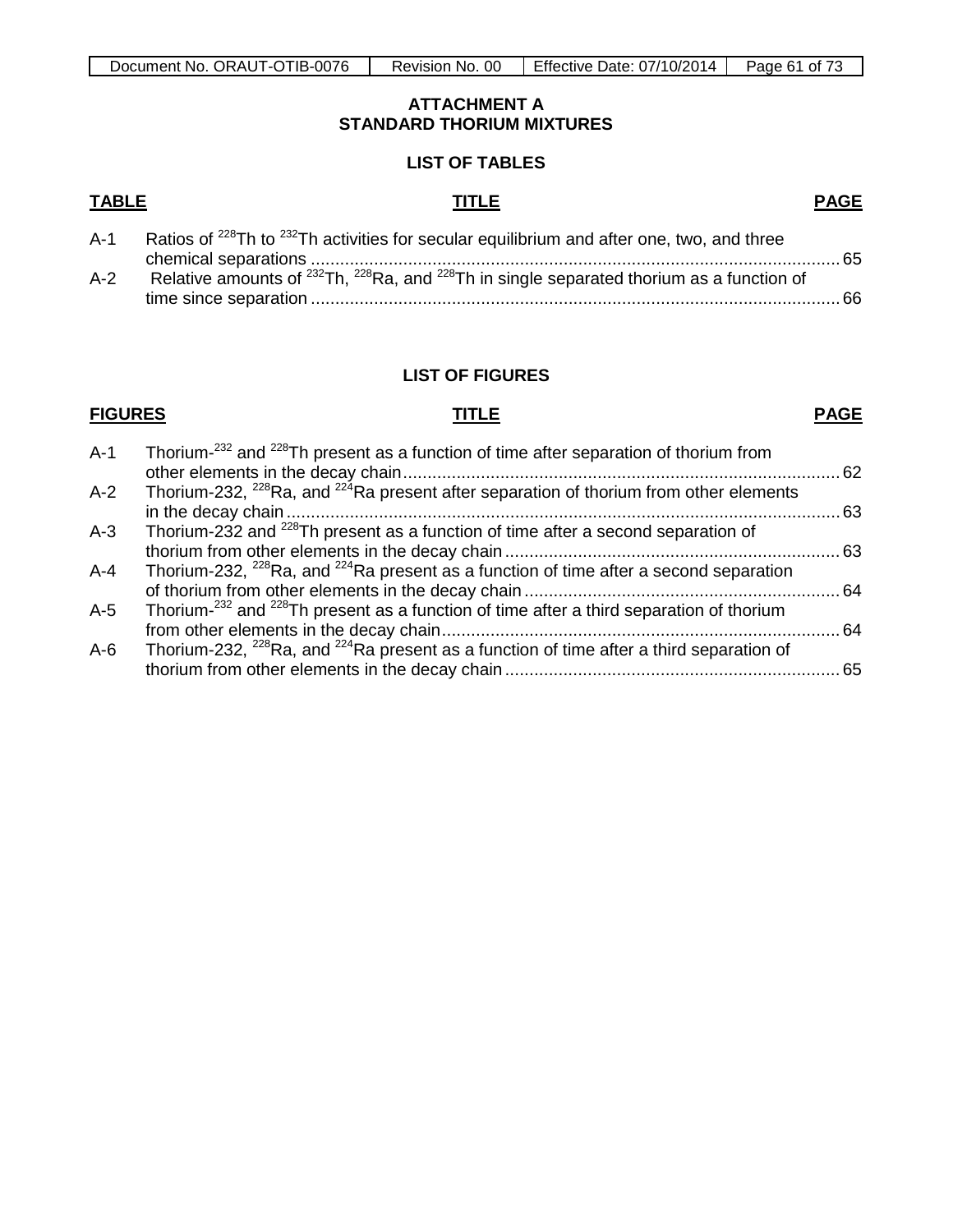#### **ATTACHMENT A STANDARD THORIUM MIXTURES**

#### **LIST OF TABLES**

#### **TABLE TITLE PAGE**

| $A-1$ | Ratios of <sup>228</sup> Th to <sup>232</sup> Th activities for secular equilibrium and after one, two, and three |  |
|-------|-------------------------------------------------------------------------------------------------------------------|--|
|       |                                                                                                                   |  |
| $A-2$ | Relative amounts of $^{232}$ Th, $^{228}$ Ra, and $^{228}$ Th in single separated thorium as a function of        |  |
|       |                                                                                                                   |  |
|       |                                                                                                                   |  |

#### **LIST OF FIGURES**

# **FIGURES TITLE PAGE**

| $A-1$   | Thorium- <sup>232</sup> and <sup>228</sup> Th present as a function of time after separation of thorium from    |  |
|---------|-----------------------------------------------------------------------------------------------------------------|--|
|         |                                                                                                                 |  |
| $A-2$   | Thorium-232, <sup>228</sup> Ra, and <sup>224</sup> Ra present after separation of thorium from other elements   |  |
|         |                                                                                                                 |  |
| $A-3$   | Thorium-232 and <sup>228</sup> Th present as a function of time after a second separation of                    |  |
|         |                                                                                                                 |  |
| $A - 4$ | Thorium-232, <sup>228</sup> Ra, and <sup>224</sup> Ra present as a function of time after a second separation   |  |
|         |                                                                                                                 |  |
| $A-5$   | Thorium- <sup>232</sup> and <sup>228</sup> Th present as a function of time after a third separation of thorium |  |
|         |                                                                                                                 |  |
| $A-6$   | Thorium-232, $^{228}$ Ra, and $^{224}$ Ra present as a function of time after a third separation of             |  |
|         |                                                                                                                 |  |
|         |                                                                                                                 |  |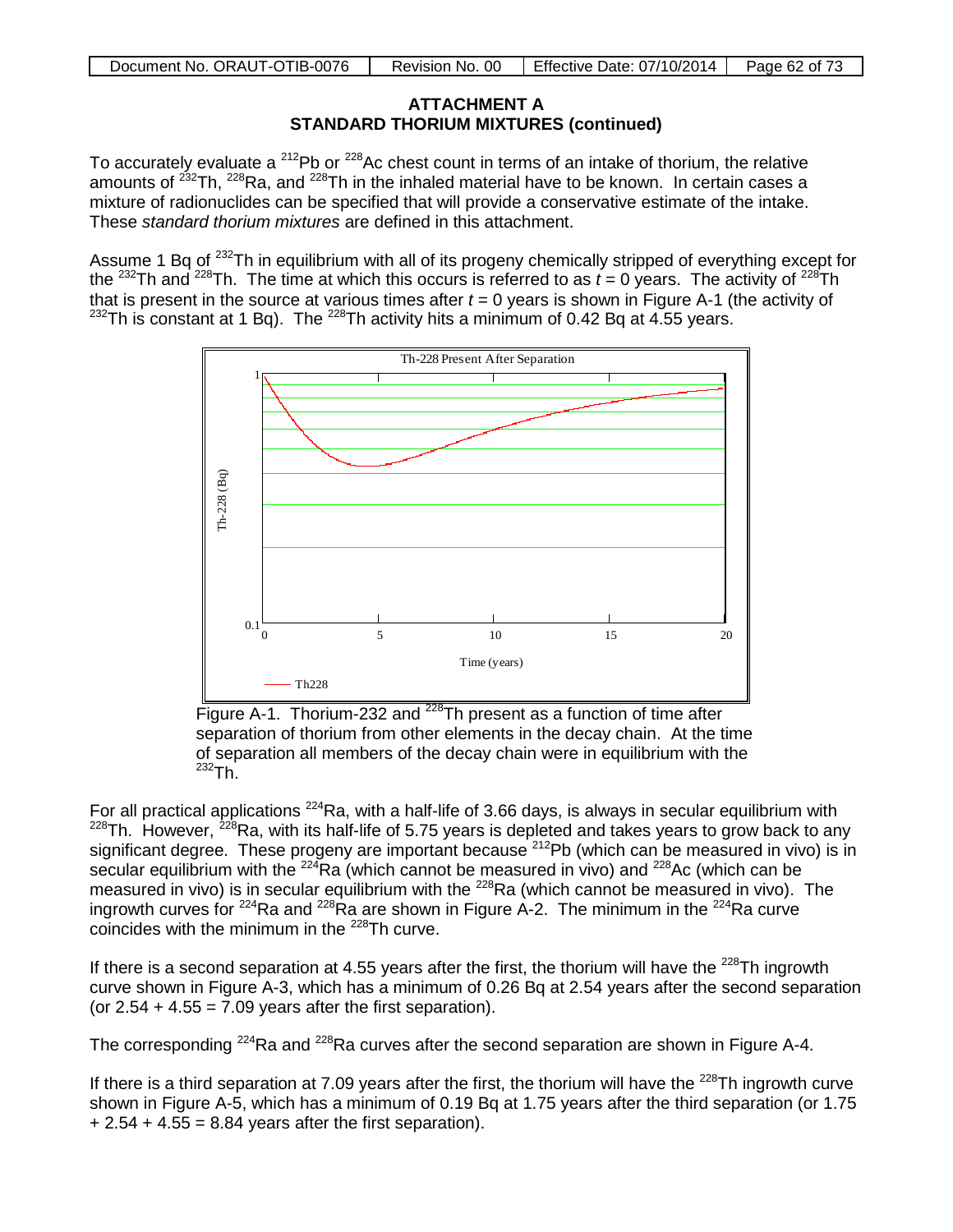### **ATTACHMENT A STANDARD THORIUM MIXTURES (continued)**

To accurately evaluate a  $212Pb$  or  $228Ac$  chest count in terms of an intake of thorium, the relative amounts of <sup>232</sup>Th, <sup>228</sup>Ra, and <sup>228</sup>Th in the inhaled material have to be known. In certain cases a mixture of radionuclides can be specified that will provide a conservative estimate of the intake. These *standard thorium mixtures* are defined in this attachment.

Assume 1 Bq of <sup>232</sup>Th in equilibrium with all of its progeny chemically stripped of everything except for the <sup>232</sup>Th and <sup>228</sup>Th. The time at which this occurs is referred to as  $t = 0$  years. The activity of <sup>228</sup>Th that is present in the source at various times after  $t = 0$  years is shown in Figure A-1 (the activity of  $232$ Th is constant at 1 Bq). The  $228$ Th activity hits a minimum of 0.42 Bq at 4.55 years.



Figure A-1. Thorium-232 and <sup>228</sup>Th present as a function of time after separation of thorium from other elements in the decay chain. At the time of separation all members of the decay chain were in equilibrium with the  $232Th.$ 

For all practical applications  $^{224}$ Ra, with a half-life of 3.66 days, is always in secular equilibrium with  $228$ Th. However,  $228$ Ra, with its half-life of 5.75 years is depleted and takes years to grow back to any significant degree. These progeny are important because <sup>212</sup>Pb (which can be measured in vivo) is in secular equilibrium with the  $^{224}$ Ra (which cannot be measured in vivo) and  $^{228}$ Ac (which can be measured in vivo) is in secular equilibrium with the <sup>228</sup>Ra (which cannot be measured in vivo). The ingrowth curves for  $224$ Ra and  $228$ Ra are shown in Figure A-2. The minimum in the  $224$ Ra curve coincides with the minimum in the <sup>228</sup>Th curve.

If there is a second separation at 4.55 years after the first, the thorium will have the  $^{228}$ Th ingrowth curve shown in Figure A-3, which has a minimum of 0.26 Bq at 2.54 years after the second separation (or  $2.54 + 4.55 = 7.09$  years after the first separation).

The corresponding  $^{224}$ Ra and  $^{228}$ Ra curves after the second separation are shown in Figure A-4.

If there is a third separation at 7.09 years after the first, the thorium will have the  $^{228}$ Th ingrowth curve shown in Figure A-5, which has a minimum of 0.19 Bq at 1.75 years after the third separation (or 1.75  $+ 2.54 + 4.55 = 8.84$  years after the first separation).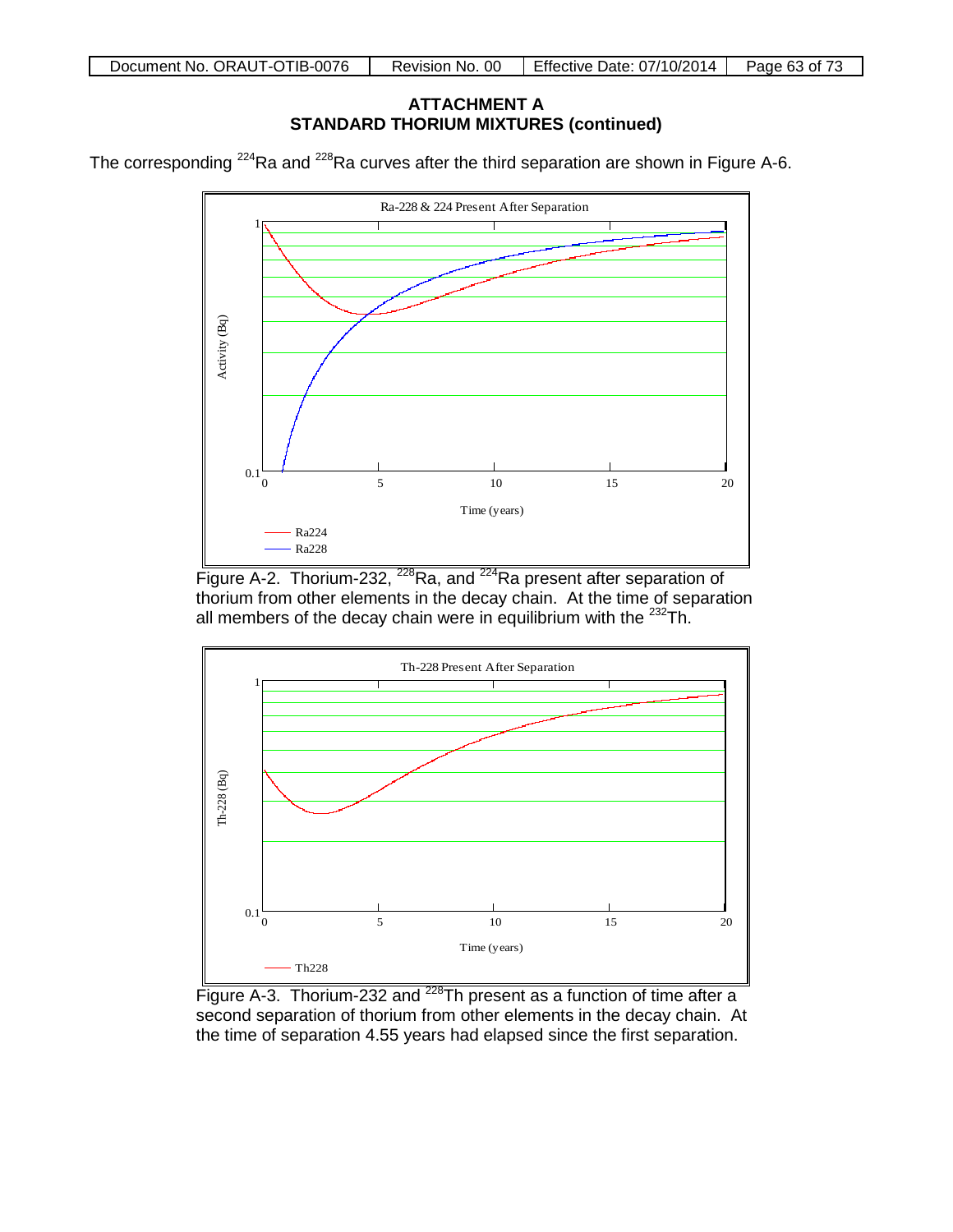## **ATTACHMENT A STANDARD THORIUM MIXTURES (continued)**

The corresponding  $224$ Ra and  $228$ Ra curves after the third separation are shown in Figure A-6.



Figure A-2. Thorium-232, <sup>228</sup>Ra, and <sup>224</sup>Ra present after separation of thorium from other elements in the decay chain. At the time of separation all members of the decay chain were in equilibrium with the <sup>232</sup>Th.



Figure A-3. Thorium-232 and <sup>228</sup>Th present as a function of time after a second separation of thorium from other elements in the decay chain. At the time of separation 4.55 years had elapsed since the first separation.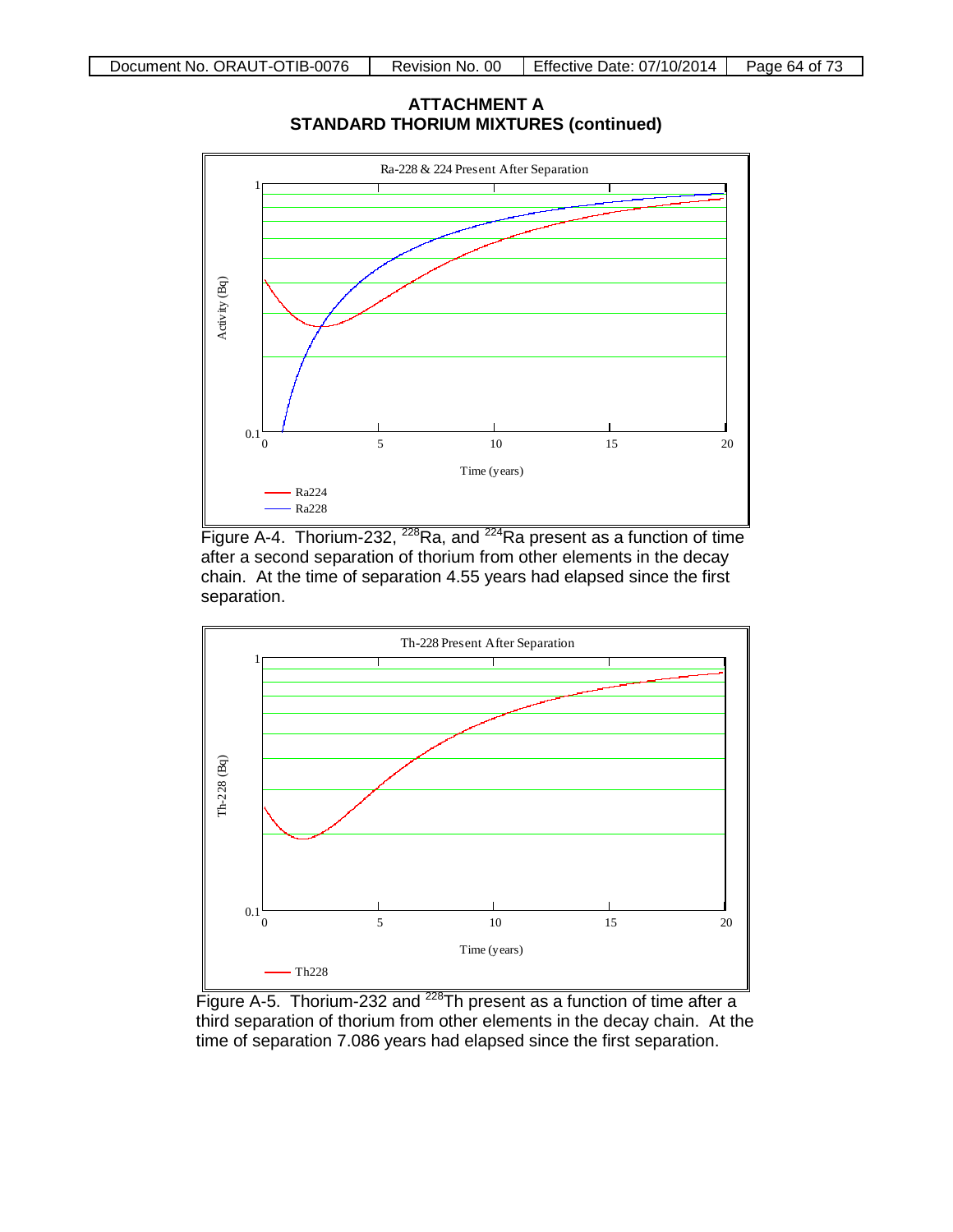**ATTACHMENT A STANDARD THORIUM MIXTURES (continued)**



Figure A-4. Thorium-232,  $^{228}$ Ra, and  $^{224}$ Ra present as a function of time after a second separation of thorium from other elements in the decay chain. At the time of separation 4.55 years had elapsed since the first separation.



Figure A-5. Thorium-232 and <sup>228</sup>Th present as a function of time after a third separation of thorium from other elements in the decay chain. At the time of separation 7.086 years had elapsed since the first separation.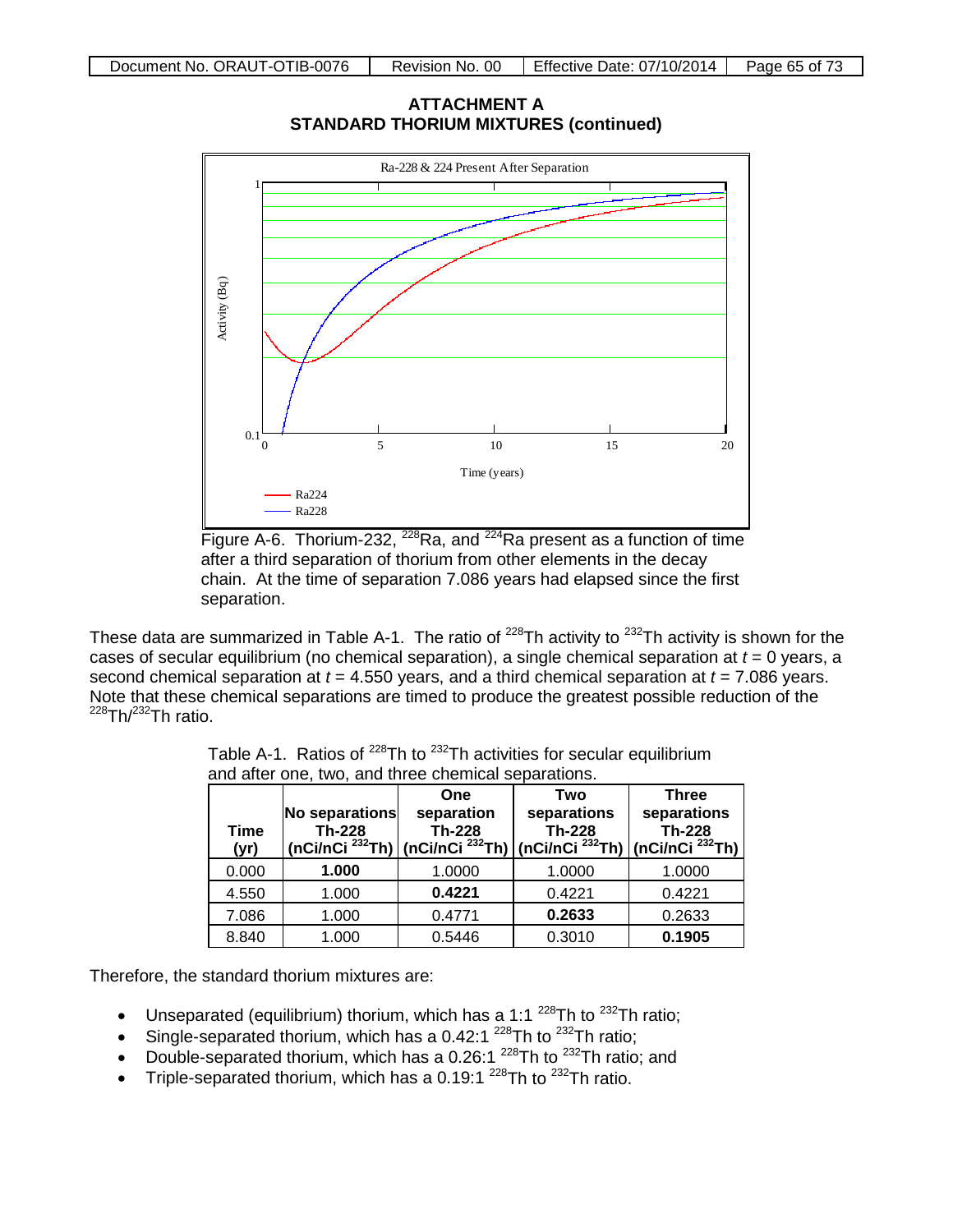**ATTACHMENT A STANDARD THORIUM MIXTURES (continued)**



Figure A-6. Thorium-232, <sup>228</sup>Ra, and <sup>224</sup>Ra present as a function of time after a third separation of thorium from other elements in the decay chain. At the time of separation 7.086 years had elapsed since the first separation.

These data are summarized in Table A-1. The ratio of  $^{228}$ Th activity to  $^{232}$ Th activity is shown for the cases of secular equilibrium (no chemical separation), a single chemical separation at *t* = 0 years, a second chemical separation at *t* = 4.550 years, and a third chemical separation at *t* = 7.086 years. Note that these chemical separations are timed to produce the greatest possible reduction of the  $228$ Th/ $232$ Th ratio.

| Time<br>(yr) | No separations<br><b>Th-228</b> | One<br>separation<br><b>Th-228</b><br>(nCi/nCi $^{232}$ Th) (nCi/nCi $^{232}$ Th) | Two<br>separations<br><b>Th-228</b><br>( $nCi/nCi$ <sup>232</sup> Th) | <b>Three</b><br>separations<br><b>Th-228</b><br>(nCi/nCi $^{232}$ Th) |
|--------------|---------------------------------|-----------------------------------------------------------------------------------|-----------------------------------------------------------------------|-----------------------------------------------------------------------|
| 0.000        | 1.000                           | 1.0000                                                                            | 1.0000                                                                | 1.0000                                                                |
| 4.550        | 1.000                           | 0.4221                                                                            | 0.4221                                                                | 0.4221                                                                |
| 7.086        | 1.000                           | 0.4771                                                                            | 0.2633                                                                | 0.2633                                                                |
| 8.840        | 1.000                           | 0.5446                                                                            | 0.3010                                                                | 0.1905                                                                |

Table A-1. Ratios of  $^{228}$ Th to  $^{232}$ Th activities for secular equilibrium and after one, two, and three chemical separations.

Therefore, the standard thorium mixtures are:

- Unseparated (equilibrium) thorium, which has a 1:1  $^{228}$ Th to  $^{232}$ Th ratio;
- Single-separated thorium, which has a 0.42:1  $^{228}$ Th to  $^{232}$ Th ratio;
- Double-separated thorium, which has a 0.26:1  $^{228}$ Th to  $^{232}$ Th ratio; and
- Triple-separated thorium, which has a 0.19:1<sup>228</sup>Th to  $^{232}$ Th ratio.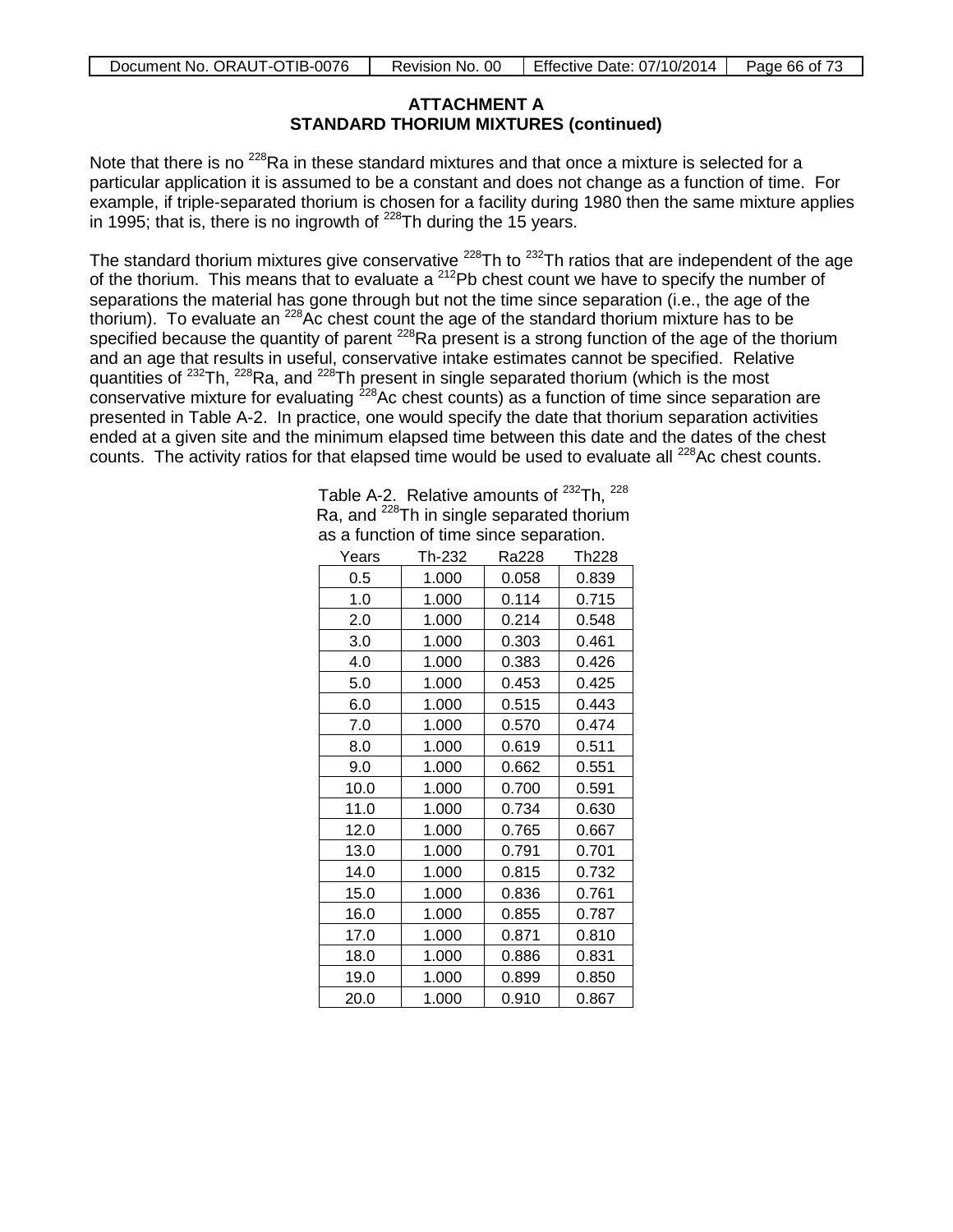## **ATTACHMENT A STANDARD THORIUM MIXTURES (continued)**

Note that there is no  $228$ Ra in these standard mixtures and that once a mixture is selected for a particular application it is assumed to be a constant and does not change as a function of time. For example, if triple-separated thorium is chosen for a facility during 1980 then the same mixture applies in 1995; that is, there is no ingrowth of  $^{228}$ Th during the 15 years.

The standard thorium mixtures give conservative <sup>228</sup>Th to <sup>232</sup>Th ratios that are independent of the age of the thorium. This means that to evaluate a  $^{212}$ Pb chest count we have to specify the number of separations the material has gone through but not the time since separation (i.e., the age of the thorium). To evaluate an <sup>228</sup>Ac chest count the age of the standard thorium mixture has to be specified because the quantity of parent <sup>228</sup>Ra present is a strong function of the age of the thorium and an age that results in useful, conservative intake estimates cannot be specified. Relative quantities of <sup>232</sup>Th, <sup>228</sup>Ra, and <sup>228</sup>Th present in single separated thorium (which is the most conservative mixture for evaluating  $228$ Ac chest counts) as a function of time since separation are presented in Table A-2. In practice, one would specify the date that thorium separation activities ended at a given site and the minimum elapsed time between this date and the dates of the chest counts. The activity ratios for that elapsed time would be used to evaluate all  $^{228}$ Ac chest counts.

| Table A-2. Relative amounts of <sup>232</sup> Th. <sup>228</sup> |
|------------------------------------------------------------------|
| Ra, and <sup>228</sup> Th in single separated thorium            |
| as a function of time since separation.                          |

| Years | Th-232 | Ra228 | <b>Th228</b> |
|-------|--------|-------|--------------|
| 0.5   | 1.000  | 0.058 | 0.839        |
| 1.0   | 1.000  | 0.114 | 0.715        |
| 2.0   | 1.000  | 0.214 | 0.548        |
| 3.0   | 1.000  | 0.303 | 0.461        |
| 4.0   | 1.000  | 0.383 | 0.426        |
| 5.0   | 1.000  | 0.453 | 0.425        |
| 6.0   | 1.000  | 0.515 | 0.443        |
| 7.0   | 1.000  | 0.570 | 0.474        |
| 8.0   | 1.000  | 0.619 | 0.511        |
| 9.0   | 1.000  | 0.662 | 0.551        |
| 10.0  | 1.000  | 0.700 | 0.591        |
| 11.0  | 1.000  | 0.734 | 0.630        |
| 12.0  | 1.000  | 0.765 | 0.667        |
| 13.0  | 1.000  | 0.791 | 0.701        |
| 14.0  | 1.000  | 0.815 | 0.732        |
| 15.0  | 1.000  | 0.836 | 0.761        |
| 16.0  | 1.000  | 0.855 | 0.787        |
| 17.0  | 1.000  | 0.871 | 0.810        |
| 18.0  | 1.000  | 0.886 | 0.831        |
| 19.0  | 1.000  | 0.899 | 0.850        |
| 20.0  | 1.000  | 0.910 | 0.867        |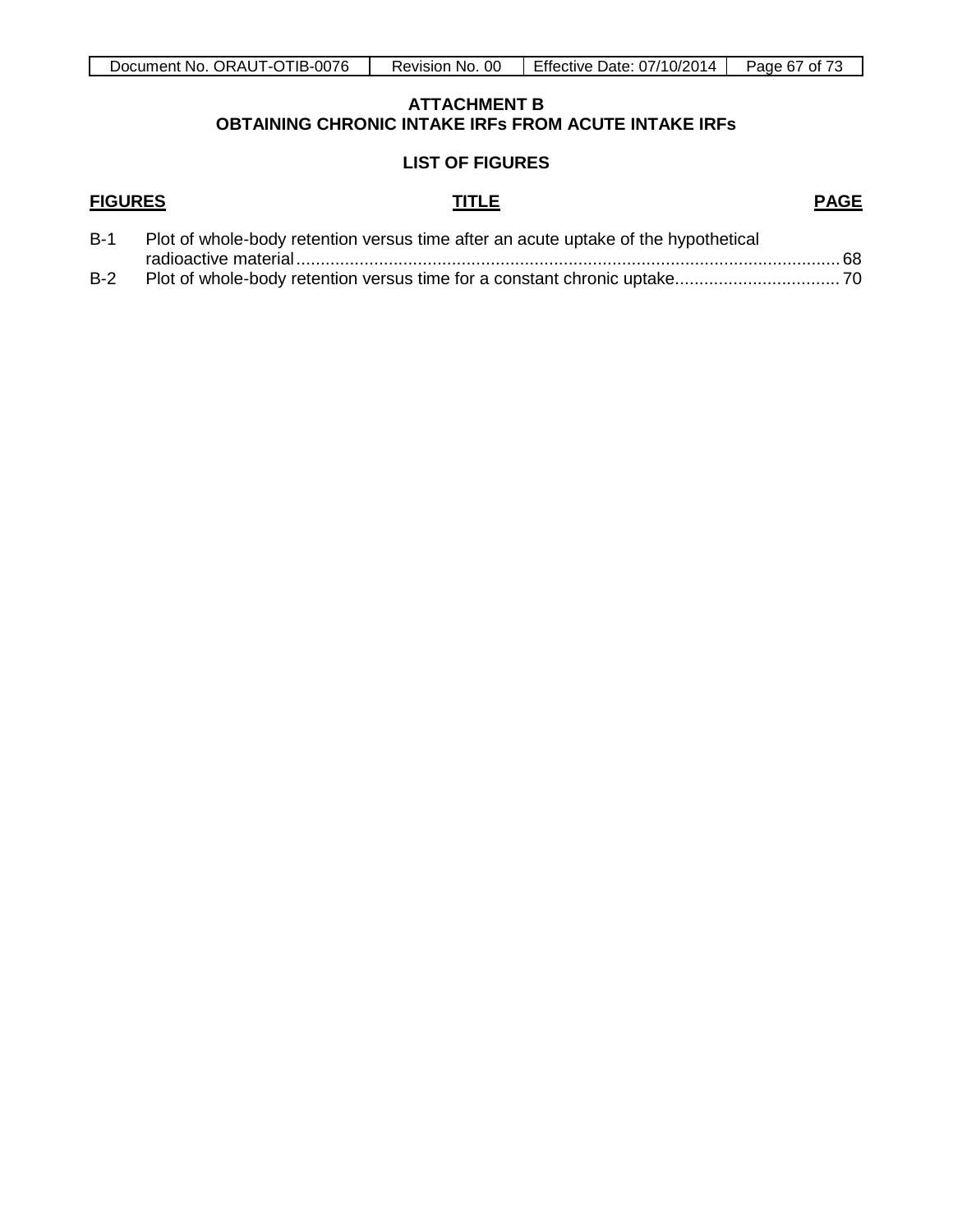#### **ATTACHMENT B OBTAINING CHRONIC INTAKE IRFs FROM ACUTE INTAKE IRFs**

#### **LIST OF FIGURES**

# **FIGURES TITLE PAGE**

| $B-1$ | Plot of whole-body retention versus time after an acute uptake of the hypothetical |  |
|-------|------------------------------------------------------------------------------------|--|
|       |                                                                                    |  |
| $B-2$ |                                                                                    |  |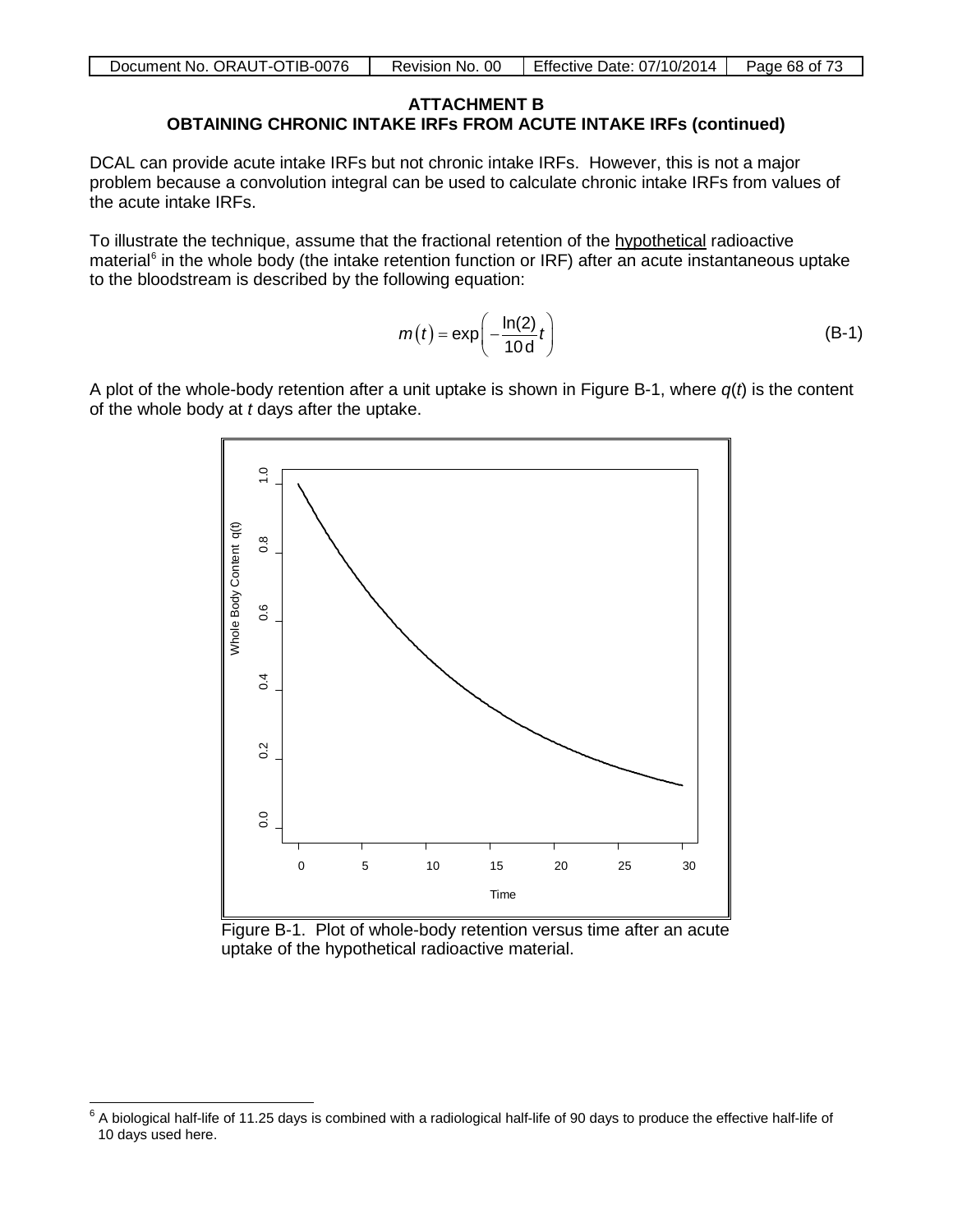| Document No. ORAUT-OTIB-0076 | Revision No. 00 | Effective Date: 07/10/2014   Page 68 of 73 |  |
|------------------------------|-----------------|--------------------------------------------|--|

#### **ATTACHMENT B OBTAINING CHRONIC INTAKE IRFs FROM ACUTE INTAKE IRFs (continued)**

DCAL can provide acute intake IRFs but not chronic intake IRFs. However, this is not a major problem because a convolution integral can be used to calculate chronic intake IRFs from values of the acute intake IRFs.

To illustrate the technique, assume that the fractional retention of the hypothetical radioactive material<sup>[6](#page-67-0)</sup> in the whole body (the intake retention function or IRF) after an acute instantaneous uptake to the bloodstream is described by the following equation:

$$
m(t) = \exp\left(-\frac{\ln(2)}{10 d} t\right)
$$
 (B-1)

A plot of the whole-body retention after a unit uptake is shown in Figure B-1, where *q*(*t*) is the content of the whole body at *t* days after the uptake.



Figure B-1. Plot of whole-body retention versus time after an acute uptake of the hypothetical radioactive material.

<span id="page-67-0"></span> $6$  A biological half-life of 11.25 days is combined with a radiological half-life of 90 days to produce the effective half-life of 10 days used here.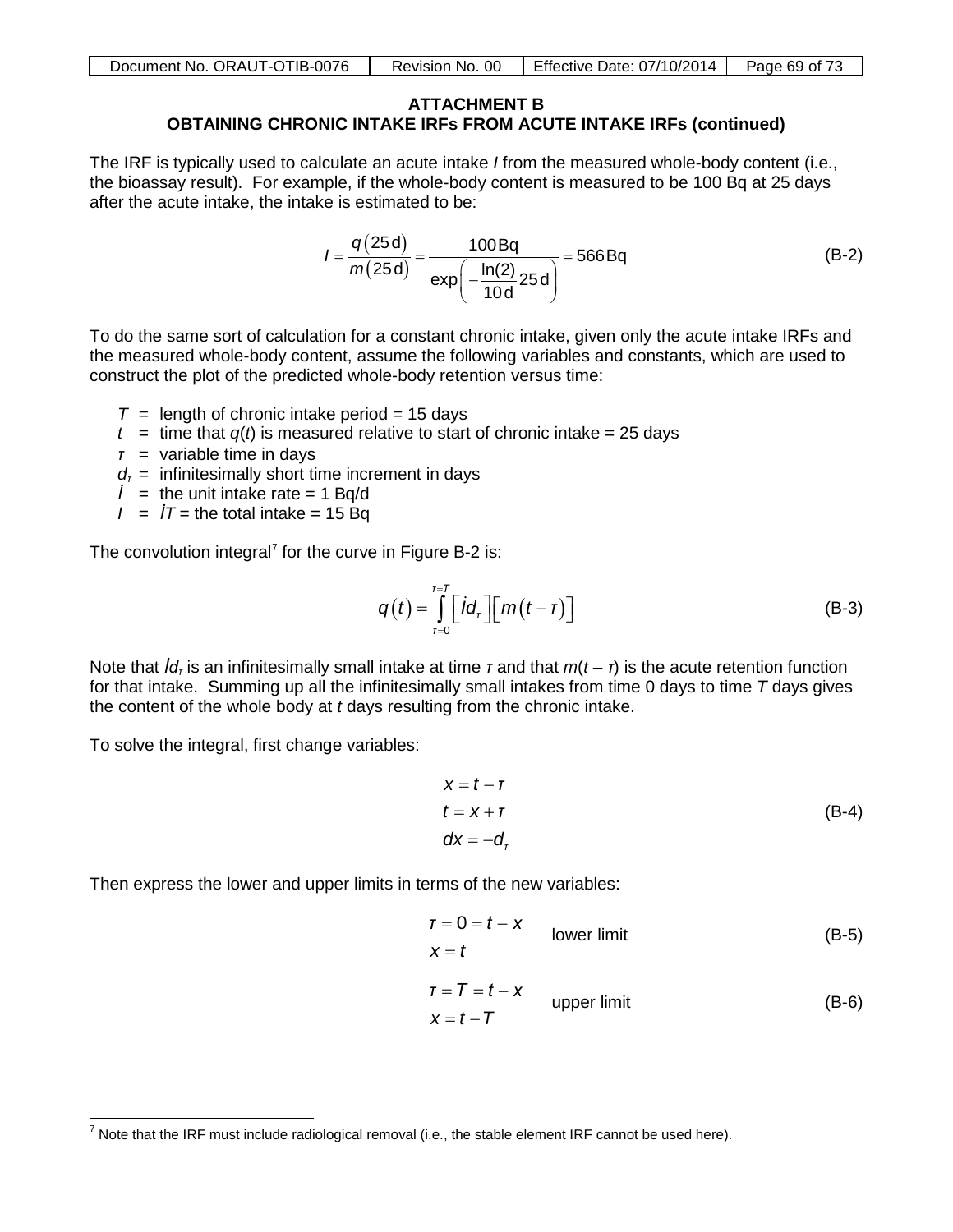| Document No. ORAUT-OTIB-0076 | Revision No. 00 | Effective Date: $07/10/2014$ | Page 69 of 73 |
|------------------------------|-----------------|------------------------------|---------------|
|                              |                 |                              |               |

#### **ATTACHMENT B OBTAINING CHRONIC INTAKE IRFs FROM ACUTE INTAKE IRFs (continued)**

The IRF is typically used to calculate an acute intake *I* from the measured whole-body content (i.e., the bioassay result). For example, if the whole-body content is measured to be 100 Bq at 25 days after the acute intake, the intake is estimated to be:

$$
I = \frac{q(25d)}{m(25d)} = \frac{100Bq}{exp(-\frac{ln(2)}{10d}25d)} = 566Bq
$$
 (B-2)

To do the same sort of calculation for a constant chronic intake, given only the acute intake IRFs and the measured whole-body content, assume the following variables and constants, which are used to construct the plot of the predicted whole-body retention versus time:

- $T =$  length of chronic intake period = 15 days
- $t =$  time that  $q(t)$  is measured relative to start of chronic intake = 25 days
- *τ* = variable time in days
- $d<sub>r</sub>$  = infinitesimally short time increment in days
- *= the unit intake rate = 1 Bq/d*
- $I = I\mathcal{T}$  = the total intake = 15 Bq

The convolution integral<sup>[7](#page-68-0)</sup> for the curve in Figure B-2 is:

$$
q(t) = \int_{r=0}^{r=T} \left[ i d_r \right] \left[ m(t-r) \right]
$$
 (B-3)

Note that *İdτ* is an infinitesimally small intake at time *τ* and that *m*(*t* – *τ*) is the acute retention function for that intake. Summing up all the infinitesimally small intakes from time 0 days to time *T* days gives the content of the whole body at *t* days resulting from the chronic intake.

To solve the integral, first change variables:

$$
x = t - r
$$
  
\n
$$
t = x + r
$$
  
\n
$$
dx = -d_r
$$
\n(B-4)

Then express the lower and upper limits in terms of the new variables:

$$
r = 0 = t - x
$$
 lower limit (B-5)

$$
T = T = t - x
$$
  
 
$$
x = t - T
$$
 upper limit (B-6)

<span id="page-68-0"></span> $<sup>7</sup>$  Note that the IRF must include radiological removal (i.e., the stable element IRF cannot be used here).</sup>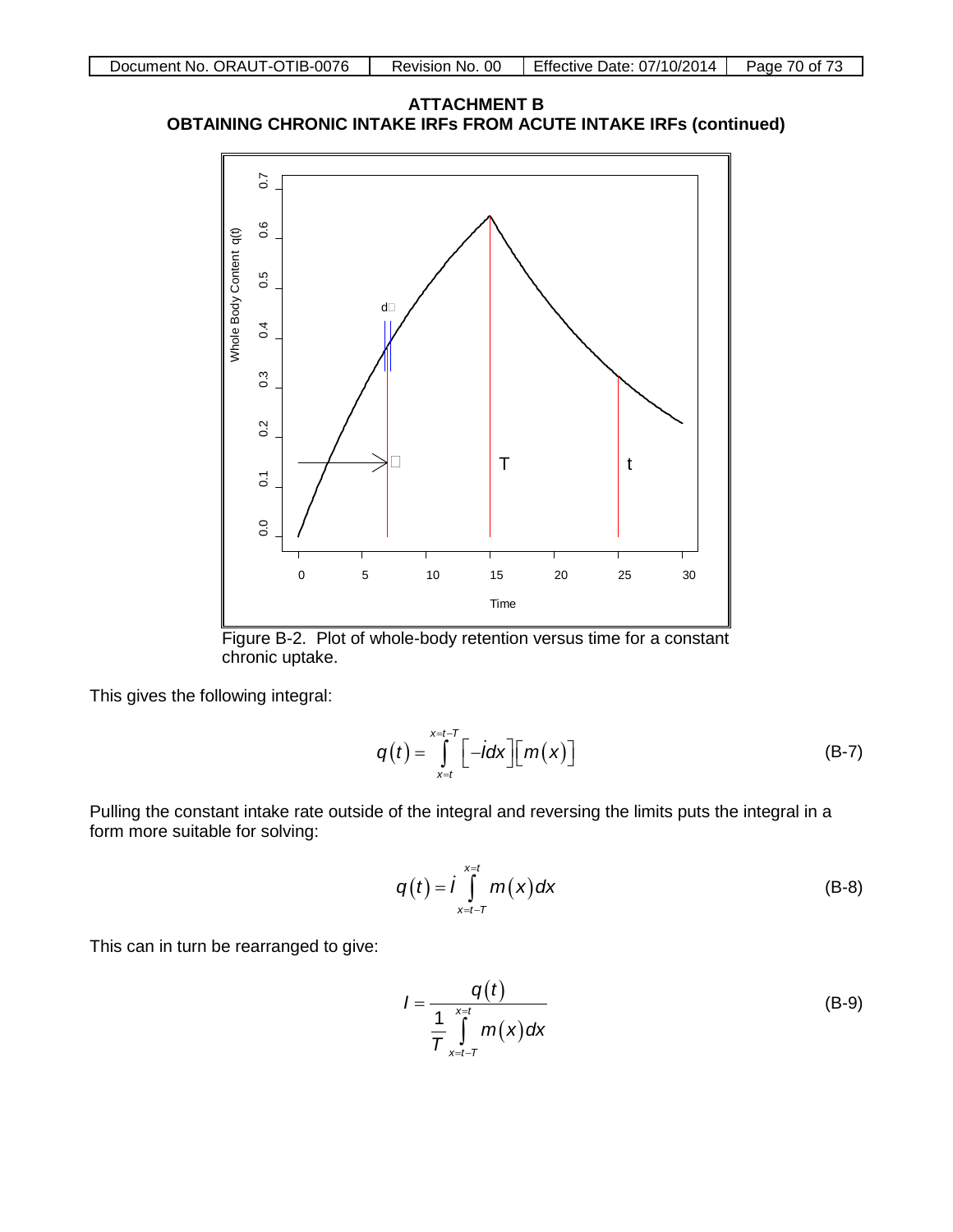



Figure B-2. Plot of whole-body retention versus time for a constant chronic uptake.

This gives the following integral:

$$
q(t) = \int_{x=t}^{x=t-T} \left[ -i dx \right] \left[ m(x) \right]
$$
 (B-7)

Pulling the constant intake rate outside of the integral and reversing the limits puts the integral in a form more suitable for solving:

$$
q(t) = \int_{x=t-T}^{x=t} m(x) dx
$$
 (B-8)

This can in turn be rearranged to give:

$$
I = \frac{q(t)}{\frac{1}{T} \int\limits_{x=t-T}^{x=t} m(x) dx}
$$
 (B-9)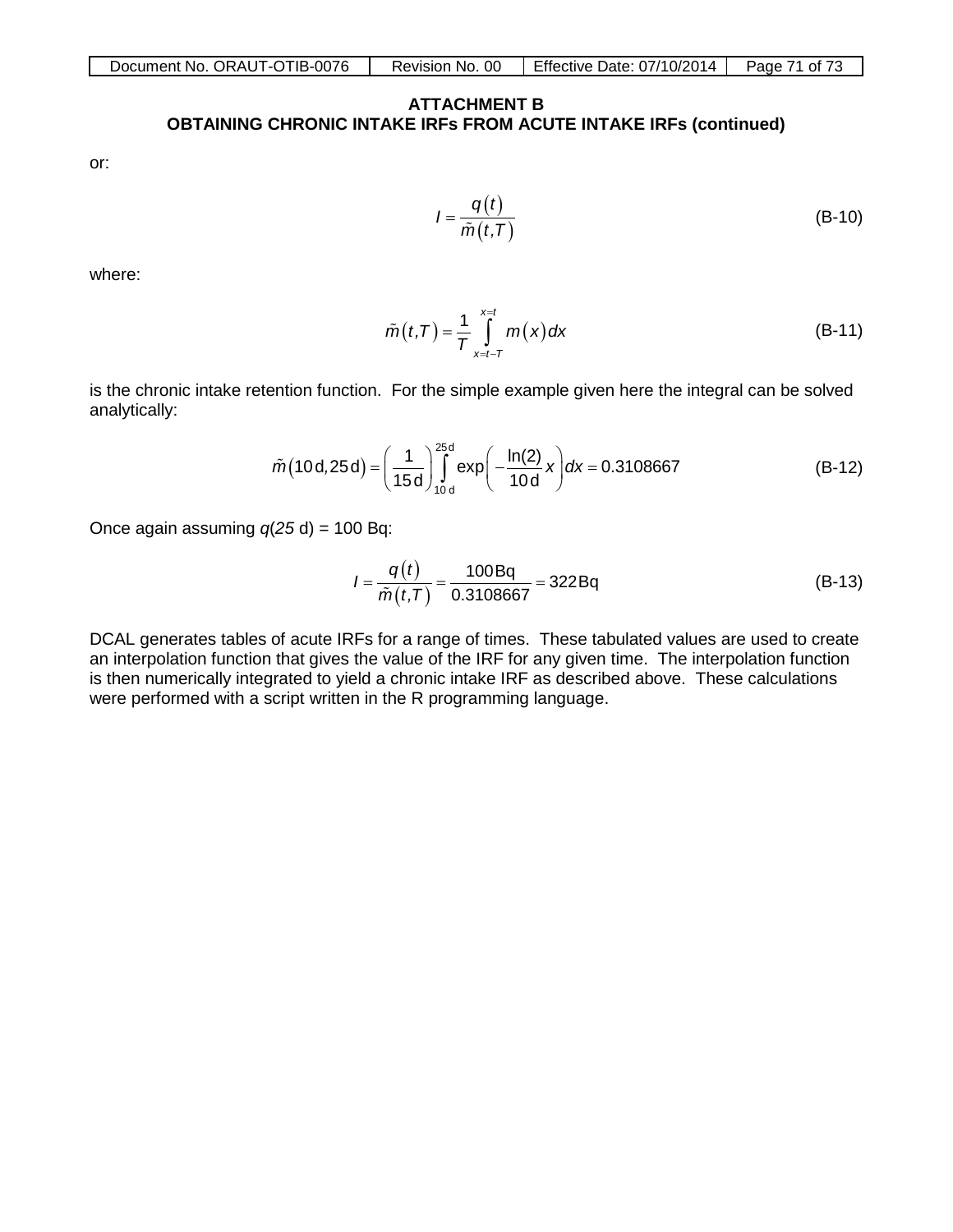#### **ATTACHMENT B OBTAINING CHRONIC INTAKE IRFs FROM ACUTE INTAKE IRFs (continued)**

or:

$$
I = \frac{q(t)}{\tilde{m}(t,T)}
$$
 (B-10)

where:

$$
\tilde{m}(t,T) = \frac{1}{T} \int_{x=t-T}^{x=t} m(x) dx
$$
 (B-11)

is the chronic intake retention function. For the simple example given here the integral can be solved analytically:

$$
\tilde{m}(10\,\mathrm{d},25\,\mathrm{d}) = \left(\frac{1}{15\,\mathrm{d}}\right)_{10\,\mathrm{d}}^{25\,\mathrm{d}} \exp\left(-\frac{\ln(2)}{10\,\mathrm{d}}\,x\right) \mathrm{d}x = 0.3108667\tag{B-12}
$$

Once again assuming  $q(25 d) = 100 Bq$ :

$$
I = \frac{q(t)}{\tilde{m}(t,T)} = \frac{100Bq}{0.3108667} = 322Bq
$$
 (B-13)

DCAL generates tables of acute IRFs for a range of times. These tabulated values are used to create an interpolation function that gives the value of the IRF for any given time. The interpolation function is then numerically integrated to yield a chronic intake IRF as described above. These calculations were performed with a script written in the R programming language.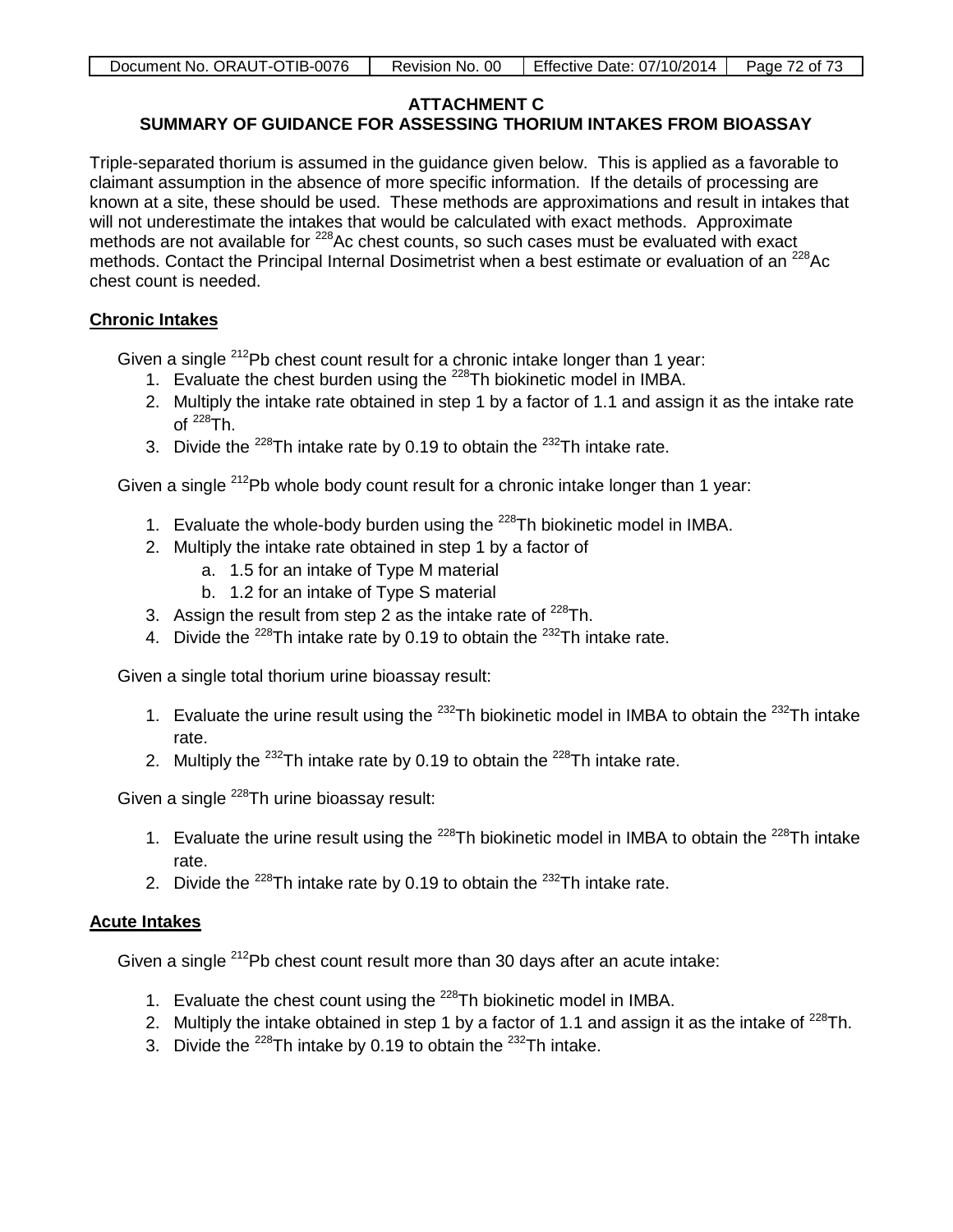| Document No. ORAUT-OTIB-0076 | Revision No. 00 | Effective Date: 07/10/2014   Page 72 of 73 |  |
|------------------------------|-----------------|--------------------------------------------|--|

## **ATTACHMENT C**

# **SUMMARY OF GUIDANCE FOR ASSESSING THORIUM INTAKES FROM BIOASSAY**

Triple-separated thorium is assumed in the guidance given below. This is applied as a favorable to claimant assumption in the absence of more specific information. If the details of processing are known at a site, these should be used. These methods are approximations and result in intakes that will not underestimate the intakes that would be calculated with exact methods. Approximate methods are not available for <sup>228</sup>Ac chest counts, so such cases must be evaluated with exact methods. Contact the Principal Internal Dosimetrist when a best estimate or evaluation of an <sup>228</sup>Ac chest count is needed.

# **Chronic Intakes**

Given a single  $^{212}$ Pb chest count result for a chronic intake longer than 1 year:

- 1. Evaluate the chest burden using the  $228$ Th biokinetic model in IMBA.
- 2. Multiply the intake rate obtained in step 1 by a factor of 1.1 and assign it as the intake rate  $\mathsf{of}$   $^{228}\mathsf{Th}$
- 3. Divide the  $^{228}$ Th intake rate by 0.19 to obtain the  $^{232}$ Th intake rate.

Given a single <sup>212</sup>Pb whole body count result for a chronic intake longer than 1 year:

- 1. Evaluate the whole-body burden using the  $^{228}$ Th biokinetic model in IMBA.
- 2. Multiply the intake rate obtained in step 1 by a factor of
	- a. 1.5 for an intake of Type M material
	- b. 1.2 for an intake of Type S material
- 3. Assign the result from step 2 as the intake rate of  $^{228}$ Th.
- 4. Divide the  $^{228}$ Th intake rate by 0.19 to obtain the  $^{232}$ Th intake rate.

Given a single total thorium urine bioassay result:

- 1. Evaluate the urine result using the  $232$ Th biokinetic model in IMBA to obtain the  $232$ Th intake rate.
- 2. Multiply the  $^{232}$ Th intake rate by 0.19 to obtain the  $^{228}$ Th intake rate.

Given a single <sup>228</sup>Th urine bioassay result:

- 1. Evaluate the urine result using the  $^{228}$ Th biokinetic model in IMBA to obtain the  $^{228}$ Th intake rate.
- 2. Divide the  $^{228}$ Th intake rate by 0.19 to obtain the  $^{232}$ Th intake rate.

## **Acute Intakes**

Given a single <sup>212</sup>Pb chest count result more than 30 days after an acute intake:

- 1. Evaluate the chest count using the <sup>228</sup>Th biokinetic model in IMBA.
- 2. Multiply the intake obtained in step 1 by a factor of 1.1 and assign it as the intake of  $^{228}$ Th.
- 3. Divide the  $^{228}$ Th intake by 0.19 to obtain the  $^{232}$ Th intake.